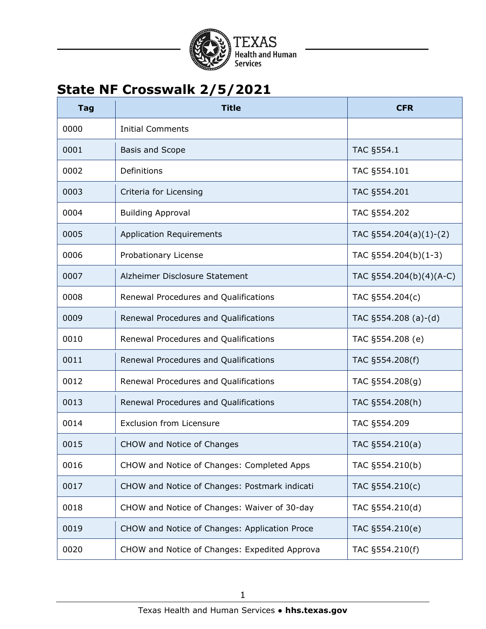

| <b>Tag</b> | <b>Title</b>                                  | <b>CFR</b>                |
|------------|-----------------------------------------------|---------------------------|
| 0000       | <b>Initial Comments</b>                       |                           |
| 0001       | <b>Basis and Scope</b>                        | TAC §554.1                |
| 0002       | Definitions                                   | TAC §554.101              |
| 0003       | Criteria for Licensing                        | TAC §554.201              |
| 0004       | <b>Building Approval</b>                      | TAC §554.202              |
| 0005       | <b>Application Requirements</b>               | TAC $\S554.204(a)(1)-(2)$ |
| 0006       | Probationary License                          | TAC §554.204(b)(1-3)      |
| 0007       | Alzheimer Disclosure Statement                | TAC §554.204(b)(4)(A-C)   |
| 0008       | Renewal Procedures and Qualifications         | TAC §554.204(c)           |
| 0009       | Renewal Procedures and Qualifications         | TAC $\S554.208$ (a)-(d)   |
| 0010       | Renewal Procedures and Qualifications         | TAC §554.208 (e)          |
| 0011       | Renewal Procedures and Qualifications         | TAC §554.208(f)           |
| 0012       | Renewal Procedures and Qualifications         | TAC §554.208(g)           |
| 0013       | Renewal Procedures and Qualifications         | TAC §554.208(h)           |
| 0014       | <b>Exclusion from Licensure</b>               | TAC §554.209              |
| 0015       | CHOW and Notice of Changes                    | TAC §554.210(a)           |
| 0016       | CHOW and Notice of Changes: Completed Apps    | TAC §554.210(b)           |
| 0017       | CHOW and Notice of Changes: Postmark indicati | TAC §554.210(c)           |
| 0018       | CHOW and Notice of Changes: Waiver of 30-day  | TAC §554.210(d)           |
| 0019       | CHOW and Notice of Changes: Application Proce | TAC §554.210(e)           |
| 0020       | CHOW and Notice of Changes: Expedited Approva | TAC §554.210(f)           |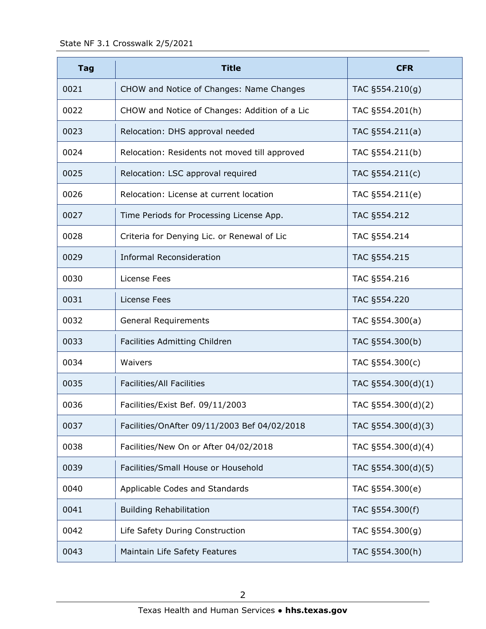| <b>Tag</b> | <b>Title</b>                                  | <b>CFR</b>         |
|------------|-----------------------------------------------|--------------------|
| 0021       | CHOW and Notice of Changes: Name Changes      | TAC §554.210(g)    |
| 0022       | CHOW and Notice of Changes: Addition of a Lic | TAC §554.201(h)    |
| 0023       | Relocation: DHS approval needed               | TAC §554.211(a)    |
| 0024       | Relocation: Residents not moved till approved | TAC §554.211(b)    |
| 0025       | Relocation: LSC approval required             | TAC §554.211(c)    |
| 0026       | Relocation: License at current location       | TAC §554.211(e)    |
| 0027       | Time Periods for Processing License App.      | TAC §554.212       |
| 0028       | Criteria for Denying Lic. or Renewal of Lic   | TAC §554.214       |
| 0029       | <b>Informal Reconsideration</b>               | TAC §554.215       |
| 0030       | License Fees                                  | TAC §554.216       |
| 0031       | License Fees                                  | TAC §554.220       |
| 0032       | <b>General Requirements</b>                   | TAC §554.300(a)    |
| 0033       | Facilities Admitting Children                 | TAC §554.300(b)    |
| 0034       | Waivers                                       | TAC §554.300(c)    |
| 0035       | Facilities/All Facilities                     | TAC §554.300(d)(1) |
| 0036       | Facilities/Exist Bef. 09/11/2003              | TAC §554.300(d)(2) |
| 0037       | Facilities/OnAfter 09/11/2003 Bef 04/02/2018  | TAC §554.300(d)(3) |
| 0038       | Facilities/New On or After 04/02/2018         | TAC §554.300(d)(4) |
| 0039       | Facilities/Small House or Household           | TAC §554.300(d)(5) |
| 0040       | Applicable Codes and Standards                | TAC §554.300(e)    |
| 0041       | <b>Building Rehabilitation</b>                | TAC §554.300(f)    |
| 0042       | Life Safety During Construction               | TAC §554.300(g)    |
| 0043       | Maintain Life Safety Features                 | TAC §554.300(h)    |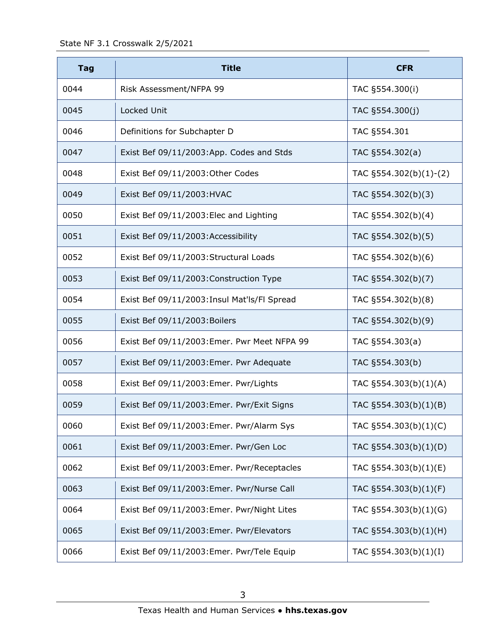| <b>Tag</b> | <b>Title</b>                                 | <b>CFR</b>                |
|------------|----------------------------------------------|---------------------------|
| 0044       | Risk Assessment/NFPA 99                      | TAC §554.300(i)           |
| 0045       | Locked Unit                                  | TAC §554.300(j)           |
| 0046       | Definitions for Subchapter D                 | TAC §554.301              |
| 0047       | Exist Bef 09/11/2003:App. Codes and Stds     | TAC §554.302(a)           |
| 0048       | Exist Bef 09/11/2003: Other Codes            | TAC $\S554.302(b)(1)-(2)$ |
| 0049       | Exist Bef 09/11/2003: HVAC                   | TAC §554.302(b)(3)        |
| 0050       | Exist Bef 09/11/2003: Elec and Lighting      | TAC §554.302(b)(4)        |
| 0051       | Exist Bef 09/11/2003: Accessibility          | TAC §554.302(b)(5)        |
| 0052       | Exist Bef 09/11/2003: Structural Loads       | TAC §554.302(b)(6)        |
| 0053       | Exist Bef 09/11/2003: Construction Type      | TAC §554.302(b)(7)        |
| 0054       | Exist Bef 09/11/2003: Insul Mat'ls/Fl Spread | TAC §554.302(b)(8)        |
| 0055       | Exist Bef 09/11/2003: Boilers                | TAC §554.302(b)(9)        |
| 0056       | Exist Bef 09/11/2003: Emer. Pwr Meet NFPA 99 | TAC §554.303(a)           |
| 0057       | Exist Bef 09/11/2003: Emer. Pwr Adequate     | TAC §554.303(b)           |
| 0058       | Exist Bef 09/11/2003: Emer. Pwr/Lights       | TAC §554.303(b)(1)(A)     |
| 0059       | Exist Bef 09/11/2003: Emer. Pwr/Exit Signs   | TAC §554.303(b)(1)(B)     |
| 0060       | Exist Bef 09/11/2003: Emer. Pwr/Alarm Sys    | TAC §554.303(b)(1)(C)     |
| 0061       | Exist Bef 09/11/2003: Emer. Pwr/Gen Loc      | TAC §554.303(b)(1)(D)     |
| 0062       | Exist Bef 09/11/2003: Emer. Pwr/Receptacles  | TAC §554.303(b)(1)(E)     |
| 0063       | Exist Bef 09/11/2003: Emer. Pwr/Nurse Call   | TAC §554.303(b)(1)(F)     |
| 0064       | Exist Bef 09/11/2003: Emer. Pwr/Night Lites  | TAC §554.303(b)(1)(G)     |
| 0065       | Exist Bef 09/11/2003: Emer. Pwr/Elevators    | TAC §554.303(b)(1)(H)     |
| 0066       | Exist Bef 09/11/2003: Emer. Pwr/Tele Equip   | TAC §554.303(b)(1)(I)     |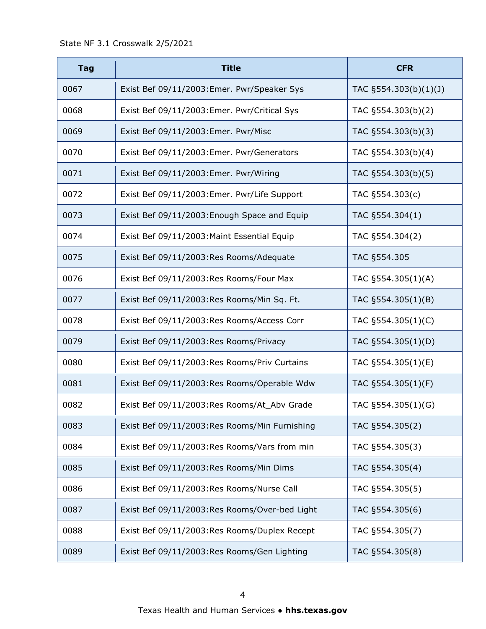| <b>Tag</b> | <b>Title</b>                                  | <b>CFR</b>            |
|------------|-----------------------------------------------|-----------------------|
| 0067       | Exist Bef 09/11/2003: Emer. Pwr/Speaker Sys   | TAC §554.303(b)(1)(J) |
| 0068       | Exist Bef 09/11/2003: Emer. Pwr/Critical Sys  | TAC §554.303(b)(2)    |
| 0069       | Exist Bef 09/11/2003: Emer. Pwr/Misc          | TAC §554.303(b)(3)    |
| 0070       | Exist Bef 09/11/2003: Emer. Pwr/Generators    | TAC §554.303(b)(4)    |
| 0071       | Exist Bef 09/11/2003: Emer. Pwr/Wiring        | TAC §554.303(b)(5)    |
| 0072       | Exist Bef 09/11/2003: Emer. Pwr/Life Support  | TAC §554.303(c)       |
| 0073       | Exist Bef 09/11/2003: Enough Space and Equip  | TAC §554.304(1)       |
| 0074       | Exist Bef 09/11/2003: Maint Essential Equip   | TAC §554.304(2)       |
| 0075       | Exist Bef 09/11/2003:Res Rooms/Adequate       | TAC §554.305          |
| 0076       | Exist Bef 09/11/2003:Res Rooms/Four Max       | TAC §554.305(1)(A)    |
| 0077       | Exist Bef 09/11/2003:Res Rooms/Min Sq. Ft.    | TAC §554.305(1)(B)    |
| 0078       | Exist Bef 09/11/2003:Res Rooms/Access Corr    | TAC §554.305(1)(C)    |
| 0079       | Exist Bef 09/11/2003:Res Rooms/Privacy        | TAC §554.305(1)(D)    |
| 0080       | Exist Bef 09/11/2003:Res Rooms/Priv Curtains  | TAC §554.305(1)(E)    |
| 0081       | Exist Bef 09/11/2003:Res Rooms/Operable Wdw   | TAC §554.305(1)(F)    |
| 0082       | Exist Bef 09/11/2003:Res Rooms/At_Abv Grade   | TAC §554.305(1)(G)    |
| 0083       | Exist Bef 09/11/2003:Res Rooms/Min Furnishing | TAC §554.305(2)       |
| 0084       | Exist Bef 09/11/2003:Res Rooms/Vars from min  | TAC §554.305(3)       |
| 0085       | Exist Bef 09/11/2003:Res Rooms/Min Dims       | TAC §554.305(4)       |
| 0086       | Exist Bef 09/11/2003:Res Rooms/Nurse Call     | TAC §554.305(5)       |
| 0087       | Exist Bef 09/11/2003:Res Rooms/Over-bed Light | TAC §554.305(6)       |
| 0088       | Exist Bef 09/11/2003:Res Rooms/Duplex Recept  | TAC §554.305(7)       |
| 0089       | Exist Bef 09/11/2003:Res Rooms/Gen Lighting   | TAC §554.305(8)       |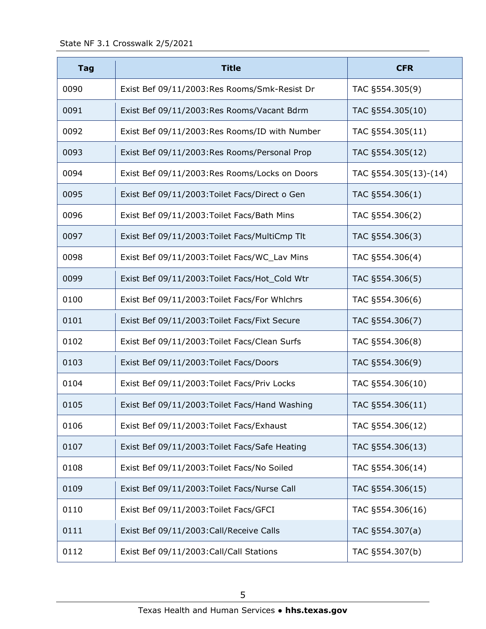| <b>Tag</b> | <b>Title</b>                                   | <b>CFR</b>            |
|------------|------------------------------------------------|-----------------------|
| 0090       | Exist Bef 09/11/2003:Res Rooms/Smk-Resist Dr   | TAC §554.305(9)       |
| 0091       | Exist Bef 09/11/2003:Res Rooms/Vacant Bdrm     | TAC §554.305(10)      |
| 0092       | Exist Bef 09/11/2003:Res Rooms/ID with Number  | TAC §554.305(11)      |
| 0093       | Exist Bef 09/11/2003:Res Rooms/Personal Prop   | TAC §554.305(12)      |
| 0094       | Exist Bef 09/11/2003:Res Rooms/Locks on Doors  | TAC §554.305(13)-(14) |
| 0095       | Exist Bef 09/11/2003: Toilet Facs/Direct o Gen | TAC §554.306(1)       |
| 0096       | Exist Bef 09/11/2003: Toilet Facs/Bath Mins    | TAC §554.306(2)       |
| 0097       | Exist Bef 09/11/2003: Toilet Facs/MultiCmp Tlt | TAC §554.306(3)       |
| 0098       | Exist Bef 09/11/2003: Toilet Facs/WC_Lav Mins  | TAC §554.306(4)       |
| 0099       | Exist Bef 09/11/2003: Toilet Facs/Hot_Cold Wtr | TAC §554.306(5)       |
| 0100       | Exist Bef 09/11/2003: Toilet Facs/For Whlchrs  | TAC §554.306(6)       |
| 0101       | Exist Bef 09/11/2003: Toilet Facs/Fixt Secure  | TAC §554.306(7)       |
| 0102       | Exist Bef 09/11/2003: Toilet Facs/Clean Surfs  | TAC §554.306(8)       |
| 0103       | Exist Bef 09/11/2003: Toilet Facs/Doors        | TAC §554.306(9)       |
| 0104       | Exist Bef 09/11/2003: Toilet Facs/Priv Locks   | TAC §554.306(10)      |
| 0105       | Exist Bef 09/11/2003: Toilet Facs/Hand Washing | TAC §554.306(11)      |
| 0106       | Exist Bef 09/11/2003: Toilet Facs/Exhaust      | TAC §554.306(12)      |
| 0107       | Exist Bef 09/11/2003: Toilet Facs/Safe Heating | TAC §554.306(13)      |
| 0108       | Exist Bef 09/11/2003: Toilet Facs/No Soiled    | TAC §554.306(14)      |
| 0109       | Exist Bef 09/11/2003: Toilet Facs/Nurse Call   | TAC §554.306(15)      |
| 0110       | Exist Bef 09/11/2003: Toilet Facs/GFCI         | TAC §554.306(16)      |
| 0111       | Exist Bef 09/11/2003: Call/Receive Calls       | TAC §554.307(a)       |
| 0112       | Exist Bef 09/11/2003: Call/Call Stations       | TAC §554.307(b)       |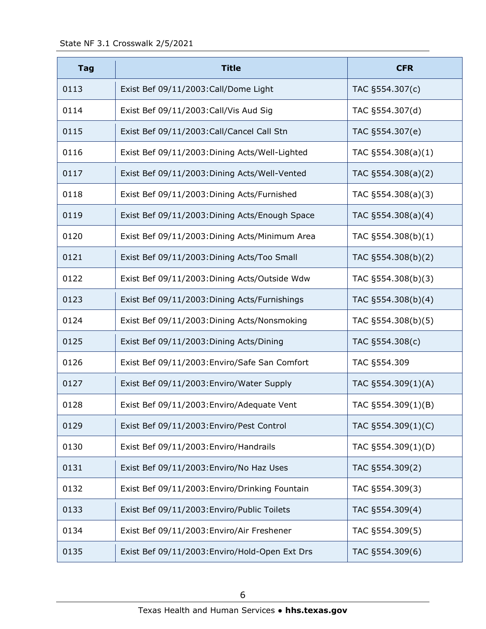| <b>Tag</b> | <b>Title</b>                                   | <b>CFR</b>           |
|------------|------------------------------------------------|----------------------|
| 0113       | Exist Bef 09/11/2003: Call/Dome Light          | TAC §554.307(c)      |
| 0114       | Exist Bef 09/11/2003: Call/Vis Aud Sig         | TAC §554.307(d)      |
| 0115       | Exist Bef 09/11/2003: Call/Cancel Call Stn     | TAC §554.307(e)      |
| 0116       | Exist Bef 09/11/2003: Dining Acts/Well-Lighted | TAC $§554.308(a)(1)$ |
| 0117       | Exist Bef 09/11/2003: Dining Acts/Well-Vented  | TAC §554.308(a)(2)   |
| 0118       | Exist Bef 09/11/2003: Dining Acts/Furnished    | TAC §554.308(a)(3)   |
| 0119       | Exist Bef 09/11/2003: Dining Acts/Enough Space | TAC §554.308(a)(4)   |
| 0120       | Exist Bef 09/11/2003: Dining Acts/Minimum Area | TAC §554.308(b)(1)   |
| 0121       | Exist Bef 09/11/2003: Dining Acts/Too Small    | TAC §554.308(b)(2)   |
| 0122       | Exist Bef 09/11/2003: Dining Acts/Outside Wdw  | TAC §554.308(b)(3)   |
| 0123       | Exist Bef 09/11/2003: Dining Acts/Furnishings  | TAC §554.308(b)(4)   |
| 0124       | Exist Bef 09/11/2003: Dining Acts/Nonsmoking   | TAC §554.308(b)(5)   |
| 0125       | Exist Bef 09/11/2003: Dining Acts/Dining       | TAC §554.308(c)      |
| 0126       | Exist Bef 09/11/2003: Enviro/Safe San Comfort  | TAC §554.309         |
| 0127       | Exist Bef 09/11/2003: Enviro/Water Supply      | TAC §554.309(1)(A)   |
| 0128       | Exist Bef 09/11/2003: Enviro/Adequate Vent     | TAC §554.309(1)(B)   |
| 0129       | Exist Bef 09/11/2003: Enviro/Pest Control      | TAC §554.309(1)(C)   |
| 0130       | Exist Bef 09/11/2003: Enviro/Handrails         | TAC §554.309(1)(D)   |
| 0131       | Exist Bef 09/11/2003: Enviro/No Haz Uses       | TAC §554.309(2)      |
| 0132       | Exist Bef 09/11/2003: Enviro/Drinking Fountain | TAC §554.309(3)      |
| 0133       | Exist Bef 09/11/2003: Enviro/Public Toilets    | TAC §554.309(4)      |
| 0134       | Exist Bef 09/11/2003: Enviro/Air Freshener     | TAC §554.309(5)      |
| 0135       | Exist Bef 09/11/2003: Enviro/Hold-Open Ext Drs | TAC §554.309(6)      |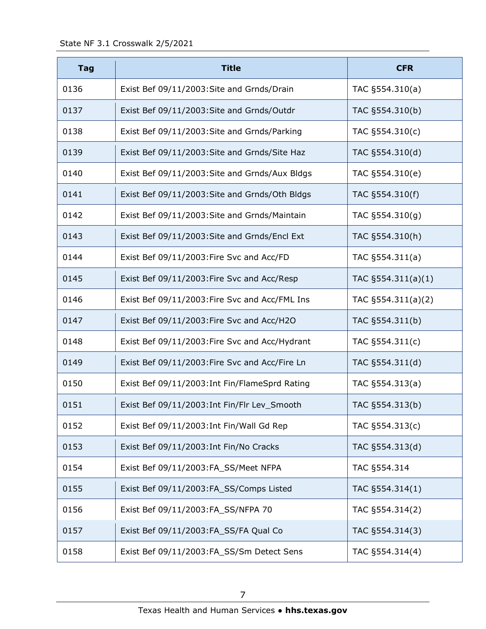| <b>Tag</b> | <b>Title</b>                                   | <b>CFR</b>            |
|------------|------------------------------------------------|-----------------------|
| 0136       | Exist Bef 09/11/2003: Site and Grnds/Drain     | TAC §554.310(a)       |
| 0137       | Exist Bef 09/11/2003: Site and Grnds/Outdr     | TAC §554.310(b)       |
| 0138       | Exist Bef 09/11/2003: Site and Grnds/Parking   | TAC §554.310(c)       |
| 0139       | Exist Bef 09/11/2003: Site and Grnds/Site Haz  | TAC §554.310(d)       |
| 0140       | Exist Bef 09/11/2003: Site and Grnds/Aux Bldgs | TAC §554.310(e)       |
| 0141       | Exist Bef 09/11/2003: Site and Grnds/Oth Bldgs | TAC §554.310(f)       |
| 0142       | Exist Bef 09/11/2003: Site and Grnds/Maintain  | TAC §554.310(g)       |
| 0143       | Exist Bef 09/11/2003: Site and Grnds/Encl Ext  | TAC §554.310(h)       |
| 0144       | Exist Bef 09/11/2003: Fire Svc and Acc/FD      | TAC §554.311(a)       |
| 0145       | Exist Bef 09/11/2003: Fire Svc and Acc/Resp    | TAC $§554.311(a)(1)$  |
| 0146       | Exist Bef 09/11/2003: Fire Svc and Acc/FML Ins | TAC $\S554.311(a)(2)$ |
| 0147       | Exist Bef 09/11/2003: Fire Svc and Acc/H2O     | TAC §554.311(b)       |
| 0148       | Exist Bef 09/11/2003: Fire Svc and Acc/Hydrant | TAC §554.311(c)       |
| 0149       | Exist Bef 09/11/2003: Fire Svc and Acc/Fire Ln | TAC §554.311(d)       |
| 0150       | Exist Bef 09/11/2003: Int Fin/FlameSprd Rating | TAC §554.313(a)       |
| 0151       | Exist Bef 09/11/2003: Int Fin/Flr Lev_Smooth   | TAC §554.313(b)       |
| 0152       | Exist Bef 09/11/2003: Int Fin/Wall Gd Rep      | TAC §554.313(c)       |
| 0153       | Exist Bef 09/11/2003: Int Fin/No Cracks        | TAC §554.313(d)       |
| 0154       | Exist Bef 09/11/2003:FA_SS/Meet NFPA           | TAC §554.314          |
| 0155       | Exist Bef 09/11/2003:FA_SS/Comps Listed        | TAC §554.314(1)       |
| 0156       | Exist Bef 09/11/2003:FA_SS/NFPA 70             | TAC §554.314(2)       |
| 0157       | Exist Bef 09/11/2003:FA_SS/FA Qual Co          | TAC §554.314(3)       |
| 0158       | Exist Bef 09/11/2003:FA_SS/Sm Detect Sens      | TAC §554.314(4)       |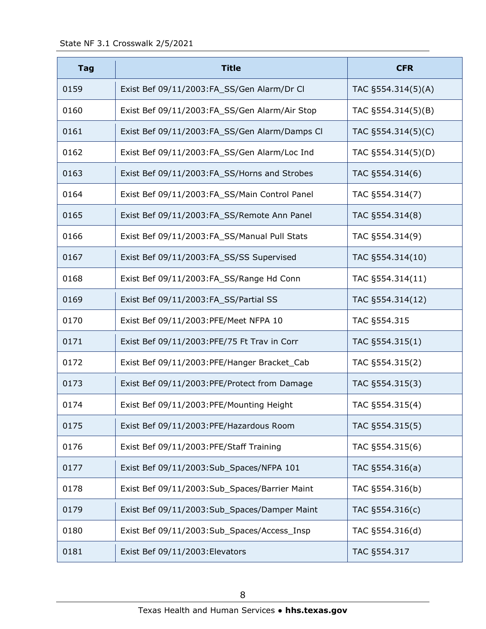| <b>Tag</b> | <b>Title</b>                                  | <b>CFR</b>         |
|------------|-----------------------------------------------|--------------------|
| 0159       | Exist Bef 09/11/2003:FA_SS/Gen Alarm/Dr Cl    | TAC §554.314(5)(A) |
| 0160       | Exist Bef 09/11/2003:FA_SS/Gen Alarm/Air Stop | TAC §554.314(5)(B) |
| 0161       | Exist Bef 09/11/2003:FA_SS/Gen Alarm/Damps Cl | TAC §554.314(5)(C) |
| 0162       | Exist Bef 09/11/2003:FA_SS/Gen Alarm/Loc Ind  | TAC §554.314(5)(D) |
| 0163       | Exist Bef 09/11/2003:FA_SS/Horns and Strobes  | TAC §554.314(6)    |
| 0164       | Exist Bef 09/11/2003:FA_SS/Main Control Panel | TAC §554.314(7)    |
| 0165       | Exist Bef 09/11/2003:FA_SS/Remote Ann Panel   | TAC §554.314(8)    |
| 0166       | Exist Bef 09/11/2003:FA SS/Manual Pull Stats  | TAC §554.314(9)    |
| 0167       | Exist Bef 09/11/2003:FA_SS/SS Supervised      | TAC §554.314(10)   |
| 0168       | Exist Bef 09/11/2003:FA_SS/Range Hd Conn      | TAC §554.314(11)   |
| 0169       | Exist Bef 09/11/2003:FA_SS/Partial SS         | TAC §554.314(12)   |
| 0170       | Exist Bef 09/11/2003: PFE/Meet NFPA 10        | TAC §554.315       |
| 0171       | Exist Bef 09/11/2003: PFE/75 Ft Trav in Corr  | TAC §554.315(1)    |
| 0172       | Exist Bef 09/11/2003: PFE/Hanger Bracket_Cab  | TAC §554.315(2)    |
| 0173       | Exist Bef 09/11/2003:PFE/Protect from Damage  | TAC §554.315(3)    |
| 0174       | Exist Bef 09/11/2003:PFE/Mounting Height      | TAC §554.315(4)    |
| 0175       | Exist Bef 09/11/2003:PFE/Hazardous Room       | TAC §554.315(5)    |
| 0176       | Exist Bef 09/11/2003:PFE/Staff Training       | TAC §554.315(6)    |
| 0177       | Exist Bef 09/11/2003:Sub_Spaces/NFPA 101      | TAC §554.316(a)    |
| 0178       | Exist Bef 09/11/2003:Sub Spaces/Barrier Maint | TAC §554.316(b)    |
| 0179       | Exist Bef 09/11/2003:Sub_Spaces/Damper Maint  | TAC §554.316(c)    |
| 0180       | Exist Bef 09/11/2003:Sub_Spaces/Access_Insp   | TAC §554.316(d)    |
| 0181       | Exist Bef 09/11/2003: Elevators               | TAC §554.317       |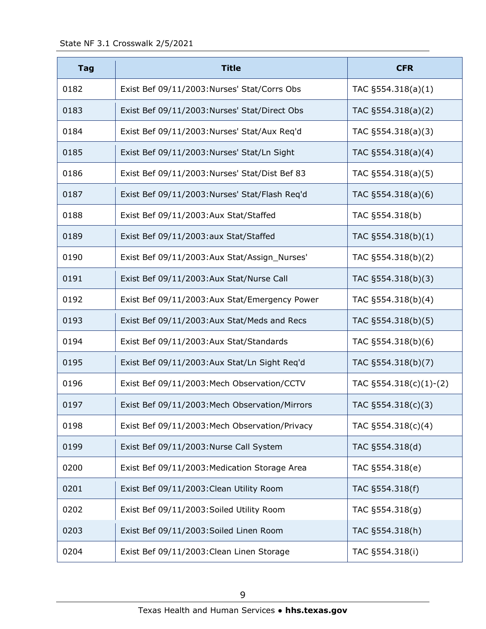| <b>Tag</b> | <b>Title</b>                                   | <b>CFR</b>             |
|------------|------------------------------------------------|------------------------|
| 0182       | Exist Bef 09/11/2003:Nurses' Stat/Corrs Obs    | TAC $\S554.318(a)(1)$  |
| 0183       | Exist Bef 09/11/2003: Nurses' Stat/Direct Obs  | TAC §554.318(a)(2)     |
| 0184       | Exist Bef 09/11/2003:Nurses' Stat/Aux Req'd    | TAC §554.318(a)(3)     |
| 0185       | Exist Bef 09/11/2003:Nurses' Stat/Ln Sight     | TAC §554.318(a)(4)     |
| 0186       | Exist Bef 09/11/2003:Nurses' Stat/Dist Bef 83  | TAC §554.318(a)(5)     |
| 0187       | Exist Bef 09/11/2003:Nurses' Stat/Flash Req'd  | TAC §554.318(a)(6)     |
| 0188       | Exist Bef 09/11/2003:Aux Stat/Staffed          | TAC §554.318(b)        |
| 0189       | Exist Bef 09/11/2003:aux Stat/Staffed          | TAC §554.318(b)(1)     |
| 0190       | Exist Bef 09/11/2003:Aux Stat/Assign_Nurses'   | TAC §554.318(b)(2)     |
| 0191       | Exist Bef 09/11/2003:Aux Stat/Nurse Call       | TAC §554.318(b)(3)     |
| 0192       | Exist Bef 09/11/2003:Aux Stat/Emergency Power  | TAC §554.318(b)(4)     |
| 0193       | Exist Bef 09/11/2003:Aux Stat/Meds and Recs    | TAC §554.318(b)(5)     |
| 0194       | Exist Bef 09/11/2003:Aux Stat/Standards        | TAC §554.318(b)(6)     |
| 0195       | Exist Bef 09/11/2003:Aux Stat/Ln Sight Req'd   | TAC §554.318(b)(7)     |
| 0196       | Exist Bef 09/11/2003: Mech Observation/CCTV    | TAC §554.318(c)(1)-(2) |
| 0197       | Exist Bef 09/11/2003: Mech Observation/Mirrors | TAC §554.318(c)(3)     |
| 0198       | Exist Bef 09/11/2003: Mech Observation/Privacy | TAC §554.318(c)(4)     |
| 0199       | Exist Bef 09/11/2003: Nurse Call System        | TAC §554.318(d)        |
| 0200       | Exist Bef 09/11/2003: Medication Storage Area  | TAC §554.318(e)        |
| 0201       | Exist Bef 09/11/2003: Clean Utility Room       | TAC §554.318(f)        |
| 0202       | Exist Bef 09/11/2003: Soiled Utility Room      | TAC §554.318(g)        |
| 0203       | Exist Bef 09/11/2003: Soiled Linen Room        | TAC §554.318(h)        |
| 0204       | Exist Bef 09/11/2003: Clean Linen Storage      | TAC §554.318(i)        |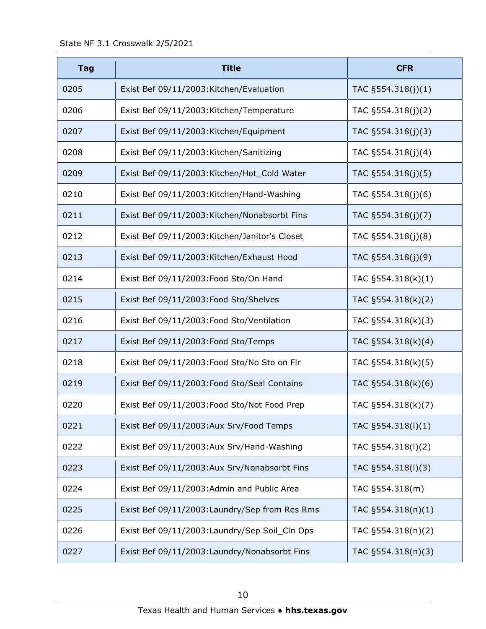| <b>Tag</b> | <b>Title</b>                                   | <b>CFR</b>            |
|------------|------------------------------------------------|-----------------------|
| 0205       | Exist Bef 09/11/2003: Kitchen/Evaluation       | TAC $\S554.318(j)(1)$ |
| 0206       | Exist Bef 09/11/2003: Kitchen/Temperature      | TAC §554.318(j)(2)    |
| 0207       | Exist Bef 09/11/2003: Kitchen/Equipment        | TAC §554.318(j)(3)    |
| 0208       | Exist Bef 09/11/2003: Kitchen/Sanitizing       | TAC §554.318(j)(4)    |
| 0209       | Exist Bef 09/11/2003: Kitchen/Hot_Cold Water   | TAC §554.318(j)(5)    |
| 0210       | Exist Bef 09/11/2003: Kitchen/Hand-Washing     | TAC §554.318(j)(6)    |
| 0211       | Exist Bef 09/11/2003: Kitchen/Nonabsorbt Fins  | TAC §554.318(j)(7)    |
| 0212       | Exist Bef 09/11/2003: Kitchen/Janitor's Closet | TAC §554.318(j)(8)    |
| 0213       | Exist Bef 09/11/2003: Kitchen/Exhaust Hood     | TAC §554.318(j)(9)    |
| 0214       | Exist Bef 09/11/2003: Food Sto/On Hand         | TAC §554.318(k)(1)    |
| 0215       | Exist Bef 09/11/2003: Food Sto/Shelves         | TAC §554.318(k)(2)    |
| 0216       | Exist Bef 09/11/2003: Food Sto/Ventilation     | TAC §554.318(k)(3)    |
| 0217       | Exist Bef 09/11/2003: Food Sto/Temps           | TAC §554.318(k)(4)    |
| 0218       | Exist Bef 09/11/2003: Food Sto/No Sto on Flr   | TAC §554.318(k)(5)    |
| 0219       | Exist Bef 09/11/2003: Food Sto/Seal Contains   | TAC §554.318(k)(6)    |
| 0220       | Exist Bef 09/11/2003: Food Sto/Not Food Prep   | TAC §554.318(k)(7)    |
| 0221       | Exist Bef 09/11/2003:Aux Srv/Food Temps        | TAC §554.318(I)(1)    |
| 0222       | Exist Bef 09/11/2003:Aux Srv/Hand-Washing      | TAC §554.318(I)(2)    |
| 0223       | Exist Bef 09/11/2003:Aux Srv/Nonabsorbt Fins   | TAC §554.318(I)(3)    |
| 0224       | Exist Bef 09/11/2003:Admin and Public Area     | TAC §554.318(m)       |
| 0225       | Exist Bef 09/11/2003: Laundry/Sep from Res Rms | TAC §554.318(n)(1)    |
| 0226       | Exist Bef 09/11/2003: Laundry/Sep Soil_Cln Ops | TAC §554.318(n)(2)    |
| 0227       | Exist Bef 09/11/2003: Laundry/Nonabsorbt Fins  | TAC §554.318(n)(3)    |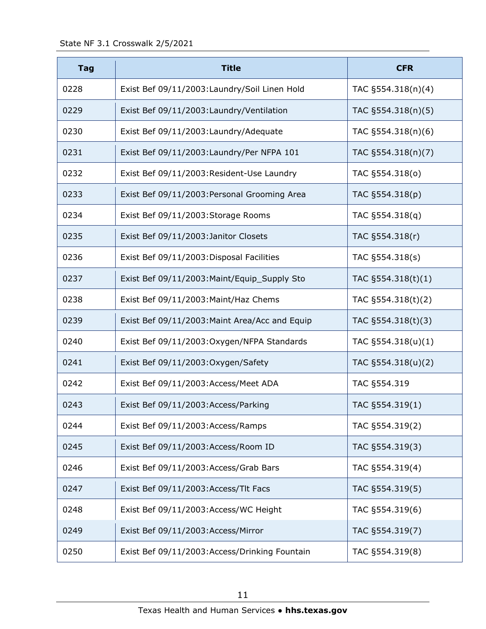| <b>Tag</b> | <b>Title</b>                                   | <b>CFR</b>            |
|------------|------------------------------------------------|-----------------------|
| 0228       | Exist Bef 09/11/2003: Laundry/Soil Linen Hold  | TAC §554.318(n)(4)    |
| 0229       | Exist Bef 09/11/2003: Laundry/Ventilation      | TAC §554.318(n)(5)    |
| 0230       | Exist Bef 09/11/2003: Laundry/Adequate         | TAC §554.318(n)(6)    |
| 0231       | Exist Bef 09/11/2003: Laundry/Per NFPA 101     | TAC §554.318(n)(7)    |
| 0232       | Exist Bef 09/11/2003: Resident-Use Laundry     | TAC §554.318(0)       |
| 0233       | Exist Bef 09/11/2003: Personal Grooming Area   | TAC §554.318(p)       |
| 0234       | Exist Bef 09/11/2003: Storage Rooms            | TAC §554.318(q)       |
| 0235       | Exist Bef 09/11/2003: Janitor Closets          | TAC §554.318(r)       |
| 0236       | Exist Bef 09/11/2003: Disposal Facilities      | TAC §554.318(s)       |
| 0237       | Exist Bef 09/11/2003: Maint/Equip_Supply Sto   | TAC §554.318(t)(1)    |
| 0238       | Exist Bef 09/11/2003: Maint/Haz Chems          | TAC §554.318(t)(2)    |
| 0239       | Exist Bef 09/11/2003: Maint Area/Acc and Equip | TAC §554.318(t)(3)    |
| 0240       | Exist Bef 09/11/2003: Oxygen/NFPA Standards    | TAC $\S554.318(u)(1)$ |
| 0241       | Exist Bef 09/11/2003: Oxygen/Safety            | TAC §554.318(u)(2)    |
| 0242       | Exist Bef 09/11/2003: Access/Meet ADA          | TAC §554.319          |
| 0243       | Exist Bef 09/11/2003: Access/Parking           | TAC §554.319(1)       |
| 0244       | Exist Bef 09/11/2003:Access/Ramps              | TAC §554.319(2)       |
| 0245       | Exist Bef 09/11/2003:Access/Room ID            | TAC §554.319(3)       |
| 0246       | Exist Bef 09/11/2003: Access/Grab Bars         | TAC §554.319(4)       |
| 0247       | Exist Bef 09/11/2003:Access/Tlt Facs           | TAC §554.319(5)       |
| 0248       | Exist Bef 09/11/2003:Access/WC Height          | TAC §554.319(6)       |
| 0249       | Exist Bef 09/11/2003:Access/Mirror             | TAC §554.319(7)       |
| 0250       | Exist Bef 09/11/2003:Access/Drinking Fountain  | TAC §554.319(8)       |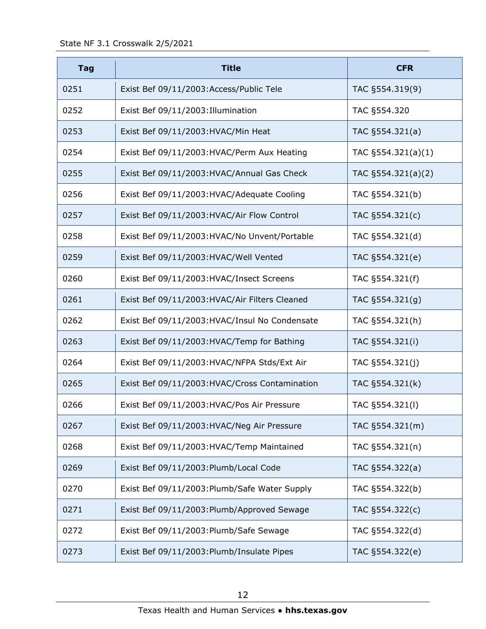| <b>Tag</b> | <b>Title</b>                                   | <b>CFR</b>            |
|------------|------------------------------------------------|-----------------------|
| 0251       | Exist Bef 09/11/2003: Access/Public Tele       | TAC §554.319(9)       |
| 0252       | Exist Bef 09/11/2003: Illumination             | TAC §554.320          |
| 0253       | Exist Bef 09/11/2003: HVAC/Min Heat            | TAC §554.321(a)       |
| 0254       | Exist Bef 09/11/2003:HVAC/Perm Aux Heating     | TAC $\S554.321(a)(1)$ |
| 0255       | Exist Bef 09/11/2003: HVAC/Annual Gas Check    | TAC $\S554.321(a)(2)$ |
| 0256       | Exist Bef 09/11/2003: HVAC/Adequate Cooling    | TAC §554.321(b)       |
| 0257       | Exist Bef 09/11/2003: HVAC/Air Flow Control    | TAC §554.321(c)       |
| 0258       | Exist Bef 09/11/2003: HVAC/No Unvent/Portable  | TAC §554.321(d)       |
| 0259       | Exist Bef 09/11/2003:HVAC/Well Vented          | TAC §554.321(e)       |
| 0260       | Exist Bef 09/11/2003: HVAC/Insect Screens      | TAC §554.321(f)       |
| 0261       | Exist Bef 09/11/2003: HVAC/Air Filters Cleaned | TAC §554.321(g)       |
| 0262       | Exist Bef 09/11/2003: HVAC/Insul No Condensate | TAC §554.321(h)       |
| 0263       | Exist Bef 09/11/2003: HVAC/Temp for Bathing    | TAC §554.321(i)       |
| 0264       | Exist Bef 09/11/2003: HVAC/NFPA Stds/Ext Air   | TAC §554.321(j)       |
| 0265       | Exist Bef 09/11/2003: HVAC/Cross Contamination | TAC §554.321(k)       |
| 0266       | Exist Bef 09/11/2003: HVAC/Pos Air Pressure    | TAC §554.321(I)       |
| 0267       | Exist Bef 09/11/2003: HVAC/Neg Air Pressure    | TAC §554.321(m)       |
| 0268       | Exist Bef 09/11/2003: HVAC/Temp Maintained     | TAC §554.321(n)       |
| 0269       | Exist Bef 09/11/2003: Plumb/Local Code         | TAC §554.322(a)       |
| 0270       | Exist Bef 09/11/2003: Plumb/Safe Water Supply  | TAC §554.322(b)       |
| 0271       | Exist Bef 09/11/2003: Plumb/Approved Sewage    | TAC §554.322(c)       |
| 0272       | Exist Bef 09/11/2003: Plumb/Safe Sewage        | TAC §554.322(d)       |
| 0273       | Exist Bef 09/11/2003: Plumb/Insulate Pipes     | TAC §554.322(e)       |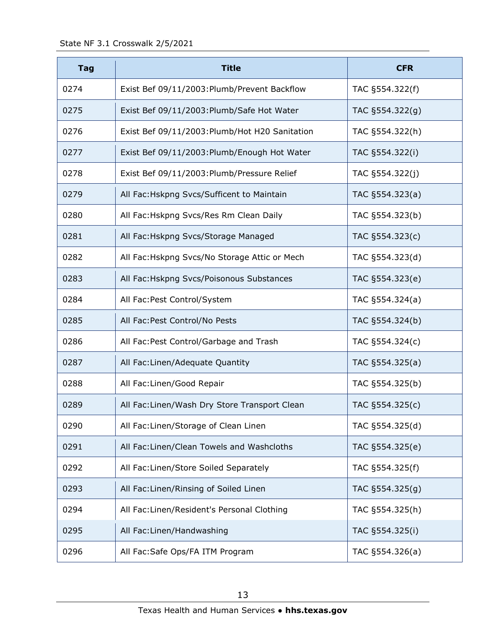| <b>Tag</b> | <b>Title</b>                                   | <b>CFR</b>      |
|------------|------------------------------------------------|-----------------|
| 0274       | Exist Bef 09/11/2003: Plumb/Prevent Backflow   | TAC §554.322(f) |
| 0275       | Exist Bef 09/11/2003: Plumb/Safe Hot Water     | TAC §554.322(g) |
| 0276       | Exist Bef 09/11/2003: Plumb/Hot H20 Sanitation | TAC §554.322(h) |
| 0277       | Exist Bef 09/11/2003: Plumb/Enough Hot Water   | TAC §554.322(i) |
| 0278       | Exist Bef 09/11/2003: Plumb/Pressure Relief    | TAC §554.322(j) |
| 0279       | All Fac: Hskpng Svcs/Sufficent to Maintain     | TAC §554.323(a) |
| 0280       | All Fac: Hskpng Svcs/Res Rm Clean Daily        | TAC §554.323(b) |
| 0281       | All Fac: Hskpng Svcs/Storage Managed           | TAC §554.323(c) |
| 0282       | All Fac: Hskpng Svcs/No Storage Attic or Mech  | TAC §554.323(d) |
| 0283       | All Fac: Hskpng Svcs/Poisonous Substances      | TAC §554.323(e) |
| 0284       | All Fac: Pest Control/System                   | TAC §554.324(a) |
| 0285       | All Fac: Pest Control/No Pests                 | TAC §554.324(b) |
| 0286       | All Fac: Pest Control/Garbage and Trash        | TAC §554.324(c) |
| 0287       | All Fac: Linen/Adequate Quantity               | TAC §554.325(a) |
| 0288       | All Fac: Linen/Good Repair                     | TAC §554.325(b) |
| 0289       | All Fac: Linen/Wash Dry Store Transport Clean  | TAC §554.325(c) |
| 0290       | All Fac: Linen/Storage of Clean Linen          | TAC §554.325(d) |
| 0291       | All Fac:Linen/Clean Towels and Washcloths      | TAC §554.325(e) |
| 0292       | All Fac: Linen/Store Soiled Separately         | TAC §554.325(f) |
| 0293       | All Fac: Linen/Rinsing of Soiled Linen         | TAC §554.325(g) |
| 0294       | All Fac: Linen/Resident's Personal Clothing    | TAC §554.325(h) |
| 0295       | All Fac: Linen/Handwashing                     | TAC §554.325(i) |
| 0296       | All Fac: Safe Ops/FA ITM Program               | TAC §554.326(a) |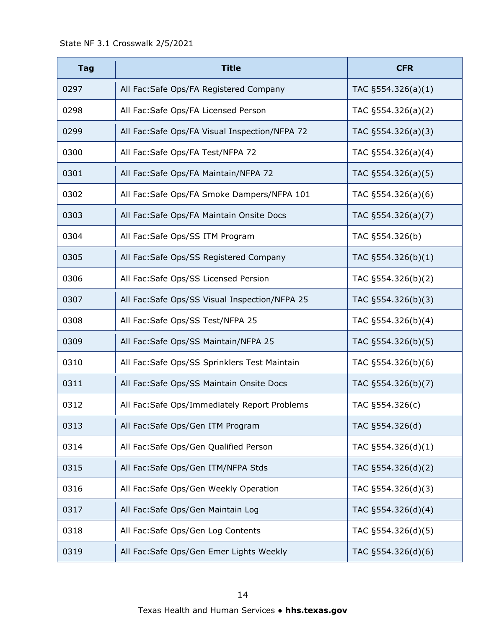| <b>Tag</b> | <b>Title</b>                                   | <b>CFR</b>            |
|------------|------------------------------------------------|-----------------------|
| 0297       | All Fac: Safe Ops/FA Registered Company        | TAC $\S554.326(a)(1)$ |
| 0298       | All Fac: Safe Ops/FA Licensed Person           | TAC §554.326(a)(2)    |
| 0299       | All Fac: Safe Ops/FA Visual Inspection/NFPA 72 | TAC §554.326(a)(3)    |
| 0300       | All Fac: Safe Ops/FA Test/NFPA 72              | TAC §554.326(a)(4)    |
| 0301       | All Fac: Safe Ops/FA Maintain/NFPA 72          | TAC §554.326(a)(5)    |
| 0302       | All Fac: Safe Ops/FA Smoke Dampers/NFPA 101    | TAC §554.326(a)(6)    |
| 0303       | All Fac: Safe Ops/FA Maintain Onsite Docs      | TAC §554.326(a)(7)    |
| 0304       | All Fac:Safe Ops/SS ITM Program                | TAC §554.326(b)       |
| 0305       | All Fac: Safe Ops/SS Registered Company        | TAC §554.326(b)(1)    |
| 0306       | All Fac: Safe Ops/SS Licensed Persion          | TAC §554.326(b)(2)    |
| 0307       | All Fac: Safe Ops/SS Visual Inspection/NFPA 25 | TAC §554.326(b)(3)    |
| 0308       | All Fac: Safe Ops/SS Test/NFPA 25              | TAC §554.326(b)(4)    |
| 0309       | All Fac:Safe Ops/SS Maintain/NFPA 25           | TAC §554.326(b)(5)    |
| 0310       | All Fac: Safe Ops/SS Sprinklers Test Maintain  | TAC §554.326(b)(6)    |
| 0311       | All Fac: Safe Ops/SS Maintain Onsite Docs      | TAC §554.326(b)(7)    |
| 0312       | All Fac: Safe Ops/Immediately Report Problems  | TAC §554.326(c)       |
| 0313       | All Fac: Safe Ops/Gen ITM Program              | TAC §554.326(d)       |
| 0314       | All Fac: Safe Ops/Gen Qualified Person         | TAC §554.326(d)(1)    |
| 0315       | All Fac: Safe Ops/Gen ITM/NFPA Stds            | TAC §554.326(d)(2)    |
| 0316       | All Fac: Safe Ops/Gen Weekly Operation         | TAC §554.326(d)(3)    |
| 0317       | All Fac: Safe Ops/Gen Maintain Log             | TAC §554.326(d)(4)    |
| 0318       | All Fac:Safe Ops/Gen Log Contents              | TAC §554.326(d)(5)    |
| 0319       | All Fac: Safe Ops/Gen Emer Lights Weekly       | TAC §554.326(d)(6)    |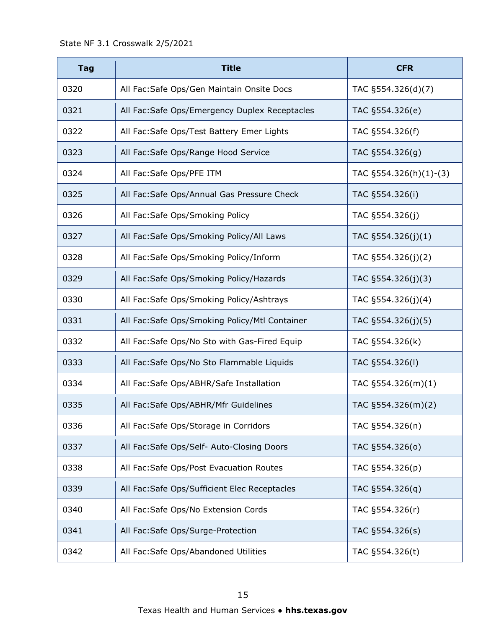| <b>Tag</b> | <b>Title</b>                                   | <b>CFR</b>                |
|------------|------------------------------------------------|---------------------------|
| 0320       | All Fac: Safe Ops/Gen Maintain Onsite Docs     | TAC §554.326(d)(7)        |
| 0321       | All Fac: Safe Ops/Emergency Duplex Receptacles | TAC §554.326(e)           |
| 0322       | All Fac: Safe Ops/Test Battery Emer Lights     | TAC §554.326(f)           |
| 0323       | All Fac: Safe Ops/Range Hood Service           | TAC §554.326(g)           |
| 0324       | All Fac: Safe Ops/PFE ITM                      | TAC $\S554.326(h)(1)-(3)$ |
| 0325       | All Fac: Safe Ops/Annual Gas Pressure Check    | TAC §554.326(i)           |
| 0326       | All Fac:Safe Ops/Smoking Policy                | TAC §554.326(j)           |
| 0327       | All Fac: Safe Ops/Smoking Policy/All Laws      | TAC §554.326(j)(1)        |
| 0328       | All Fac:Safe Ops/Smoking Policy/Inform         | TAC §554.326(j)(2)        |
| 0329       | All Fac: Safe Ops/Smoking Policy/Hazards       | TAC §554.326(j)(3)        |
| 0330       | All Fac: Safe Ops/Smoking Policy/Ashtrays      | TAC §554.326(j)(4)        |
| 0331       | All Fac:Safe Ops/Smoking Policy/Mtl Container  | TAC §554.326(j)(5)        |
| 0332       | All Fac: Safe Ops/No Sto with Gas-Fired Equip  | TAC §554.326(k)           |
| 0333       | All Fac: Safe Ops/No Sto Flammable Liquids     | TAC §554.326(I)           |
| 0334       | All Fac: Safe Ops/ABHR/Safe Installation       | TAC §554.326(m)(1)        |
| 0335       | All Fac: Safe Ops/ABHR/Mfr Guidelines          | TAC §554.326(m)(2)        |
| 0336       | All Fac: Safe Ops/Storage in Corridors         | TAC §554.326(n)           |
| 0337       | All Fac: Safe Ops/Self- Auto-Closing Doors     | TAC §554.326(0)           |
| 0338       | All Fac: Safe Ops/Post Evacuation Routes       | TAC §554.326(p)           |
| 0339       | All Fac: Safe Ops/Sufficient Elec Receptacles  | TAC §554.326(q)           |
| 0340       | All Fac: Safe Ops/No Extension Cords           | TAC §554.326(r)           |
| 0341       | All Fac: Safe Ops/Surge-Protection             | TAC §554.326(s)           |
| 0342       | All Fac: Safe Ops/Abandoned Utilities          | TAC §554.326(t)           |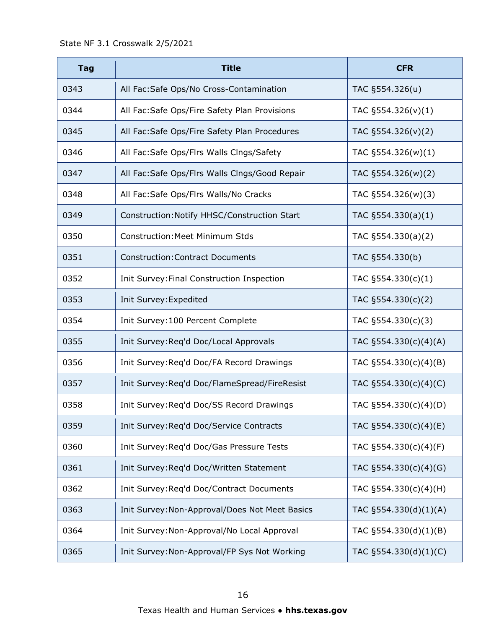| <b>Tag</b> | <b>Title</b>                                   | <b>CFR</b>               |
|------------|------------------------------------------------|--------------------------|
| 0343       | All Fac: Safe Ops/No Cross-Contamination       | TAC §554.326(u)          |
| 0344       | All Fac: Safe Ops/Fire Safety Plan Provisions  | TAC $\S554.326(v)(1)$    |
| 0345       | All Fac: Safe Ops/Fire Safety Plan Procedures  | TAC $\S554.326(v)(2)$    |
| 0346       | All Fac: Safe Ops/Flrs Walls Clngs/Safety      | TAC §554.326(w)(1)       |
| 0347       | All Fac: Safe Ops/Flrs Walls Clngs/Good Repair | TAC §554.326(w)(2)       |
| 0348       | All Fac:Safe Ops/Flrs Walls/No Cracks          | TAC §554.326(w)(3)       |
| 0349       | Construction: Notify HHSC/Construction Start   | TAC $\S554.330(a)(1)$    |
| 0350       | <b>Construction: Meet Minimum Stds</b>         | TAC $\S554.330(a)(2)$    |
| 0351       | <b>Construction: Contract Documents</b>        | TAC §554.330(b)          |
| 0352       | Init Survey: Final Construction Inspection     | TAC $\S554.330(c)(1)$    |
| 0353       | Init Survey: Expedited                         | TAC §554.330(c)(2)       |
| 0354       | Init Survey: 100 Percent Complete              | TAC $\S554.330(c)(3)$    |
| 0355       | Init Survey: Req'd Doc/Local Approvals         | TAC §554.330(c)(4)(A)    |
| 0356       | Init Survey: Req'd Doc/FA Record Drawings      | TAC §554.330(c)(4)(B)    |
| 0357       | Init Survey: Req'd Doc/FlameSpread/FireResist  | TAC $\S554.330(c)(4)(C)$ |
| 0358       | Init Survey: Req'd Doc/SS Record Drawings      | TAC §554.330(c)(4)(D)    |
| 0359       | Init Survey: Req'd Doc/Service Contracts       | TAC §554.330(c)(4)(E)    |
| 0360       | Init Survey: Req'd Doc/Gas Pressure Tests      | TAC §554.330(c)(4)(F)    |
| 0361       | Init Survey: Req'd Doc/Written Statement       | TAC §554.330(c)(4)(G)    |
| 0362       | Init Survey: Req'd Doc/Contract Documents      | TAC §554.330(c)(4)(H)    |
| 0363       | Init Survey: Non-Approval/Does Not Meet Basics | TAC §554.330(d)(1)(A)    |
| 0364       | Init Survey: Non-Approval/No Local Approval    | TAC §554.330(d)(1)(B)    |
| 0365       | Init Survey: Non-Approval/FP Sys Not Working   | TAC §554.330(d)(1)(C)    |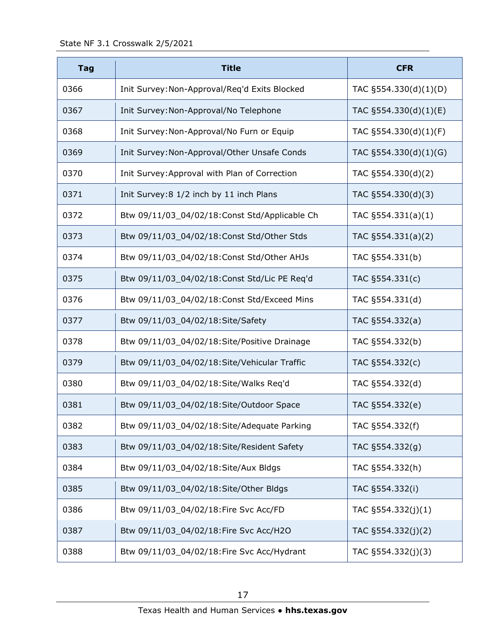| <b>Tag</b> | <b>Title</b>                                  | <b>CFR</b>               |
|------------|-----------------------------------------------|--------------------------|
| 0366       | Init Survey: Non-Approval/Req'd Exits Blocked | TAC §554.330(d)(1)(D)    |
| 0367       | Init Survey: Non-Approval/No Telephone        | TAC $\S554.330(d)(1)(E)$ |
| 0368       | Init Survey: Non-Approval/No Furn or Equip    | TAC §554.330(d)(1)(F)    |
| 0369       | Init Survey: Non-Approval/Other Unsafe Conds  | TAC §554.330(d)(1)(G)    |
| 0370       | Init Survey: Approval with Plan of Correction | TAC §554.330(d)(2)       |
| 0371       | Init Survey: 8 1/2 inch by 11 inch Plans      | TAC §554.330(d)(3)       |
| 0372       | Btw 09/11/03_04/02/18:Const Std/Applicable Ch | TAC $\S554.331(a)(1)$    |
| 0373       | Btw 09/11/03 04/02/18:Const Std/Other Stds    | TAC $§554.331(a)(2)$     |
| 0374       | Btw 09/11/03_04/02/18:Const Std/Other AHJs    | TAC §554.331(b)          |
| 0375       | Btw 09/11/03_04/02/18:Const Std/Lic PE Req'd  | TAC §554.331(c)          |
| 0376       | Btw 09/11/03_04/02/18:Const Std/Exceed Mins   | TAC §554.331(d)          |
| 0377       | Btw 09/11/03_04/02/18:Site/Safety             | TAC §554.332(a)          |
| 0378       | Btw 09/11/03_04/02/18:Site/Positive Drainage  | TAC §554.332(b)          |
| 0379       | Btw 09/11/03_04/02/18:Site/Vehicular Traffic  | TAC §554.332(c)          |
| 0380       | Btw 09/11/03_04/02/18:Site/Walks Req'd        | TAC §554.332(d)          |
| 0381       | Btw 09/11/03_04/02/18:Site/Outdoor Space      | TAC §554.332(e)          |
| 0382       | Btw 09/11/03_04/02/18:Site/Adequate Parking   | TAC §554.332(f)          |
| 0383       | Btw 09/11/03_04/02/18:Site/Resident Safety    | TAC §554.332(g)          |
| 0384       | Btw 09/11/03_04/02/18:Site/Aux Bldgs          | TAC §554.332(h)          |
| 0385       | Btw 09/11/03_04/02/18:Site/Other Bldgs        | TAC §554.332(i)          |
| 0386       | Btw 09/11/03_04/02/18:Fire Svc Acc/FD         | TAC §554.332(j)(1)       |
| 0387       | Btw 09/11/03_04/02/18:Fire Svc Acc/H2O        | TAC §554.332(j)(2)       |
| 0388       | Btw 09/11/03_04/02/18:Fire Svc Acc/Hydrant    | TAC §554.332(j)(3)       |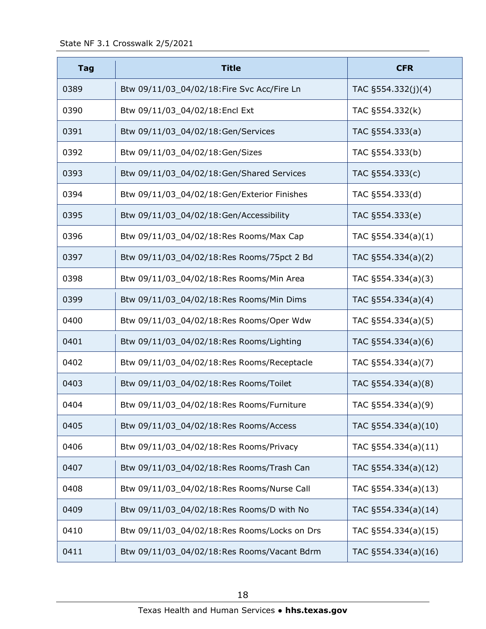| <b>Tag</b> | <b>Title</b>                                 | <b>CFR</b>            |
|------------|----------------------------------------------|-----------------------|
| 0389       | Btw 09/11/03_04/02/18:Fire Svc Acc/Fire Ln   | TAC §554.332(j)(4)    |
| 0390       | Btw 09/11/03_04/02/18:Encl Ext               | TAC §554.332(k)       |
| 0391       | Btw 09/11/03_04/02/18:Gen/Services           | TAC §554.333(a)       |
| 0392       | Btw 09/11/03 04/02/18:Gen/Sizes              | TAC §554.333(b)       |
| 0393       | Btw 09/11/03_04/02/18:Gen/Shared Services    | TAC §554.333(c)       |
| 0394       | Btw 09/11/03_04/02/18:Gen/Exterior Finishes  | TAC §554.333(d)       |
| 0395       | Btw 09/11/03_04/02/18:Gen/Accessibility      | TAC §554.333(e)       |
| 0396       | Btw 09/11/03_04/02/18:Res Rooms/Max Cap      | TAC $\S554.334(a)(1)$ |
| 0397       | Btw 09/11/03_04/02/18:Res Rooms/75pct 2 Bd   | TAC §554.334(a)(2)    |
| 0398       | Btw 09/11/03_04/02/18:Res Rooms/Min Area     | TAC §554.334(a)(3)    |
| 0399       | Btw 09/11/03_04/02/18:Res Rooms/Min Dims     | TAC §554.334(a)(4)    |
| 0400       | Btw 09/11/03_04/02/18:Res Rooms/Oper Wdw     | TAC §554.334(a)(5)    |
| 0401       | Btw 09/11/03_04/02/18:Res Rooms/Lighting     | TAC §554.334(a)(6)    |
| 0402       | Btw 09/11/03_04/02/18:Res Rooms/Receptacle   | TAC §554.334(a)(7)    |
| 0403       | Btw 09/11/03_04/02/18:Res Rooms/Toilet       | TAC §554.334(a)(8)    |
| 0404       | Btw 09/11/03_04/02/18:Res Rooms/Furniture    | TAC §554.334(a)(9)    |
| 0405       | Btw 09/11/03_04/02/18:Res Rooms/Access       | TAC §554.334(a)(10)   |
| 0406       | Btw 09/11/03_04/02/18:Res Rooms/Privacy      | TAC §554.334(a)(11)   |
| 0407       | Btw 09/11/03_04/02/18:Res Rooms/Trash Can    | TAC §554.334(a)(12)   |
| 0408       | Btw 09/11/03_04/02/18:Res Rooms/Nurse Call   | TAC §554.334(a)(13)   |
| 0409       | Btw 09/11/03_04/02/18:Res Rooms/D with No    | TAC §554.334(a)(14)   |
| 0410       | Btw 09/11/03_04/02/18:Res Rooms/Locks on Drs | TAC §554.334(a)(15)   |
| 0411       | Btw 09/11/03_04/02/18:Res Rooms/Vacant Bdrm  | TAC §554.334(a)(16)   |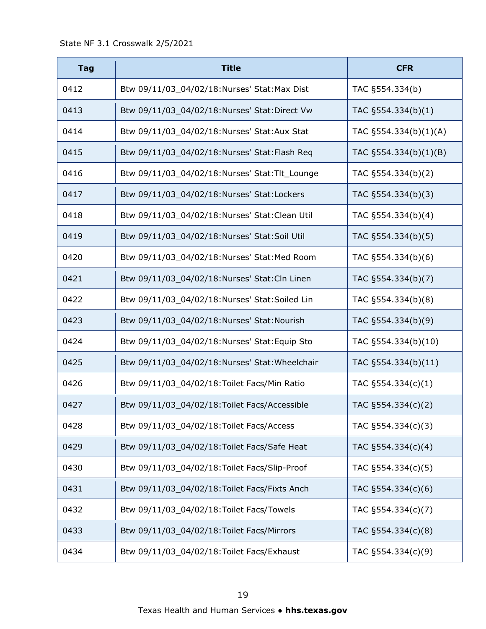| <b>Tag</b> | <b>Title</b>                                   | <b>CFR</b>            |
|------------|------------------------------------------------|-----------------------|
| 0412       | Btw 09/11/03_04/02/18:Nurses' Stat:Max Dist    | TAC §554.334(b)       |
| 0413       | Btw 09/11/03_04/02/18:Nurses' Stat:Direct Vw   | TAC §554.334(b)(1)    |
| 0414       | Btw 09/11/03_04/02/18:Nurses' Stat:Aux Stat    | TAC §554.334(b)(1)(A) |
| 0415       | Btw 09/11/03_04/02/18:Nurses' Stat:Flash Req   | TAC §554.334(b)(1)(B) |
| 0416       | Btw 09/11/03_04/02/18:Nurses' Stat:Tlt_Lounge  | TAC §554.334(b)(2)    |
| 0417       | Btw 09/11/03_04/02/18:Nurses' Stat:Lockers     | TAC §554.334(b)(3)    |
| 0418       | Btw 09/11/03_04/02/18:Nurses' Stat:Clean Util  | TAC §554.334(b)(4)    |
| 0419       | Btw 09/11/03_04/02/18:Nurses' Stat:Soil Util   | TAC §554.334(b)(5)    |
| 0420       | Btw 09/11/03_04/02/18:Nurses' Stat:Med Room    | TAC §554.334(b)(6)    |
| 0421       | Btw 09/11/03_04/02/18:Nurses' Stat:Cln Linen   | TAC §554.334(b)(7)    |
| 0422       | Btw 09/11/03_04/02/18:Nurses' Stat:Soiled Lin  | TAC §554.334(b)(8)    |
| 0423       | Btw 09/11/03_04/02/18:Nurses' Stat:Nourish     | TAC §554.334(b)(9)    |
| 0424       | Btw 09/11/03_04/02/18:Nurses' Stat:Equip Sto   | TAC §554.334(b)(10)   |
| 0425       | Btw 09/11/03_04/02/18:Nurses' Stat: Wheelchair | TAC §554.334(b)(11)   |
| 0426       | Btw 09/11/03_04/02/18: Toilet Facs/Min Ratio   | TAC §554.334(c)(1)    |
| 0427       | Btw 09/11/03_04/02/18: Toilet Facs/Accessible  | TAC §554.334(c)(2)    |
| 0428       | Btw 09/11/03_04/02/18: Toilet Facs/Access      | TAC §554.334(c)(3)    |
| 0429       | Btw 09/11/03_04/02/18: Toilet Facs/Safe Heat   | TAC §554.334(c)(4)    |
| 0430       | Btw 09/11/03_04/02/18: Toilet Facs/Slip-Proof  | TAC §554.334(c)(5)    |
| 0431       | Btw 09/11/03_04/02/18: Toilet Facs/Fixts Anch  | TAC §554.334(c)(6)    |
| 0432       | Btw 09/11/03_04/02/18: Toilet Facs/Towels      | TAC §554.334(c)(7)    |
| 0433       | Btw 09/11/03_04/02/18:Toilet Facs/Mirrors      | TAC §554.334(c)(8)    |
| 0434       | Btw 09/11/03_04/02/18: Toilet Facs/Exhaust     | TAC §554.334(c)(9)    |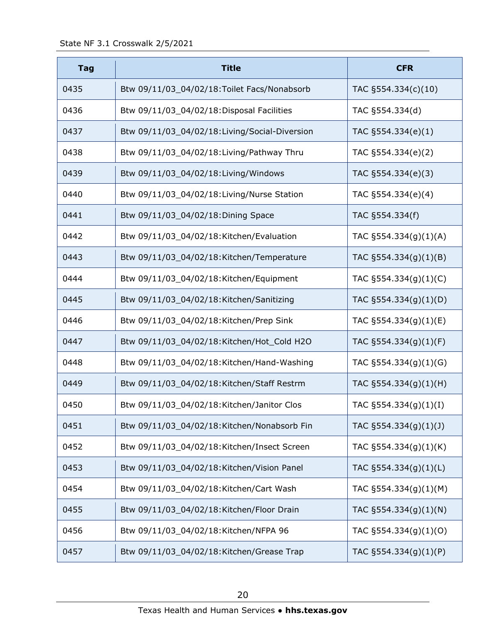| <b>Tag</b> | <b>Title</b>                                  | <b>CFR</b>                |
|------------|-----------------------------------------------|---------------------------|
| 0435       | Btw 09/11/03_04/02/18: Toilet Facs/Nonabsorb  | TAC §554.334(c)(10)       |
| 0436       | Btw 09/11/03_04/02/18:Disposal Facilities     | TAC §554.334(d)           |
| 0437       | Btw 09/11/03_04/02/18:Living/Social-Diversion | TAC §554.334(e)(1)        |
| 0438       | Btw 09/11/03_04/02/18:Living/Pathway Thru     | TAC §554.334(e)(2)        |
| 0439       | Btw 09/11/03_04/02/18:Living/Windows          | TAC §554.334(e)(3)        |
| 0440       | Btw 09/11/03_04/02/18:Living/Nurse Station    | TAC §554.334(e)(4)        |
| 0441       | Btw 09/11/03_04/02/18:Dining Space            | TAC §554.334(f)           |
| 0442       | Btw 09/11/03 04/02/18: Kitchen/Evaluation     | TAC §554.334(g)(1)(A)     |
| 0443       | Btw 09/11/03_04/02/18:Kitchen/Temperature     | TAC $\S$ 554.334(g)(1)(B) |
| 0444       | Btw 09/11/03_04/02/18:Kitchen/Equipment       | TAC §554.334(g)(1)(C)     |
| 0445       | Btw 09/11/03_04/02/18:Kitchen/Sanitizing      | TAC §554.334(g)(1)(D)     |
| 0446       | Btw 09/11/03_04/02/18:Kitchen/Prep Sink       | TAC $\S554.334(g)(1)(E)$  |
| 0447       | Btw 09/11/03_04/02/18:Kitchen/Hot_Cold H2O    | TAC §554.334(g)(1)(F)     |
| 0448       | Btw 09/11/03_04/02/18:Kitchen/Hand-Washing    | TAC §554.334(g)(1)(G)     |
| 0449       | Btw 09/11/03_04/02/18:Kitchen/Staff Restrm    | TAC §554.334(g)(1)(H)     |
| 0450       | Btw 09/11/03_04/02/18:Kitchen/Janitor Clos    | TAC $\S 554.334(g)(1)(I)$ |
| 0451       | Btw 09/11/03_04/02/18:Kitchen/Nonabsorb Fin   | TAC $\S554.334(g)(1)(J)$  |
| 0452       | Btw 09/11/03_04/02/18:Kitchen/Insect Screen   | TAC §554.334(g)(1)(K)     |
| 0453       | Btw 09/11/03_04/02/18:Kitchen/Vision Panel    | TAC §554.334(g)(1)(L)     |
| 0454       | Btw 09/11/03_04/02/18:Kitchen/Cart Wash       | TAC §554.334(g)(1)(M)     |
| 0455       | Btw 09/11/03_04/02/18:Kitchen/Floor Drain     | TAC $\S554.334(g)(1)(N)$  |
| 0456       | Btw 09/11/03_04/02/18:Kitchen/NFPA 96         | TAC §554.334(g)(1)(O)     |
| 0457       | Btw 09/11/03_04/02/18:Kitchen/Grease Trap     | TAC §554.334(g)(1)(P)     |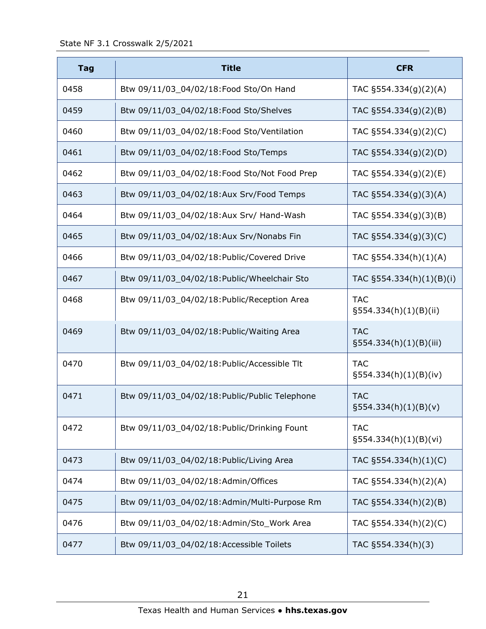| <b>Tag</b> | <b>Title</b>                                  | <b>CFR</b>                              |
|------------|-----------------------------------------------|-----------------------------------------|
| 0458       | Btw 09/11/03_04/02/18:Food Sto/On Hand        | TAC §554.334(g)(2)(A)                   |
| 0459       | Btw 09/11/03_04/02/18:Food Sto/Shelves        | TAC §554.334(g)(2)(B)                   |
| 0460       | Btw 09/11/03_04/02/18:Food Sto/Ventilation    | TAC §554.334(g)(2)(C)                   |
| 0461       | Btw 09/11/03_04/02/18:Food Sto/Temps          | TAC §554.334(g)(2)(D)                   |
| 0462       | Btw 09/11/03_04/02/18:Food Sto/Not Food Prep  | TAC §554.334(g)(2)(E)                   |
| 0463       | Btw 09/11/03_04/02/18:Aux Srv/Food Temps      | TAC §554.334(g)(3)(A)                   |
| 0464       | Btw 09/11/03_04/02/18:Aux Srv/ Hand-Wash      | TAC §554.334(g)(3)(B)                   |
| 0465       | Btw 09/11/03_04/02/18:Aux Srv/Nonabs Fin      | TAC §554.334(g)(3)(C)                   |
| 0466       | Btw 09/11/03_04/02/18:Public/Covered Drive    | TAC §554.334(h)(1)(A)                   |
| 0467       | Btw 09/11/03_04/02/18: Public/Wheelchair Sto  | TAC §554.334(h)(1)(B)(i)                |
| 0468       | Btw 09/11/03_04/02/18: Public/Reception Area  | <b>TAC</b><br>§554.334(h)(1)(B)(ii)     |
| 0469       | Btw 09/11/03_04/02/18: Public/Waiting Area    | <b>TAC</b><br>$\S554.334(h)(1)(B)(iii)$ |
| 0470       | Btw 09/11/03_04/02/18: Public/Accessible Tlt  | <b>TAC</b><br>$\S554.334(h)(1)(B)(iv)$  |
| 0471       | Btw 09/11/03_04/02/18:Public/Public Telephone | <b>TAC</b><br>$\S554.334(h)(1)(B)(v)$   |
| 0472       | Btw 09/11/03_04/02/18: Public/Drinking Fount  | <b>TAC</b><br>§554.334(h)(1)(B)(vi)     |
| 0473       | Btw 09/11/03_04/02/18: Public/Living Area     | TAC §554.334(h)(1)(C)                   |
| 0474       | Btw 09/11/03_04/02/18:Admin/Offices           | TAC §554.334(h)(2)(A)                   |
| 0475       | Btw 09/11/03_04/02/18:Admin/Multi-Purpose Rm  | TAC §554.334(h)(2)(B)                   |
| 0476       | Btw 09/11/03_04/02/18:Admin/Sto_Work Area     | TAC §554.334(h)(2)(C)                   |
| 0477       | Btw 09/11/03_04/02/18:Accessible Toilets      | TAC §554.334(h)(3)                      |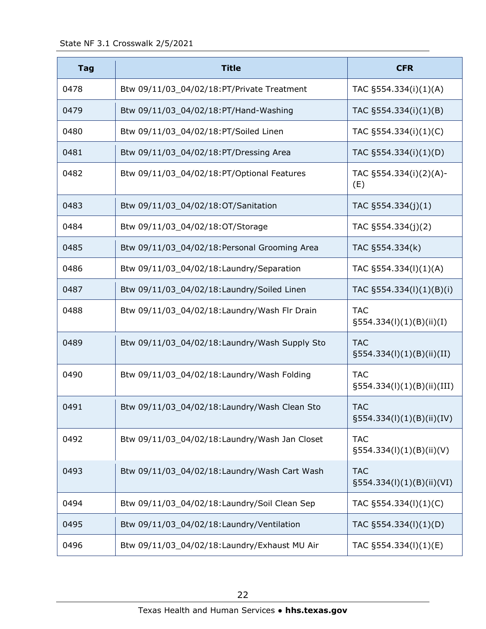| <b>Tag</b> | <b>Title</b>                                  | <b>CFR</b>                                 |
|------------|-----------------------------------------------|--------------------------------------------|
| 0478       | Btw 09/11/03_04/02/18:PT/Private Treatment    | TAC §554.334(i)(1)(A)                      |
| 0479       | Btw 09/11/03_04/02/18:PT/Hand-Washing         | TAC §554.334(i)(1)(B)                      |
| 0480       | Btw 09/11/03_04/02/18:PT/Soiled Linen         | TAC §554.334(i)(1)(C)                      |
| 0481       | Btw 09/11/03_04/02/18:PT/Dressing Area        | TAC §554.334(i)(1)(D)                      |
| 0482       | Btw 09/11/03_04/02/18:PT/Optional Features    | TAC §554.334(i)(2)(A)-<br>(E)              |
| 0483       | Btw 09/11/03_04/02/18:OT/Sanitation           | TAC $\S554.334(j)(1)$                      |
| 0484       | Btw 09/11/03_04/02/18:OT/Storage              | TAC §554.334(j)(2)                         |
| 0485       | Btw 09/11/03_04/02/18:Personal Grooming Area  | TAC §554.334(k)                            |
| 0486       | Btw 09/11/03_04/02/18:Laundry/Separation      | TAC §554.334(I)(1)(A)                      |
| 0487       | Btw 09/11/03_04/02/18:Laundry/Soiled Linen    | TAC §554.334(l)(1)(B)(i)                   |
| 0488       | Btw 09/11/03_04/02/18:Laundry/Wash Flr Drain  | <b>TAC</b><br>$\S554.334(I)(1)(B)(ii)(I)$  |
| 0489       | Btw 09/11/03_04/02/18:Laundry/Wash Supply Sto | <b>TAC</b><br>$\S554.334(l)(1)(B)(ii)(II)$ |
| 0490       | Btw 09/11/03_04/02/18:Laundry/Wash Folding    | <b>TAC</b><br>§554.334(l)(1)(B)(ii)(III)   |
| 0491       | Btw 09/11/03_04/02/18:Laundry/Wash Clean Sto  | <b>TAC</b><br>$\S554.334(l)(1)(B)(ii)(IV)$ |
| 0492       | Btw 09/11/03_04/02/18:Laundry/Wash Jan Closet | <b>TAC</b><br>$\S554.334(l)(1)(B)(ii)(V)$  |
| 0493       | Btw 09/11/03_04/02/18:Laundry/Wash Cart Wash  | <b>TAC</b><br>§554.334(l)(1)(B)(ii)(VI)    |
| 0494       | Btw 09/11/03_04/02/18:Laundry/Soil Clean Sep  | TAC §554.334(l)(1)(C)                      |
| 0495       | Btw 09/11/03_04/02/18:Laundry/Ventilation     | TAC §554.334(l)(1)(D)                      |
| 0496       | Btw 09/11/03_04/02/18:Laundry/Exhaust MU Air  | TAC §554.334(l)(1)(E)                      |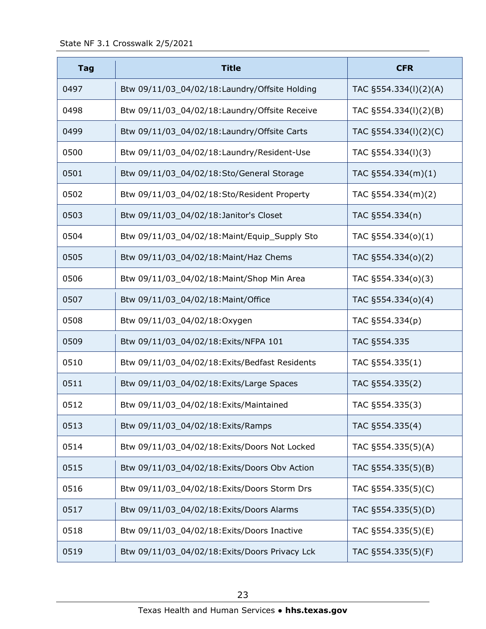| <b>Tag</b> | <b>Title</b>                                   | <b>CFR</b>            |
|------------|------------------------------------------------|-----------------------|
| 0497       | Btw 09/11/03_04/02/18:Laundry/Offsite Holding  | TAC §554.334(I)(2)(A) |
| 0498       | Btw 09/11/03_04/02/18:Laundry/Offsite Receive  | TAC §554.334(I)(2)(B) |
| 0499       | Btw 09/11/03_04/02/18:Laundry/Offsite Carts    | TAC §554.334(I)(2)(C) |
| 0500       | Btw 09/11/03_04/02/18:Laundry/Resident-Use     | TAC §554.334(I)(3)    |
| 0501       | Btw 09/11/03_04/02/18:Sto/General Storage      | TAC $\S554.334(m)(1)$ |
| 0502       | Btw 09/11/03_04/02/18:Sto/Resident Property    | TAC §554.334(m)(2)    |
| 0503       | Btw 09/11/03_04/02/18:Janitor's Closet         | TAC §554.334(n)       |
| 0504       | Btw 09/11/03_04/02/18: Maint/Equip_Supply Sto  | TAC §554.334(o)(1)    |
| 0505       | Btw 09/11/03_04/02/18: Maint/Haz Chems         | TAC §554.334(o)(2)    |
| 0506       | Btw 09/11/03_04/02/18: Maint/Shop Min Area     | TAC §554.334(o)(3)    |
| 0507       | Btw 09/11/03_04/02/18:Maint/Office             | TAC §554.334(o)(4)    |
| 0508       | Btw 09/11/03_04/02/18:Oxygen                   | TAC §554.334(p)       |
| 0509       | Btw 09/11/03_04/02/18:Exits/NFPA 101           | TAC §554.335          |
| 0510       | Btw 09/11/03_04/02/18: Exits/Bedfast Residents | TAC §554.335(1)       |
| 0511       | Btw 09/11/03_04/02/18: Exits/Large Spaces      | TAC §554.335(2)       |
| 0512       | Btw 09/11/03_04/02/18: Exits/Maintained        | TAC §554.335(3)       |
| 0513       | Btw 09/11/03_04/02/18: Exits/Ramps             | TAC §554.335(4)       |
| 0514       | Btw 09/11/03_04/02/18:Exits/Doors Not Locked   | TAC §554.335(5)(A)    |
| 0515       | Btw 09/11/03_04/02/18:Exits/Doors Obv Action   | TAC §554.335(5)(B)    |
| 0516       | Btw 09/11/03_04/02/18:Exits/Doors Storm Drs    | TAC §554.335(5)(C)    |
| 0517       | Btw 09/11/03_04/02/18:Exits/Doors Alarms       | TAC §554.335(5)(D)    |
| 0518       | Btw 09/11/03_04/02/18:Exits/Doors Inactive     | TAC §554.335(5)(E)    |
| 0519       | Btw 09/11/03_04/02/18: Exits/Doors Privacy Lck | TAC §554.335(5)(F)    |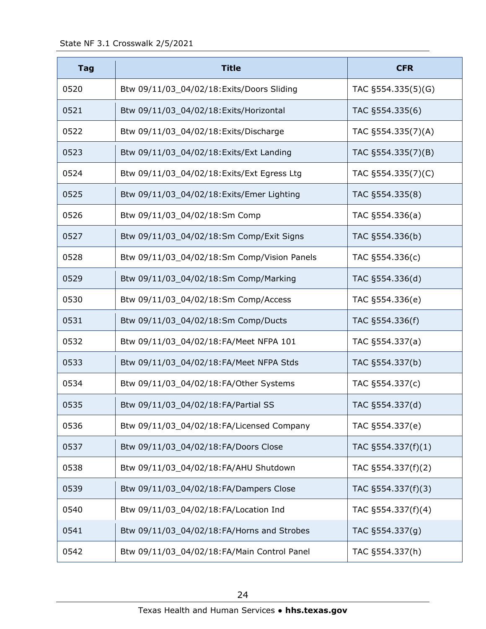| <b>Tag</b> | <b>Title</b>                                | <b>CFR</b>             |
|------------|---------------------------------------------|------------------------|
| 0520       | Btw 09/11/03_04/02/18:Exits/Doors Sliding   | TAC §554.335(5)(G)     |
| 0521       | Btw 09/11/03_04/02/18:Exits/Horizontal      | TAC §554.335(6)        |
| 0522       | Btw 09/11/03_04/02/18:Exits/Discharge       | TAC §554.335(7)(A)     |
| 0523       | Btw 09/11/03_04/02/18: Exits/Ext Landing    | TAC §554.335(7)(B)     |
| 0524       | Btw 09/11/03_04/02/18:Exits/Ext Egress Ltg  | TAC §554.335(7)(C)     |
| 0525       | Btw 09/11/03_04/02/18:Exits/Emer Lighting   | TAC §554.335(8)        |
| 0526       | Btw 09/11/03_04/02/18:Sm Comp               | TAC §554.336(a)        |
| 0527       | Btw 09/11/03_04/02/18:Sm Comp/Exit Signs    | TAC §554.336(b)        |
| 0528       | Btw 09/11/03_04/02/18:Sm Comp/Vision Panels | TAC §554.336(c)        |
| 0529       | Btw 09/11/03_04/02/18:Sm Comp/Marking       | TAC §554.336(d)        |
| 0530       | Btw 09/11/03_04/02/18:Sm Comp/Access        | TAC §554.336(e)        |
| 0531       | Btw 09/11/03_04/02/18:Sm Comp/Ducts         | TAC §554.336(f)        |
| 0532       | Btw 09/11/03_04/02/18:FA/Meet NFPA 101      | TAC §554.337(a)        |
| 0533       | Btw 09/11/03_04/02/18:FA/Meet NFPA Stds     | TAC §554.337(b)        |
| 0534       | Btw 09/11/03 04/02/18:FA/Other Systems      | TAC §554.337(c)        |
| 0535       | Btw 09/11/03 04/02/18:FA/Partial SS         | TAC §554.337(d)        |
| 0536       | Btw 09/11/03_04/02/18:FA/Licensed Company   | TAC §554.337(e)        |
| 0537       | Btw 09/11/03 04/02/18:FA/Doors Close        | TAC $\S$ 554.337(f)(1) |
| 0538       | Btw 09/11/03 04/02/18:FA/AHU Shutdown       | TAC §554.337(f)(2)     |
| 0539       | Btw 09/11/03_04/02/18:FA/Dampers Close      | TAC §554.337(f)(3)     |
| 0540       | Btw 09/11/03_04/02/18:FA/Location Ind       | TAC §554.337(f)(4)     |
| 0541       | Btw 09/11/03_04/02/18:FA/Horns and Strobes  | TAC §554.337(g)        |
| 0542       | Btw 09/11/03_04/02/18:FA/Main Control Panel | TAC §554.337(h)        |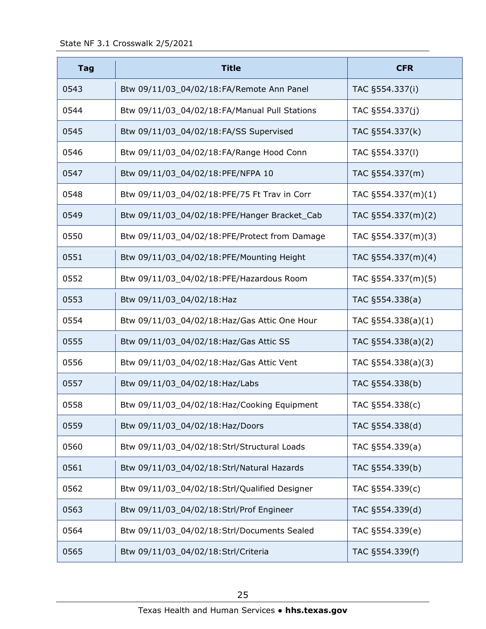| <b>Tag</b> | <b>Title</b>                                  | <b>CFR</b>            |
|------------|-----------------------------------------------|-----------------------|
| 0543       | Btw 09/11/03_04/02/18:FA/Remote Ann Panel     | TAC §554.337(i)       |
| 0544       | Btw 09/11/03_04/02/18:FA/Manual Pull Stations | TAC §554.337(j)       |
| 0545       | Btw 09/11/03_04/02/18:FA/SS Supervised        | TAC §554.337(k)       |
| 0546       | Btw 09/11/03_04/02/18:FA/Range Hood Conn      | TAC §554.337(I)       |
| 0547       | Btw 09/11/03_04/02/18:PFE/NFPA 10             | TAC §554.337(m)       |
| 0548       | Btw 09/11/03_04/02/18:PFE/75 Ft Trav in Corr  | TAC §554.337(m)(1)    |
| 0549       | Btw 09/11/03_04/02/18:PFE/Hanger Bracket_Cab  | TAC §554.337(m)(2)    |
| 0550       | Btw 09/11/03_04/02/18:PFE/Protect from Damage | TAC §554.337(m)(3)    |
| 0551       | Btw 09/11/03_04/02/18:PFE/Mounting Height     | TAC §554.337(m)(4)    |
| 0552       | Btw 09/11/03_04/02/18:PFE/Hazardous Room      | TAC §554.337(m)(5)    |
| 0553       | Btw 09/11/03_04/02/18:Haz                     | TAC §554.338(a)       |
| 0554       | Btw 09/11/03_04/02/18: Haz/Gas Attic One Hour | TAC $\S554.338(a)(1)$ |
| 0555       | Btw 09/11/03_04/02/18:Haz/Gas Attic SS        | TAC §554.338(a)(2)    |
| 0556       | Btw 09/11/03_04/02/18: Haz/Gas Attic Vent     | TAC §554.338(a)(3)    |
| 0557       | Btw 09/11/03_04/02/18:Haz/Labs                | TAC §554.338(b)       |
| 0558       | Btw 09/11/03_04/02/18:Haz/Cooking Equipment   | TAC §554.338(c)       |
| 0559       | Btw 09/11/03_04/02/18:Haz/Doors               | TAC §554.338(d)       |
| 0560       | Btw 09/11/03_04/02/18:Strl/Structural Loads   | TAC §554.339(a)       |
| 0561       | Btw 09/11/03_04/02/18:Strl/Natural Hazards    | TAC §554.339(b)       |
| 0562       | Btw 09/11/03_04/02/18:Strl/Qualified Designer | TAC §554.339(c)       |
| 0563       | Btw 09/11/03_04/02/18:Strl/Prof Engineer      | TAC §554.339(d)       |
| 0564       | Btw 09/11/03_04/02/18:Strl/Documents Sealed   | TAC §554.339(e)       |
| 0565       | Btw 09/11/03_04/02/18:Strl/Criteria           | TAC §554.339(f)       |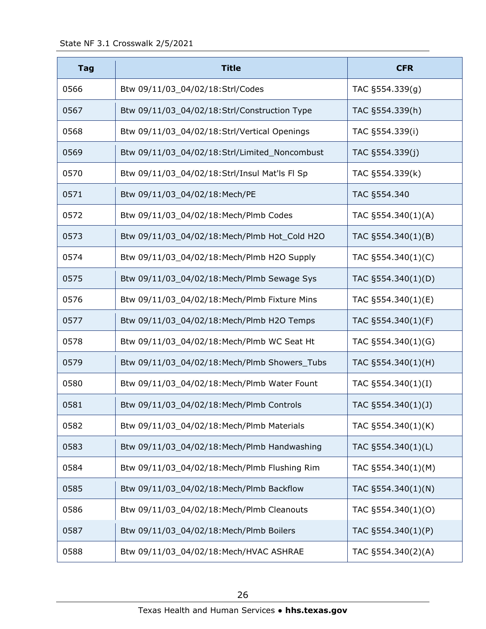| <b>Tag</b> | <b>Title</b>                                  | <b>CFR</b>         |
|------------|-----------------------------------------------|--------------------|
| 0566       | Btw 09/11/03_04/02/18:Strl/Codes              | TAC §554.339(g)    |
| 0567       | Btw 09/11/03_04/02/18:Strl/Construction Type  | TAC §554.339(h)    |
| 0568       | Btw 09/11/03_04/02/18:Strl/Vertical Openings  | TAC §554.339(i)    |
| 0569       | Btw 09/11/03_04/02/18:Strl/Limited_Noncombust | TAC §554.339(j)    |
| 0570       | Btw 09/11/03_04/02/18:Strl/Insul Mat'ls Fl Sp | TAC §554.339(k)    |
| 0571       | Btw 09/11/03_04/02/18:Mech/PE                 | TAC §554.340       |
| 0572       | Btw 09/11/03 04/02/18:Mech/Plmb Codes         | TAC §554.340(1)(A) |
| 0573       | Btw 09/11/03_04/02/18:Mech/Plmb Hot_Cold H2O  | TAC §554.340(1)(B) |
| 0574       | Btw 09/11/03_04/02/18: Mech/Plmb H2O Supply   | TAC §554.340(1)(C) |
| 0575       | Btw 09/11/03_04/02/18:Mech/Plmb Sewage Sys    | TAC §554.340(1)(D) |
| 0576       | Btw 09/11/03_04/02/18:Mech/Plmb Fixture Mins  | TAC §554.340(1)(E) |
| 0577       | Btw 09/11/03_04/02/18:Mech/Plmb H2O Temps     | TAC §554.340(1)(F) |
| 0578       | Btw 09/11/03_04/02/18:Mech/Plmb WC Seat Ht    | TAC §554.340(1)(G) |
| 0579       | Btw 09/11/03_04/02/18:Mech/Plmb Showers_Tubs  | TAC §554.340(1)(H) |
| 0580       | Btw 09/11/03_04/02/18:Mech/Plmb Water Fount   | TAC §554.340(1)(I) |
| 0581       | Btw 09/11/03_04/02/18:Mech/Plmb Controls      | TAC §554.340(1)(J) |
| 0582       | Btw 09/11/03_04/02/18:Mech/Plmb Materials     | TAC §554.340(1)(K) |
| 0583       | Btw 09/11/03_04/02/18:Mech/Plmb Handwashing   | TAC §554.340(1)(L) |
| 0584       | Btw 09/11/03_04/02/18:Mech/Plmb Flushing Rim  | TAC §554.340(1)(M) |
| 0585       | Btw 09/11/03_04/02/18:Mech/Plmb Backflow      | TAC §554.340(1)(N) |
| 0586       | Btw 09/11/03_04/02/18:Mech/Plmb Cleanouts     | TAC §554.340(1)(O) |
| 0587       | Btw 09/11/03_04/02/18:Mech/Plmb Boilers       | TAC §554.340(1)(P) |
| 0588       | Btw 09/11/03_04/02/18:Mech/HVAC ASHRAE        | TAC §554.340(2)(A) |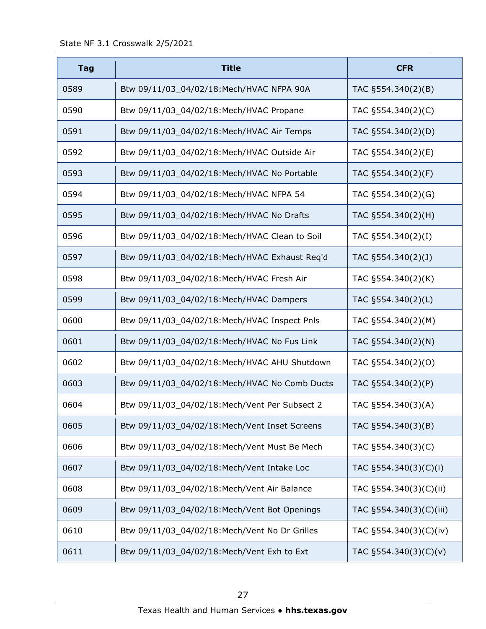| <b>Tag</b> | <b>Title</b>                                  | <b>CFR</b>              |
|------------|-----------------------------------------------|-------------------------|
| 0589       | Btw 09/11/03_04/02/18:Mech/HVAC NFPA 90A      | TAC §554.340(2)(B)      |
| 0590       | Btw 09/11/03_04/02/18:Mech/HVAC Propane       | TAC §554.340(2)(C)      |
| 0591       | Btw 09/11/03_04/02/18:Mech/HVAC Air Temps     | TAC §554.340(2)(D)      |
| 0592       | Btw 09/11/03_04/02/18:Mech/HVAC Outside Air   | TAC §554.340(2)(E)      |
| 0593       | Btw 09/11/03_04/02/18:Mech/HVAC No Portable   | TAC §554.340(2)(F)      |
| 0594       | Btw 09/11/03_04/02/18:Mech/HVAC NFPA 54       | TAC §554.340(2)(G)      |
| 0595       | Btw 09/11/03_04/02/18:Mech/HVAC No Drafts     | TAC §554.340(2)(H)      |
| 0596       | Btw 09/11/03_04/02/18:Mech/HVAC Clean to Soil | TAC §554.340(2)(I)      |
| 0597       | Btw 09/11/03_04/02/18:Mech/HVAC Exhaust Req'd | TAC §554.340(2)(J)      |
| 0598       | Btw 09/11/03_04/02/18:Mech/HVAC Fresh Air     | TAC §554.340(2)(K)      |
| 0599       | Btw 09/11/03_04/02/18:Mech/HVAC Dampers       | TAC §554.340(2)(L)      |
| 0600       | Btw 09/11/03_04/02/18:Mech/HVAC Inspect Pnls  | TAC §554.340(2)(M)      |
| 0601       | Btw 09/11/03_04/02/18:Mech/HVAC No Fus Link   | TAC §554.340(2)(N)      |
| 0602       | Btw 09/11/03_04/02/18:Mech/HVAC AHU Shutdown  | TAC §554.340(2)(O)      |
| 0603       | Btw 09/11/03_04/02/18:Mech/HVAC No Comb Ducts | TAC §554.340(2)(P)      |
| 0604       | Btw 09/11/03_04/02/18:Mech/Vent Per Subsect 2 | TAC §554.340(3)(A)      |
| 0605       | Btw 09/11/03_04/02/18:Mech/Vent Inset Screens | TAC §554.340(3)(B)      |
| 0606       | Btw 09/11/03_04/02/18:Mech/Vent Must Be Mech  | TAC §554.340(3)(C)      |
| 0607       | Btw 09/11/03_04/02/18:Mech/Vent Intake Loc    | TAC §554.340(3)(C)(i)   |
| 0608       | Btw 09/11/03_04/02/18:Mech/Vent Air Balance   | TAC §554.340(3)(C)(ii)  |
| 0609       | Btw 09/11/03_04/02/18:Mech/Vent Bot Openings  | TAC §554.340(3)(C)(iii) |
| 0610       | Btw 09/11/03_04/02/18:Mech/Vent No Dr Grilles | TAC §554.340(3)(C)(iv)  |
| 0611       | Btw 09/11/03_04/02/18:Mech/Vent Exh to Ext    | TAC §554.340(3)(C)(v)   |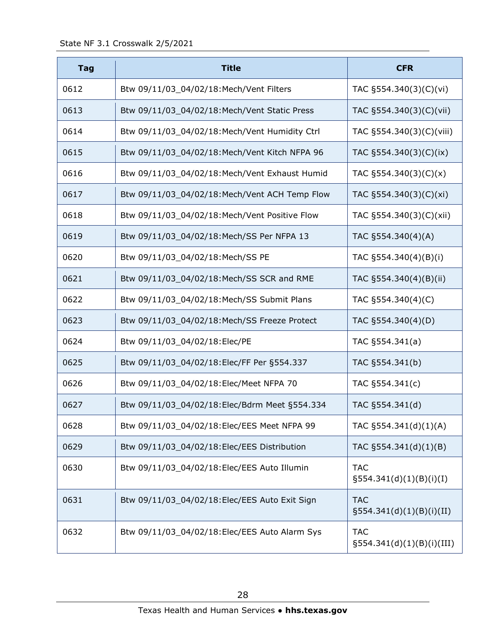| <b>Tag</b> | <b>Title</b>                                   | <b>CFR</b>                                 |
|------------|------------------------------------------------|--------------------------------------------|
| 0612       | Btw 09/11/03_04/02/18:Mech/Vent Filters        | TAC §554.340(3)(C)(vi)                     |
| 0613       | Btw 09/11/03_04/02/18:Mech/Vent Static Press   | TAC §554.340(3)(C)(vii)                    |
| 0614       | Btw 09/11/03_04/02/18:Mech/Vent Humidity Ctrl  | TAC §554.340(3)(C)(viii)                   |
| 0615       | Btw 09/11/03 04/02/18: Mech/Vent Kitch NFPA 96 | TAC §554.340(3)(C)(ix)                     |
| 0616       | Btw 09/11/03_04/02/18:Mech/Vent Exhaust Humid  | TAC §554.340(3)(C)(x)                      |
| 0617       | Btw 09/11/03_04/02/18:Mech/Vent ACH Temp Flow  | TAC §554.340(3)(C)(xi)                     |
| 0618       | Btw 09/11/03_04/02/18:Mech/Vent Positive Flow  | TAC §554.340(3)(C)(xii)                    |
| 0619       | Btw 09/11/03_04/02/18:Mech/SS Per NFPA 13      | TAC §554.340(4)(A)                         |
| 0620       | Btw 09/11/03_04/02/18:Mech/SS PE               | TAC §554.340(4)(B)(i)                      |
| 0621       | Btw 09/11/03_04/02/18:Mech/SS SCR and RME      | TAC §554.340(4)(B)(ii)                     |
| 0622       | Btw 09/11/03_04/02/18:Mech/SS Submit Plans     | TAC §554.340(4)(C)                         |
| 0623       | Btw 09/11/03_04/02/18:Mech/SS Freeze Protect   | TAC §554.340(4)(D)                         |
| 0624       | Btw 09/11/03_04/02/18:Elec/PE                  | TAC §554.341(a)                            |
| 0625       | Btw 09/11/03_04/02/18:Elec/FF Per §554.337     | TAC §554.341(b)                            |
| 0626       | Btw 09/11/03_04/02/18:Elec/Meet NFPA 70        | TAC §554.341(c)                            |
| 0627       | Btw 09/11/03_04/02/18:Elec/Bdrm Meet §554.334  | TAC §554.341(d)                            |
| 0628       | Btw 09/11/03_04/02/18:Elec/EES Meet NFPA 99    | TAC §554.341(d)(1)(A)                      |
| 0629       | Btw 09/11/03_04/02/18:Elec/EES Distribution    | TAC §554.341(d)(1)(B)                      |
| 0630       | Btw 09/11/03_04/02/18:Elec/EES Auto Illumin    | <b>TAC</b><br>$\S554.341(d)(1)(B)(i)(I)$   |
| 0631       | Btw 09/11/03_04/02/18:Elec/EES Auto Exit Sign  | <b>TAC</b><br>$\S554.341(d)(1)(B)(i)(II)$  |
| 0632       | Btw 09/11/03_04/02/18:Elec/EES Auto Alarm Sys  | <b>TAC</b><br>$\S554.341(d)(1)(B)(i)(III)$ |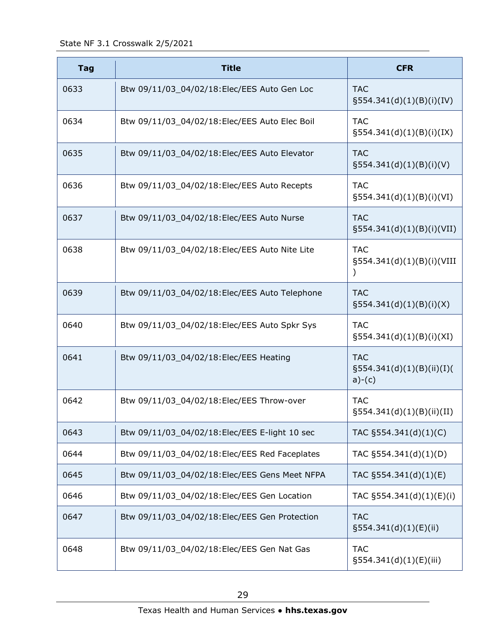State NF 3.1 Crosswalk 2/5/2021

| <b>Tag</b> | <b>Title</b>                                  | <b>CFR</b>                                          |
|------------|-----------------------------------------------|-----------------------------------------------------|
| 0633       | Btw 09/11/03_04/02/18:Elec/EES Auto Gen Loc   | <b>TAC</b><br>§554.341(d)(1)(B)(i)(IV)              |
| 0634       | Btw 09/11/03_04/02/18:Elec/EES Auto Elec Boil | <b>TAC</b><br>$\S554.341(d)(1)(B)(i)(IX)$           |
| 0635       | Btw 09/11/03_04/02/18:Elec/EES Auto Elevator  | <b>TAC</b><br>$\S554.341(d)(1)(B)(i)(V)$            |
| 0636       | Btw 09/11/03_04/02/18:Elec/EES Auto Recepts   | <b>TAC</b><br>$\S554.341(d)(1)(B)(i)(VI)$           |
| 0637       | Btw 09/11/03_04/02/18:Elec/EES Auto Nurse     | <b>TAC</b><br>$\S 554.341(d)(1)(B)(i)(VII)$         |
| 0638       | Btw 09/11/03_04/02/18:Elec/EES Auto Nite Lite | <b>TAC</b><br>§554.341(d)(1)(B)(i)(VIII             |
| 0639       | Btw 09/11/03_04/02/18:Elec/EES Auto Telephone | <b>TAC</b><br>$\S554.341(d)(1)(B)(i)(X)$            |
| 0640       | Btw 09/11/03_04/02/18:Elec/EES Auto Spkr Sys  | <b>TAC</b><br>$\S554.341(d)(1)(B)(i)(XI)$           |
| 0641       | Btw 09/11/03_04/02/18:Elec/EES Heating        | <b>TAC</b><br>§554.341(d)(1)(B)(ii)(I)(<br>$a)-(c)$ |
| 0642       | Btw 09/11/03_04/02/18:Elec/EES Throw-over     | <b>TAC</b><br>$\S554.341(d)(1)(B)(ii)(II)$          |
| 0643       | Btw 09/11/03_04/02/18:Elec/EES E-light 10 sec | TAC §554.341(d)(1)(C)                               |
| 0644       | Btw 09/11/03_04/02/18:Elec/EES Red Faceplates | TAC §554.341(d)(1)(D)                               |
| 0645       | Btw 09/11/03_04/02/18:Elec/EES Gens Meet NFPA | TAC §554.341(d)(1)(E)                               |
| 0646       | Btw 09/11/03_04/02/18:Elec/EES Gen Location   | TAC §554.341(d)(1)(E)(i)                            |
| 0647       | Btw 09/11/03_04/02/18:Elec/EES Gen Protection | <b>TAC</b><br>$\S554.341(d)(1)(E)(ii)$              |
| 0648       | Btw 09/11/03_04/02/18:Elec/EES Gen Nat Gas    | <b>TAC</b><br>$\S554.341(d)(1)(E)(iii)$             |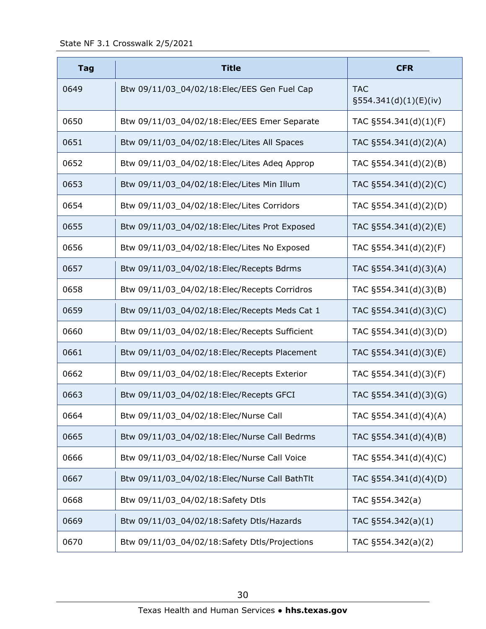| <b>Tag</b> | <b>Title</b>                                  | <b>CFR</b>                          |
|------------|-----------------------------------------------|-------------------------------------|
| 0649       | Btw 09/11/03_04/02/18:Elec/EES Gen Fuel Cap   | <b>TAC</b><br>§554.341(d)(1)(E)(iv) |
| 0650       | Btw 09/11/03_04/02/18:Elec/EES Emer Separate  | TAC $\S554.341(d)(1)(F)$            |
| 0651       | Btw 09/11/03_04/02/18:Elec/Lites All Spaces   | TAC §554.341(d)(2)(A)               |
| 0652       | Btw 09/11/03_04/02/18: Elec/Lites Adeq Approp | TAC $\S554.341(d)(2)(B)$            |
| 0653       | Btw 09/11/03_04/02/18:Elec/Lites Min Illum    | TAC §554.341(d)(2)(C)               |
| 0654       | Btw 09/11/03_04/02/18:Elec/Lites Corridors    | TAC $\S554.341(d)(2)(D)$            |
| 0655       | Btw 09/11/03_04/02/18:Elec/Lites Prot Exposed | TAC $\S554.341(d)(2)(E)$            |
| 0656       | Btw 09/11/03_04/02/18:Elec/Lites No Exposed   | TAC §554.341(d)(2)(F)               |
| 0657       | Btw 09/11/03_04/02/18:Elec/Recepts Bdrms      | TAC §554.341(d)(3)(A)               |
| 0658       | Btw 09/11/03_04/02/18:Elec/Recepts Corridros  | TAC §554.341(d)(3)(B)               |
| 0659       | Btw 09/11/03_04/02/18:Elec/Recepts Meds Cat 1 | TAC §554.341(d)(3)(C)               |
| 0660       | Btw 09/11/03_04/02/18:Elec/Recepts Sufficient | TAC §554.341(d)(3)(D)               |
| 0661       | Btw 09/11/03_04/02/18:Elec/Recepts Placement  | TAC §554.341(d)(3)(E)               |
| 0662       | Btw 09/11/03_04/02/18:Elec/Recepts Exterior   | TAC §554.341(d)(3)(F)               |
| 0663       | Btw 09/11/03_04/02/18:Elec/Recepts GFCI       | TAC §554.341(d)(3)(G)               |
| 0664       | Btw 09/11/03_04/02/18:Elec/Nurse Call         | TAC §554.341(d)(4)(A)               |
| 0665       | Btw 09/11/03_04/02/18:Elec/Nurse Call Bedrms  | TAC §554.341(d)(4)(B)               |
| 0666       | Btw 09/11/03_04/02/18:Elec/Nurse Call Voice   | TAC §554.341(d)(4)(C)               |
| 0667       | Btw 09/11/03_04/02/18:Elec/Nurse Call BathTlt | TAC §554.341(d)(4)(D)               |
| 0668       | Btw 09/11/03_04/02/18:Safety Dtls             | TAC §554.342(a)                     |
| 0669       | Btw 09/11/03_04/02/18:Safety Dtls/Hazards     | TAC $\S554.342(a)(1)$               |
| 0670       | Btw 09/11/03_04/02/18:Safety Dtls/Projections | TAC §554.342(a)(2)                  |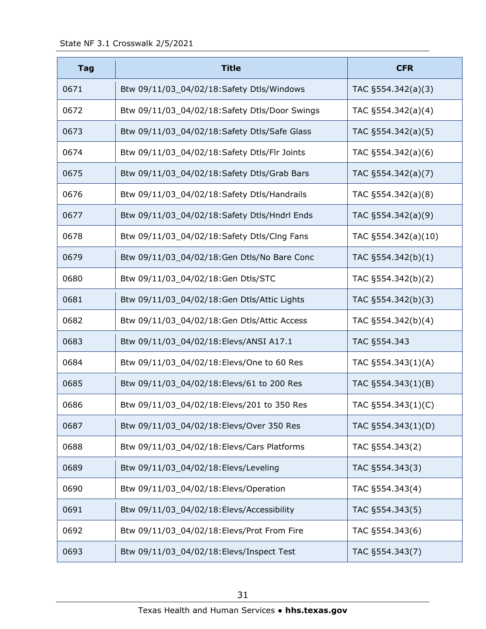| <b>Tag</b> | <b>Title</b>                                  | <b>CFR</b>            |
|------------|-----------------------------------------------|-----------------------|
| 0671       | Btw 09/11/03_04/02/18:Safety Dtls/Windows     | TAC $\S554.342(a)(3)$ |
| 0672       | Btw 09/11/03_04/02/18:Safety Dtls/Door Swings | TAC §554.342(a)(4)    |
| 0673       | Btw 09/11/03_04/02/18:Safety Dtls/Safe Glass  | TAC §554.342(a)(5)    |
| 0674       | Btw 09/11/03_04/02/18:Safety Dtls/Flr Joints  | TAC §554.342(a)(6)    |
| 0675       | Btw 09/11/03_04/02/18:Safety Dtls/Grab Bars   | TAC §554.342(a)(7)    |
| 0676       | Btw 09/11/03_04/02/18:Safety Dtls/Handrails   | TAC §554.342(a)(8)    |
| 0677       | Btw 09/11/03_04/02/18:Safety Dtls/Hndrl Ends  | TAC §554.342(a)(9)    |
| 0678       | Btw 09/11/03_04/02/18:Safety Dtls/Clng Fans   | TAC §554.342(a)(10)   |
| 0679       | Btw 09/11/03_04/02/18:Gen Dtls/No Bare Conc   | TAC §554.342(b)(1)    |
| 0680       | Btw 09/11/03_04/02/18:Gen Dtls/STC            | TAC §554.342(b)(2)    |
| 0681       | Btw 09/11/03_04/02/18:Gen Dtls/Attic Lights   | TAC §554.342(b)(3)    |
| 0682       | Btw 09/11/03_04/02/18:Gen Dtls/Attic Access   | TAC §554.342(b)(4)    |
| 0683       | Btw 09/11/03_04/02/18:Elevs/ANSI A17.1        | TAC §554.343          |
| 0684       | Btw 09/11/03_04/02/18:Elevs/One to 60 Res     | TAC §554.343(1)(A)    |
| 0685       | Btw 09/11/03_04/02/18:Elevs/61 to 200 Res     | TAC §554.343(1)(B)    |
| 0686       | Btw 09/11/03_04/02/18:Elevs/201 to 350 Res    | TAC §554.343(1)(C)    |
| 0687       | Btw 09/11/03_04/02/18:Elevs/Over 350 Res      | TAC §554.343(1)(D)    |
| 0688       | Btw 09/11/03_04/02/18:Elevs/Cars Platforms    | TAC §554.343(2)       |
| 0689       | Btw 09/11/03_04/02/18:Elevs/Leveling          | TAC §554.343(3)       |
| 0690       | Btw 09/11/03_04/02/18:Elevs/Operation         | TAC §554.343(4)       |
| 0691       | Btw 09/11/03_04/02/18:Elevs/Accessibility     | TAC §554.343(5)       |
| 0692       | Btw 09/11/03_04/02/18:Elevs/Prot From Fire    | TAC §554.343(6)       |
| 0693       | Btw 09/11/03_04/02/18:Elevs/Inspect Test      | TAC §554.343(7)       |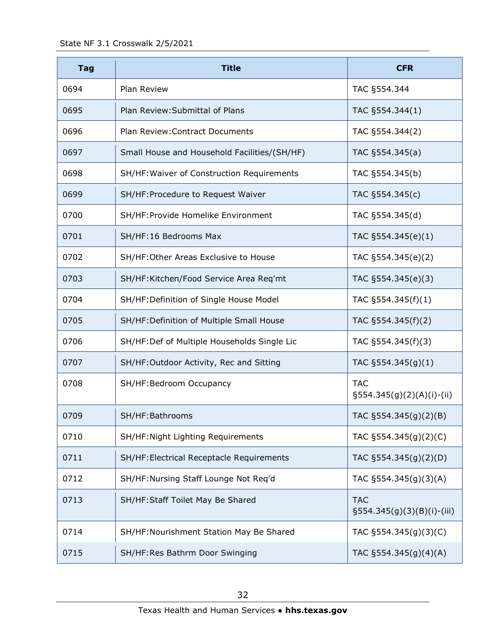| <b>Tag</b> | <b>Title</b>                                 | <b>CFR</b>                                  |
|------------|----------------------------------------------|---------------------------------------------|
| 0694       | <b>Plan Review</b>                           | TAC §554.344                                |
| 0695       | Plan Review: Submittal of Plans              | TAC §554.344(1)                             |
| 0696       | Plan Review: Contract Documents              | TAC §554.344(2)                             |
| 0697       | Small House and Household Facilities/(SH/HF) | TAC §554.345(a)                             |
| 0698       | SH/HF: Waiver of Construction Requirements   | TAC §554.345(b)                             |
| 0699       | SH/HF: Procedure to Request Waiver           | TAC §554.345(c)                             |
| 0700       | SH/HF: Provide Homelike Environment          | TAC §554.345(d)                             |
| 0701       | SH/HF:16 Bedrooms Max                        | TAC §554.345(e)(1)                          |
| 0702       | SH/HF: Other Areas Exclusive to House        | TAC §554.345(e)(2)                          |
| 0703       | SH/HF:Kitchen/Food Service Area Req'mt       | TAC §554.345(e)(3)                          |
| 0704       | SH/HF: Definition of Single House Model      | TAC $\S$ 554.345(f)(1)                      |
| 0705       | SH/HF: Definition of Multiple Small House    | TAC §554.345(f)(2)                          |
| 0706       | SH/HF:Def of Multiple Households Single Lic  | TAC §554.345(f)(3)                          |
| 0707       | SH/HF: Outdoor Activity, Rec and Sitting     | TAC $\S554.345(g)(1)$                       |
| 0708       | SH/HF: Bedroom Occupancy                     | <b>TAC</b><br>$\S554.345(g)(2)(A)(i)-(ii)$  |
| 0709       | SH/HF:Bathrooms                              | TAC §554.345(g)(2)(B)                       |
| 0710       | SH/HF: Night Lighting Requirements           | TAC §554.345(g)(2)(C)                       |
| 0711       | SH/HF: Electrical Receptacle Requirements    | TAC §554.345(g)(2)(D)                       |
| 0712       | SH/HF: Nursing Staff Lounge Not Req'd        | TAC §554.345(g)(3)(A)                       |
| 0713       | SH/HF: Staff Toilet May Be Shared            | <b>TAC</b><br>$\S554.345(g)(3)(B)(i)-(iii)$ |
| 0714       | SH/HF: Nourishment Station May Be Shared     | TAC §554.345(g)(3)(C)                       |
| 0715       | SH/HF:Res Bathrm Door Swinging               | TAC $\S554.345(g)(4)(A)$                    |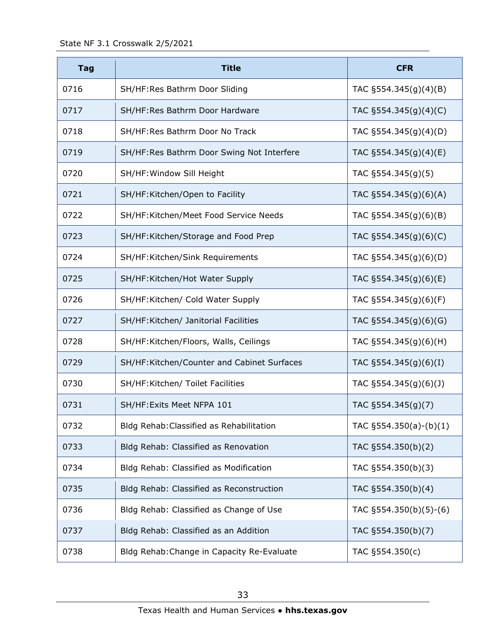| <b>Tag</b> | <b>Title</b>                               | <b>CFR</b>                |
|------------|--------------------------------------------|---------------------------|
| 0716       | SH/HF:Res Bathrm Door Sliding              | TAC §554.345(g)(4)(B)     |
| 0717       | SH/HF: Res Bathrm Door Hardware            | TAC §554.345(g)(4)(C)     |
| 0718       | SH/HF: Res Bathrm Door No Track            | TAC $\S554.345(g)(4)(D)$  |
| 0719       | SH/HF:Res Bathrm Door Swing Not Interfere  | TAC §554.345(g)(4)(E)     |
| 0720       | SH/HF: Window Sill Height                  | TAC $§554.345(g)(5)$      |
| 0721       | SH/HF: Kitchen/Open to Facility            | TAC §554.345(g)(6)(A)     |
| 0722       | SH/HF: Kitchen/Meet Food Service Needs     | TAC $\S554.345(g)(6)(B)$  |
| 0723       | SH/HF:Kitchen/Storage and Food Prep        | TAC $\S554.345(g)(6)(C)$  |
| 0724       | SH/HF: Kitchen/Sink Requirements           | TAC §554.345(g)(6)(D)     |
| 0725       | SH/HF: Kitchen/Hot Water Supply            | TAC $\S554.345(g)(6)(E)$  |
| 0726       | SH/HF:Kitchen/ Cold Water Supply           | TAC §554.345(g)(6)(F)     |
| 0727       | SH/HF: Kitchen/ Janitorial Facilities      | TAC $\S554.345(g)(6)(G)$  |
| 0728       | SH/HF:Kitchen/Floors, Walls, Ceilings      | TAC §554.345(g)(6)(H)     |
| 0729       | SH/HF:Kitchen/Counter and Cabinet Surfaces | TAC $\S554.345(g)(6)(I)$  |
| 0730       | SH/HF: Kitchen/ Toilet Facilities          | TAC $\S554.345(g)(6)(J)$  |
| 0731       | SH/HF: Exits Meet NFPA 101                 | TAC §554.345(g)(7)        |
| 0732       | Bldg Rehab: Classified as Rehabilitation   | TAC §554.350(a)-(b)(1)    |
| 0733       | Bldg Rehab: Classified as Renovation       | TAC §554.350(b)(2)        |
| 0734       | Bldg Rehab: Classified as Modification     | TAC §554.350(b)(3)        |
| 0735       | Bldg Rehab: Classified as Reconstruction   | TAC §554.350(b)(4)        |
| 0736       | Bldg Rehab: Classified as Change of Use    | TAC $\S554.350(b)(5)-(6)$ |
| 0737       | Bldg Rehab: Classified as an Addition      | TAC §554.350(b)(7)        |
| 0738       | Bldg Rehab: Change in Capacity Re-Evaluate | TAC §554.350(c)           |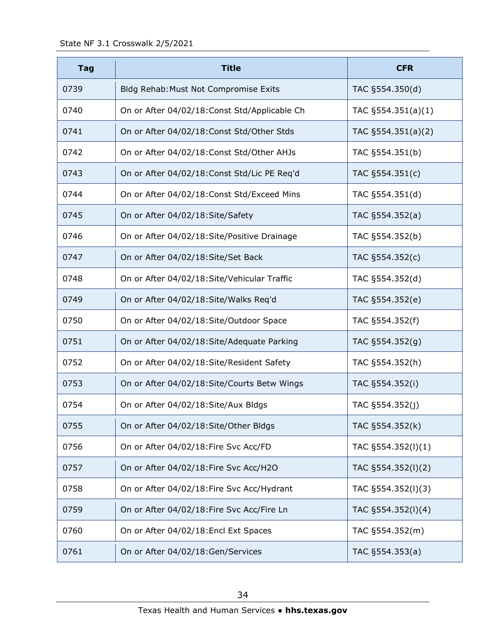| <b>Tag</b> | <b>Title</b>                                  | <b>CFR</b>            |
|------------|-----------------------------------------------|-----------------------|
| 0739       | Bldg Rehab: Must Not Compromise Exits         | TAC §554.350(d)       |
| 0740       | On or After 04/02/18: Const Std/Applicable Ch | TAC $§554.351(a)(1)$  |
| 0741       | On or After 04/02/18: Const Std/Other Stds    | TAC $\S554.351(a)(2)$ |
| 0742       | On or After 04/02/18: Const Std/Other AHJs    | TAC §554.351(b)       |
| 0743       | On or After 04/02/18: Const Std/Lic PE Req'd  | TAC §554.351(c)       |
| 0744       | On or After 04/02/18: Const Std/Exceed Mins   | TAC §554.351(d)       |
| 0745       | On or After 04/02/18: Site/Safety             | TAC §554.352(a)       |
| 0746       | On or After 04/02/18: Site/Positive Drainage  | TAC §554.352(b)       |
| 0747       | On or After 04/02/18:Site/Set Back            | TAC §554.352(c)       |
| 0748       | On or After 04/02/18:Site/Vehicular Traffic   | TAC §554.352(d)       |
| 0749       | On or After 04/02/18:Site/Walks Req'd         | TAC §554.352(e)       |
| 0750       | On or After 04/02/18: Site/Outdoor Space      | TAC §554.352(f)       |
| 0751       | On or After 04/02/18: Site/Adequate Parking   | TAC §554.352(g)       |
| 0752       | On or After 04/02/18: Site/Resident Safety    | TAC §554.352(h)       |
| 0753       | On or After 04/02/18:Site/Courts Betw Wings   | TAC §554.352(i)       |
| 0754       | On or After 04/02/18: Site/Aux Bldgs          | TAC §554.352(j)       |
| 0755       | On or After 04/02/18:Site/Other Bldgs         | TAC §554.352(k)       |
| 0756       | On or After 04/02/18: Fire Svc Acc/FD         | TAC §554.352(l)(1)    |
| 0757       | On or After 04/02/18: Fire Svc Acc/H2O        | TAC §554.352(I)(2)    |
| 0758       | On or After 04/02/18: Fire Svc Acc/Hydrant    | TAC §554.352(I)(3)    |
| 0759       | On or After 04/02/18: Fire Svc Acc/Fire Ln    | TAC §554.352(I)(4)    |
| 0760       | On or After 04/02/18: Encl Ext Spaces         | TAC §554.352(m)       |
| 0761       | On or After 04/02/18:Gen/Services             | TAC §554.353(a)       |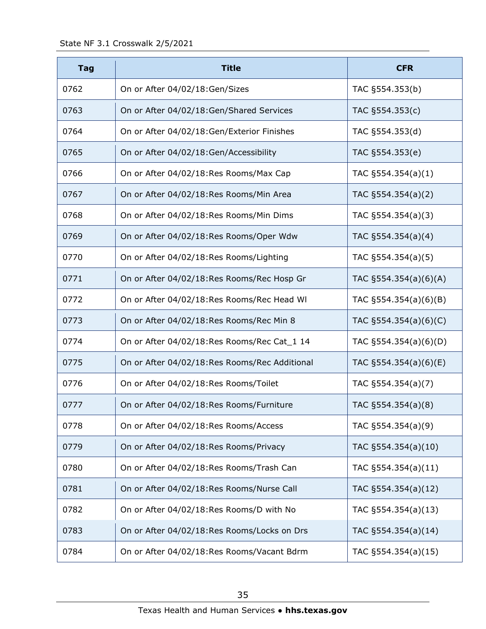| <b>Tag</b> | <b>Title</b>                                  | <b>CFR</b>               |
|------------|-----------------------------------------------|--------------------------|
| 0762       | On or After 04/02/18:Gen/Sizes                | TAC §554.353(b)          |
| 0763       | On or After 04/02/18:Gen/Shared Services      | TAC §554.353(c)          |
| 0764       | On or After 04/02/18:Gen/Exterior Finishes    | TAC §554.353(d)          |
| 0765       | On or After 04/02/18:Gen/Accessibility        | TAC §554.353(e)          |
| 0766       | On or After 04/02/18:Res Rooms/Max Cap        | TAC $\S554.354(a)(1)$    |
| 0767       | On or After 04/02/18:Res Rooms/Min Area       | TAC §554.354(a)(2)       |
| 0768       | On or After 04/02/18:Res Rooms/Min Dims       | TAC $\S554.354(a)(3)$    |
| 0769       | On or After 04/02/18:Res Rooms/Oper Wdw       | TAC §554.354(a)(4)       |
| 0770       | On or After 04/02/18:Res Rooms/Lighting       | TAC §554.354(a)(5)       |
| 0771       | On or After 04/02/18:Res Rooms/Rec Hosp Gr    | TAC $§554.354(a)(6)(A)$  |
| 0772       | On or After 04/02/18:Res Rooms/Rec Head WI    | TAC $\S554.354(a)(6)(B)$ |
| 0773       | On or After 04/02/18:Res Rooms/Rec Min 8      | TAC $\S554.354(a)(6)(C)$ |
| 0774       | On or After 04/02/18:Res Rooms/Rec Cat_1 14   | TAC §554.354(a)(6)(D)    |
| 0775       | On or After 04/02/18:Res Rooms/Rec Additional | TAC $\S554.354(a)(6)(E)$ |
| 0776       | On or After 04/02/18:Res Rooms/Toilet         | TAC §554.354(a)(7)       |
| 0777       | On or After 04/02/18:Res Rooms/Furniture      | TAC §554.354(a)(8)       |
| 0778       | On or After 04/02/18:Res Rooms/Access         | TAC §554.354(a)(9)       |
| 0779       | On or After 04/02/18:Res Rooms/Privacy        | TAC §554.354(a)(10)      |
| 0780       | On or After 04/02/18:Res Rooms/Trash Can      | TAC §554.354(a)(11)      |
| 0781       | On or After 04/02/18:Res Rooms/Nurse Call     | TAC §554.354(a)(12)      |
| 0782       | On or After 04/02/18:Res Rooms/D with No      | TAC §554.354(a)(13)      |
| 0783       | On or After 04/02/18:Res Rooms/Locks on Drs   | TAC §554.354(a)(14)      |
| 0784       | On or After 04/02/18:Res Rooms/Vacant Bdrm    | TAC §554.354(a)(15)      |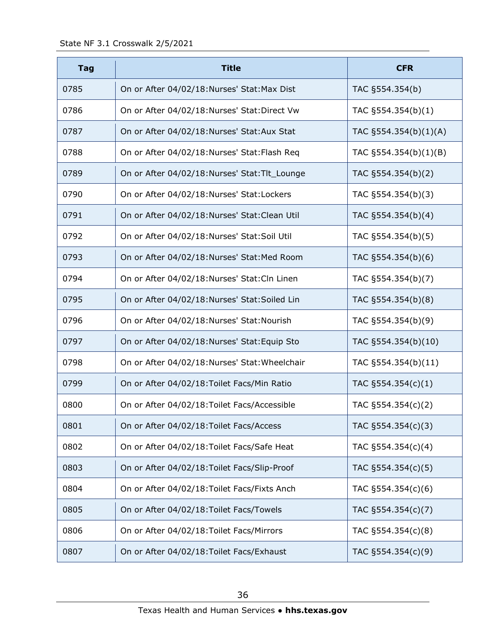| <b>Tag</b> | <b>Title</b>                                   | <b>CFR</b>            |
|------------|------------------------------------------------|-----------------------|
| 0785       | On or After 04/02/18: Nurses' Stat: Max Dist   | TAC §554.354(b)       |
| 0786       | On or After 04/02/18:Nurses' Stat:Direct Vw    | TAC §554.354(b)(1)    |
| 0787       | On or After 04/02/18:Nurses' Stat:Aux Stat     | TAC §554.354(b)(1)(A) |
| 0788       | On or After 04/02/18:Nurses' Stat:Flash Req    | TAC §554.354(b)(1)(B) |
| 0789       | On or After 04/02/18:Nurses' Stat:Tlt_Lounge   | TAC §554.354(b)(2)    |
| 0790       | On or After 04/02/18:Nurses' Stat:Lockers      | TAC §554.354(b)(3)    |
| 0791       | On or After 04/02/18:Nurses' Stat:Clean Util   | TAC §554.354(b)(4)    |
| 0792       | On or After 04/02/18: Nurses' Stat: Soil Util  | TAC §554.354(b)(5)    |
| 0793       | On or After 04/02/18:Nurses' Stat:Med Room     | TAC §554.354(b)(6)    |
| 0794       | On or After 04/02/18:Nurses' Stat:Cln Linen    | TAC §554.354(b)(7)    |
| 0795       | On or After 04/02/18:Nurses' Stat:Soiled Lin   | TAC §554.354(b)(8)    |
| 0796       | On or After 04/02/18:Nurses' Stat:Nourish      | TAC §554.354(b)(9)    |
| 0797       | On or After 04/02/18:Nurses' Stat: Equip Sto   | TAC §554.354(b)(10)   |
| 0798       | On or After 04/02/18: Nurses' Stat: Wheelchair | TAC §554.354(b)(11)   |
| 0799       | On or After 04/02/18: Toilet Facs/Min Ratio    | TAC $\S554.354(c)(1)$ |
| 0800       | On or After 04/02/18: Toilet Facs/Accessible   | TAC §554.354(c)(2)    |
| 0801       | On or After 04/02/18: Toilet Facs/Access       | TAC §554.354(c)(3)    |
| 0802       | On or After 04/02/18: Toilet Facs/Safe Heat    | TAC $\S554.354(c)(4)$ |
| 0803       | On or After 04/02/18: Toilet Facs/Slip-Proof   | TAC §554.354(c)(5)    |
| 0804       | On or After 04/02/18: Toilet Facs/Fixts Anch   | TAC §554.354(c)(6)    |
| 0805       | On or After 04/02/18: Toilet Facs/Towels       | TAC §554.354(c)(7)    |
| 0806       | On or After 04/02/18: Toilet Facs/Mirrors      | TAC §554.354(c)(8)    |
| 0807       | On or After 04/02/18: Toilet Facs/Exhaust      | TAC §554.354(c)(9)    |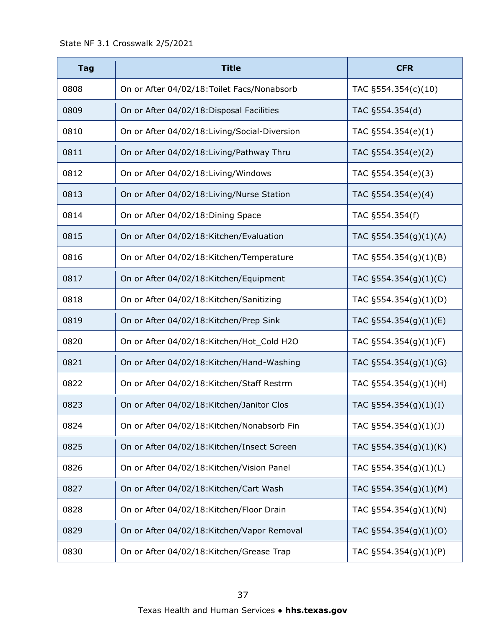| <b>Tag</b> | <b>Title</b>                                  | <b>CFR</b>                |
|------------|-----------------------------------------------|---------------------------|
| 0808       | On or After 04/02/18: Toilet Facs/Nonabsorb   | TAC §554.354(c)(10)       |
| 0809       | On or After 04/02/18: Disposal Facilities     | TAC §554.354(d)           |
| 0810       | On or After 04/02/18: Living/Social-Diversion | TAC §554.354(e)(1)        |
| 0811       | On or After 04/02/18: Living/Pathway Thru     | TAC §554.354(e)(2)        |
| 0812       | On or After 04/02/18: Living/Windows          | TAC §554.354(e)(3)        |
| 0813       | On or After 04/02/18: Living/Nurse Station    | TAC §554.354(e)(4)        |
| 0814       | On or After 04/02/18: Dining Space            | TAC §554.354(f)           |
| 0815       | On or After 04/02/18: Kitchen/Evaluation      | TAC §554.354(g)(1)(A)     |
| 0816       | On or After 04/02/18: Kitchen/Temperature     | TAC §554.354(g)(1)(B)     |
| 0817       | On or After 04/02/18: Kitchen/Equipment       | TAC $\S554.354(g)(1)(C)$  |
| 0818       | On or After 04/02/18: Kitchen/Sanitizing      | TAC §554.354(g)(1)(D)     |
| 0819       | On or After 04/02/18: Kitchen/Prep Sink       | TAC $\S554.354(g)(1)(E)$  |
| 0820       | On or After 04/02/18: Kitchen/Hot_Cold H2O    | TAC §554.354(g)(1)(F)     |
| 0821       | On or After 04/02/18: Kitchen/Hand-Washing    | TAC $\S554.354(g)(1)(G)$  |
| 0822       | On or After 04/02/18: Kitchen/Staff Restrm    | TAC §554.354(g)(1)(H)     |
| 0823       | On or After 04/02/18: Kitchen/Janitor Clos    | TAC $\S 554.354(g)(1)(I)$ |
| 0824       | On or After 04/02/18: Kitchen/Nonabsorb Fin   | TAC §554.354(g)(1)(J)     |
| 0825       | On or After 04/02/18: Kitchen/Insect Screen   | TAC §554.354(g)(1)(K)     |
| 0826       | On or After 04/02/18: Kitchen/Vision Panel    | TAC §554.354(g)(1)(L)     |
| 0827       | On or After 04/02/18: Kitchen/Cart Wash       | TAC §554.354(g)(1)(M)     |
| 0828       | On or After 04/02/18: Kitchen/Floor Drain     | TAC §554.354(g)(1)(N)     |
| 0829       | On or After 04/02/18: Kitchen/Vapor Removal   | TAC §554.354(g)(1)(O)     |
| 0830       | On or After 04/02/18: Kitchen/Grease Trap     | TAC §554.354(g)(1)(P)     |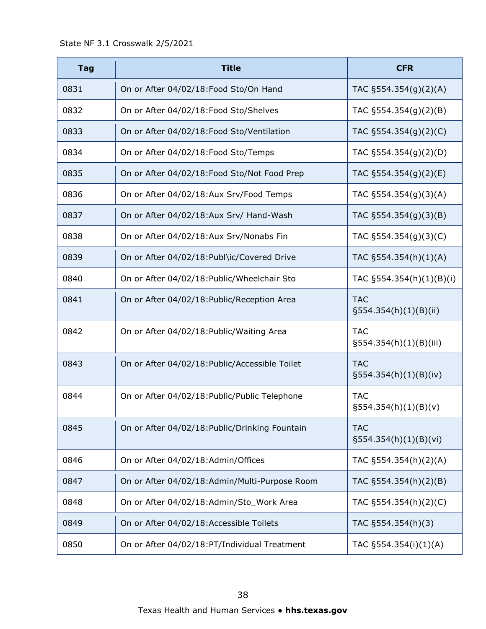| <b>Tag</b> | <b>Title</b>                                   | <b>CFR</b>                             |
|------------|------------------------------------------------|----------------------------------------|
| 0831       | On or After 04/02/18: Food Sto/On Hand         | TAC $\S554.354(g)(2)(A)$               |
| 0832       | On or After 04/02/18: Food Sto/Shelves         | TAC $\S554.354(g)(2)(B)$               |
| 0833       | On or After 04/02/18: Food Sto/Ventilation     | TAC $\S554.354(g)(2)(C)$               |
| 0834       | On or After 04/02/18: Food Sto/Temps           | TAC §554.354(g)(2)(D)                  |
| 0835       | On or After 04/02/18: Food Sto/Not Food Prep   | TAC $\S554.354(g)(2)(E)$               |
| 0836       | On or After 04/02/18:Aux Srv/Food Temps        | TAC §554.354(g)(3)(A)                  |
| 0837       | On or After 04/02/18:Aux Srv/ Hand-Wash        | TAC $\S554.354(g)(3)(B)$               |
| 0838       | On or After 04/02/18:Aux Srv/Nonabs Fin        | TAC §554.354(g)(3)(C)                  |
| 0839       | On or After 04/02/18: Publ\ic/Covered Drive    | TAC §554.354(h)(1)(A)                  |
| 0840       | On or After 04/02/18: Public/Wheelchair Sto    | TAC §554.354(h)(1)(B)(i)               |
| 0841       | On or After 04/02/18: Public/Reception Area    | <b>TAC</b><br>$\S554.354(h)(1)(B)(ii)$ |
| 0842       | On or After 04/02/18: Public/Waiting Area      | <b>TAC</b><br>§554.354(h)(1)(B)(iii)   |
| 0843       | On or After 04/02/18: Public/Accessible Toilet | <b>TAC</b><br>$\S554.354(h)(1)(B(iv))$ |
| 0844       | On or After 04/02/18: Public/Public Telephone  | <b>TAC</b><br>$\S554.354(h)(1)(B)(v)$  |
| 0845       | On or After 04/02/18: Public/Drinking Fountain | <b>TAC</b><br>§554.354(h)(1)(B)(vi)    |
| 0846       | On or After 04/02/18:Admin/Offices             | TAC §554.354(h)(2)(A)                  |
| 0847       | On or After 04/02/18:Admin/Multi-Purpose Room  | TAC §554.354(h)(2)(B)                  |
| 0848       | On or After 04/02/18:Admin/Sto_Work Area       | TAC §554.354(h)(2)(C)                  |
| 0849       | On or After 04/02/18: Accessible Toilets       | TAC §554.354(h)(3)                     |
| 0850       | On or After 04/02/18:PT/Individual Treatment   | TAC §554.354(i)(1)(A)                  |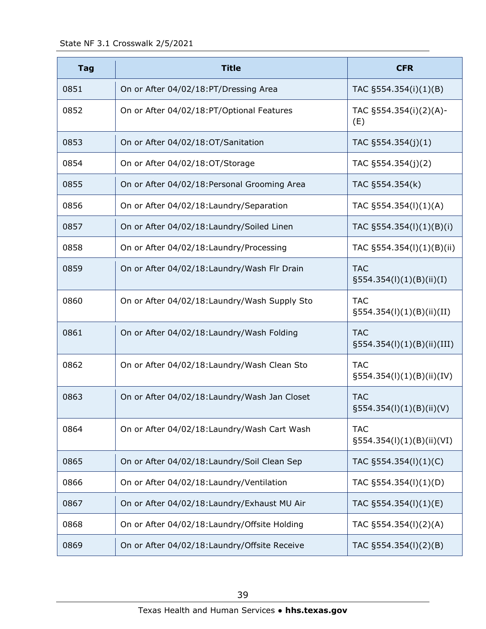State NF 3.1 Crosswalk 2/5/2021

| <b>Tag</b> | <b>Title</b>                                  | <b>CFR</b>                                 |
|------------|-----------------------------------------------|--------------------------------------------|
| 0851       | On or After 04/02/18:PT/Dressing Area         | TAC §554.354(i)(1)(B)                      |
| 0852       | On or After 04/02/18:PT/Optional Features     | TAC §554.354(i)(2)(A)-<br>(E)              |
| 0853       | On or After 04/02/18:OT/Sanitation            | TAC §554.354(j)(1)                         |
| 0854       | On or After 04/02/18:OT/Storage               | TAC §554.354(j)(2)                         |
| 0855       | On or After 04/02/18: Personal Grooming Area  | TAC §554.354(k)                            |
| 0856       | On or After 04/02/18: Laundry/Separation      | TAC §554.354(I)(1)(A)                      |
| 0857       | On or After 04/02/18: Laundry/Soiled Linen    | TAC §554.354(l)(1)(B)(i)                   |
| 0858       | On or After 04/02/18: Laundry/Processing      | TAC §554.354(l)(1)(B)(ii)                  |
| 0859       | On or After 04/02/18: Laundry/Wash Flr Drain  | <b>TAC</b><br>$\S554.354(I)(1)(B)(ii)(I)$  |
| 0860       | On or After 04/02/18: Laundry/Wash Supply Sto | <b>TAC</b><br>$\S554.354(l)(1)(B)(ii)(II)$ |
| 0861       | On or After 04/02/18: Laundry/Wash Folding    | <b>TAC</b><br>§554.354(l)(1)(B)(ii)(III)   |
| 0862       | On or After 04/02/18: Laundry/Wash Clean Sto  | <b>TAC</b><br>$\S554.354(I)(1)(B)(ii)(IV)$ |
| 0863       | On or After 04/02/18: Laundry/Wash Jan Closet | <b>TAC</b><br>$\S554.354(I)(1)(B)(ii)(V)$  |
| 0864       | On or After 04/02/18: Laundry/Wash Cart Wash  | <b>TAC</b><br>§554.354(l)(1)(B)(ii)(VI)    |
| 0865       | On or After 04/02/18: Laundry/Soil Clean Sep  | TAC §554.354(l)(1)(C)                      |
| 0866       | On or After 04/02/18: Laundry/Ventilation     | TAC §554.354(l)(1)(D)                      |
| 0867       | On or After 04/02/18: Laundry/Exhaust MU Air  | TAC §554.354(I)(1)(E)                      |
| 0868       | On or After 04/02/18: Laundry/Offsite Holding | TAC §554.354(I)(2)(A)                      |
| 0869       | On or After 04/02/18: Laundry/Offsite Receive | TAC §554.354(I)(2)(B)                      |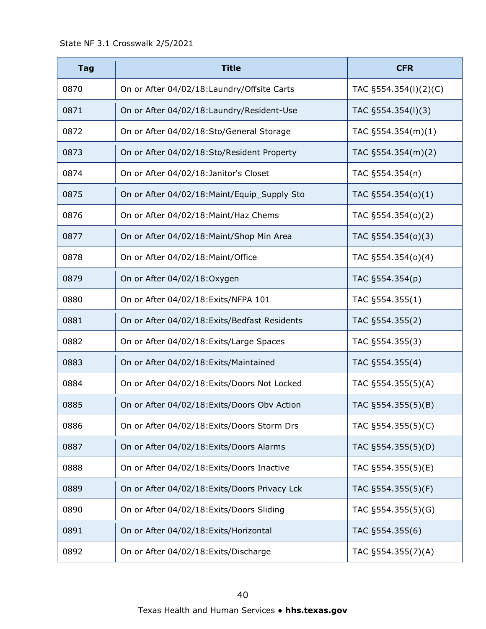| <b>Tag</b> | <b>Title</b>                                  | <b>CFR</b>            |
|------------|-----------------------------------------------|-----------------------|
| 0870       | On or After 04/02/18: Laundry/Offsite Carts   | TAC §554.354(I)(2)(C) |
| 0871       | On or After 04/02/18: Laundry/Resident-Use    | TAC §554.354(I)(3)    |
| 0872       | On or After 04/02/18:Sto/General Storage      | TAC $\S554.354(m)(1)$ |
| 0873       | On or After 04/02/18:Sto/Resident Property    | TAC $\S554.354(m)(2)$ |
| 0874       | On or After 04/02/18: Janitor's Closet        | TAC §554.354(n)       |
| 0875       | On or After 04/02/18: Maint/Equip_Supply Sto  | TAC §554.354(o)(1)    |
| 0876       | On or After 04/02/18: Maint/Haz Chems         | TAC §554.354(o)(2)    |
| 0877       | On or After 04/02/18: Maint/Shop Min Area     | TAC §554.354(o)(3)    |
| 0878       | On or After 04/02/18: Maint/Office            | TAC §554.354(o)(4)    |
| 0879       | On or After 04/02/18:Oxygen                   | TAC §554.354(p)       |
| 0880       | On or After 04/02/18: Exits/NFPA 101          | TAC §554.355(1)       |
| 0881       | On or After 04/02/18: Exits/Bedfast Residents | TAC §554.355(2)       |
| 0882       | On or After 04/02/18: Exits/Large Spaces      | TAC §554.355(3)       |
| 0883       | On or After 04/02/18: Exits/Maintained        | TAC §554.355(4)       |
| 0884       | On or After 04/02/18: Exits/Doors Not Locked  | TAC §554.355(5)(A)    |
| 0885       | On or After 04/02/18: Exits/Doors Obv Action  | TAC §554.355(5)(B)    |
| 0886       | On or After 04/02/18: Exits/Doors Storm Drs   | TAC §554.355(5)(C)    |
| 0887       | On or After 04/02/18: Exits/Doors Alarms      | TAC §554.355(5)(D)    |
| 0888       | On or After 04/02/18: Exits/Doors Inactive    | TAC §554.355(5)(E)    |
| 0889       | On or After 04/02/18: Exits/Doors Privacy Lck | TAC §554.355(5)(F)    |
| 0890       | On or After 04/02/18: Exits/Doors Sliding     | TAC §554.355(5)(G)    |
| 0891       | On or After 04/02/18: Exits/Horizontal        | TAC §554.355(6)       |
| 0892       | On or After 04/02/18: Exits/Discharge         | TAC §554.355(7)(A)    |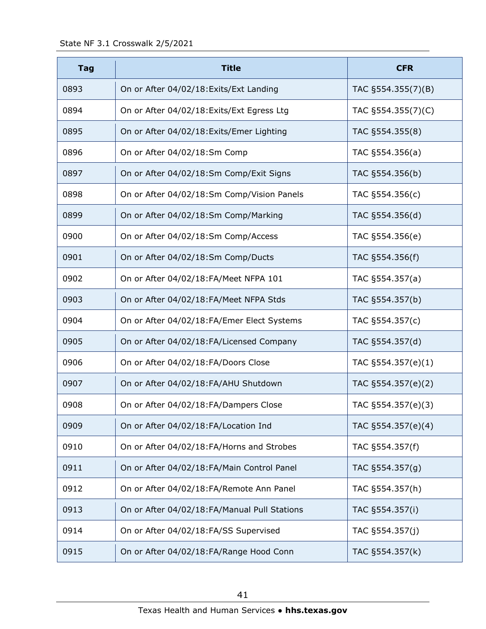| <b>Tag</b> | <b>Title</b>                                 | <b>CFR</b>         |
|------------|----------------------------------------------|--------------------|
| 0893       | On or After 04/02/18: Exits/Ext Landing      | TAC §554.355(7)(B) |
| 0894       | On or After 04/02/18: Exits/Ext Egress Ltg   | TAC §554.355(7)(C) |
| 0895       | On or After 04/02/18: Exits/Emer Lighting    | TAC §554.355(8)    |
| 0896       | On or After 04/02/18:Sm Comp                 | TAC §554.356(a)    |
| 0897       | On or After 04/02/18:Sm Comp/Exit Signs      | TAC §554.356(b)    |
| 0898       | On or After 04/02/18:Sm Comp/Vision Panels   | TAC §554.356(c)    |
| 0899       | On or After 04/02/18:Sm Comp/Marking         | TAC §554.356(d)    |
| 0900       | On or After 04/02/18:Sm Comp/Access          | TAC §554.356(e)    |
| 0901       | On or After 04/02/18:Sm Comp/Ducts           | TAC §554.356(f)    |
| 0902       | On or After 04/02/18:FA/Meet NFPA 101        | TAC §554.357(a)    |
| 0903       | On or After 04/02/18:FA/Meet NFPA Stds       | TAC §554.357(b)    |
| 0904       | On or After 04/02/18:FA/Emer Elect Systems   | TAC §554.357(c)    |
| 0905       | On or After 04/02/18:FA/Licensed Company     | TAC §554.357(d)    |
| 0906       | On or After 04/02/18:FA/Doors Close          | TAC §554.357(e)(1) |
| 0907       | On or After 04/02/18:FA/AHU Shutdown         | TAC §554.357(e)(2) |
| 0908       | On or After 04/02/18:FA/Dampers Close        | TAC §554.357(e)(3) |
| 0909       | On or After 04/02/18:FA/Location Ind         | TAC §554.357(e)(4) |
| 0910       | On or After 04/02/18:FA/Horns and Strobes    | TAC §554.357(f)    |
| 0911       | On or After 04/02/18:FA/Main Control Panel   | TAC §554.357(g)    |
| 0912       | On or After 04/02/18:FA/Remote Ann Panel     | TAC §554.357(h)    |
| 0913       | On or After 04/02/18:FA/Manual Pull Stations | TAC §554.357(i)    |
| 0914       | On or After 04/02/18:FA/SS Supervised        | TAC §554.357(j)    |
| 0915       | On or After 04/02/18:FA/Range Hood Conn      | TAC §554.357(k)    |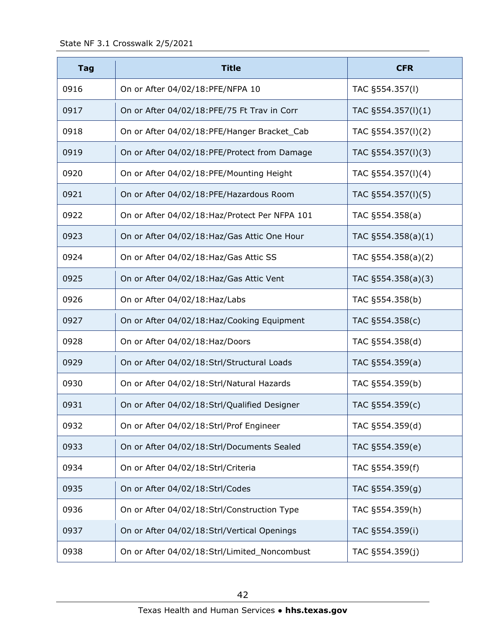| <b>Tag</b> | <b>Title</b>                                   | <b>CFR</b>             |
|------------|------------------------------------------------|------------------------|
| 0916       | On or After 04/02/18:PFE/NFPA 10               | TAC §554.357(I)        |
| 0917       | On or After 04/02/18:PFE/75 Ft Trav in Corr    | TAC $\S$ 554.357(I)(1) |
| 0918       | On or After 04/02/18:PFE/Hanger Bracket_Cab    | TAC §554.357(I)(2)     |
| 0919       | On or After 04/02/18:PFE/Protect from Damage   | TAC §554.357(I)(3)     |
| 0920       | On or After 04/02/18:PFE/Mounting Height       | TAC §554.357(I)(4)     |
| 0921       | On or After 04/02/18:PFE/Hazardous Room        | TAC §554.357(I)(5)     |
| 0922       | On or After 04/02/18: Haz/Protect Per NFPA 101 | TAC §554.358(a)        |
| 0923       | On or After 04/02/18: Haz/Gas Attic One Hour   | TAC $\S554.358(a)(1)$  |
| 0924       | On or After 04/02/18: Haz/Gas Attic SS         | TAC §554.358(a)(2)     |
| 0925       | On or After 04/02/18: Haz/Gas Attic Vent       | TAC §554.358(a)(3)     |
| 0926       | On or After 04/02/18: Haz/Labs                 | TAC §554.358(b)        |
| 0927       | On or After 04/02/18: Haz/Cooking Equipment    | TAC §554.358(c)        |
| 0928       | On or After 04/02/18: Haz/Doors                | TAC §554.358(d)        |
| 0929       | On or After 04/02/18:Strl/Structural Loads     | TAC §554.359(a)        |
| 0930       | On or After 04/02/18:Strl/Natural Hazards      | TAC §554.359(b)        |
| 0931       | On or After 04/02/18:Strl/Qualified Designer   | TAC §554.359(c)        |
| 0932       | On or After 04/02/18:Strl/Prof Engineer        | TAC §554.359(d)        |
| 0933       | On or After 04/02/18:Strl/Documents Sealed     | TAC §554.359(e)        |
| 0934       | On or After 04/02/18:Strl/Criteria             | TAC §554.359(f)        |
| 0935       | On or After 04/02/18:Strl/Codes                | TAC §554.359(g)        |
| 0936       | On or After 04/02/18:Strl/Construction Type    | TAC §554.359(h)        |
| 0937       | On or After 04/02/18:Strl/Vertical Openings    | TAC §554.359(i)        |
| 0938       | On or After 04/02/18:Strl/Limited_Noncombust   | TAC §554.359(j)        |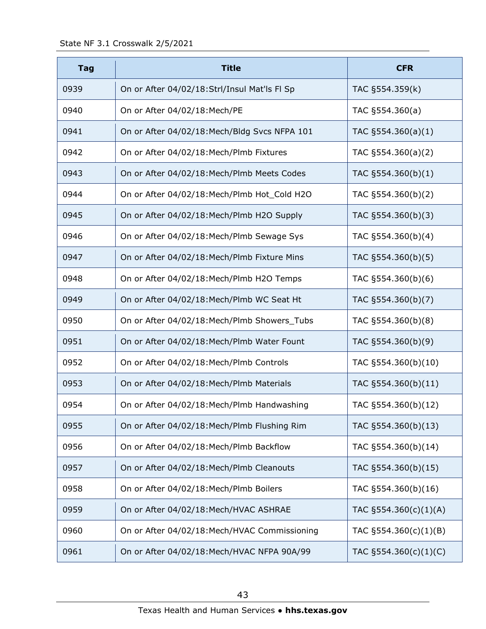| <b>Tag</b> | <b>Title</b>                                  | <b>CFR</b>            |
|------------|-----------------------------------------------|-----------------------|
| 0939       | On or After 04/02/18:Strl/Insul Mat'ls Fl Sp  | TAC §554.359(k)       |
| 0940       | On or After 04/02/18: Mech/PE                 | TAC §554.360(a)       |
| 0941       | On or After 04/02/18: Mech/Bldg Svcs NFPA 101 | TAC $\S554.360(a)(1)$ |
| 0942       | On or After 04/02/18: Mech/Plmb Fixtures      | TAC $\S554.360(a)(2)$ |
| 0943       | On or After 04/02/18: Mech/Plmb Meets Codes   | TAC §554.360(b)(1)    |
| 0944       | On or After 04/02/18: Mech/Plmb Hot_Cold H2O  | TAC §554.360(b)(2)    |
| 0945       | On or After 04/02/18: Mech/Plmb H2O Supply    | TAC §554.360(b)(3)    |
| 0946       | On or After 04/02/18: Mech/Plmb Sewage Sys    | TAC §554.360(b)(4)    |
| 0947       | On or After 04/02/18: Mech/Plmb Fixture Mins  | TAC §554.360(b)(5)    |
| 0948       | On or After 04/02/18: Mech/Plmb H2O Temps     | TAC §554.360(b)(6)    |
| 0949       | On or After 04/02/18: Mech/Plmb WC Seat Ht    | TAC §554.360(b)(7)    |
| 0950       | On or After 04/02/18: Mech/Plmb Showers_Tubs  | TAC §554.360(b)(8)    |
| 0951       | On or After 04/02/18: Mech/Plmb Water Fount   | TAC §554.360(b)(9)    |
| 0952       | On or After 04/02/18: Mech/Plmb Controls      | TAC §554.360(b)(10)   |
| 0953       | On or After 04/02/18: Mech/Plmb Materials     | TAC §554.360(b)(11)   |
| 0954       | On or After 04/02/18: Mech/Plmb Handwashing   | TAC §554.360(b)(12)   |
| 0955       | On or After 04/02/18: Mech/Plmb Flushing Rim  | TAC §554.360(b)(13)   |
| 0956       | On or After 04/02/18: Mech/Plmb Backflow      | TAC §554.360(b)(14)   |
| 0957       | On or After 04/02/18: Mech/Plmb Cleanouts     | TAC §554.360(b)(15)   |
| 0958       | On or After 04/02/18: Mech/Plmb Boilers       | TAC §554.360(b)(16)   |
| 0959       | On or After 04/02/18: Mech/HVAC ASHRAE        | TAC §554.360(c)(1)(A) |
| 0960       | On or After 04/02/18: Mech/HVAC Commissioning | TAC §554.360(c)(1)(B) |
| 0961       | On or After 04/02/18: Mech/HVAC NFPA 90A/99   | TAC §554.360(c)(1)(C) |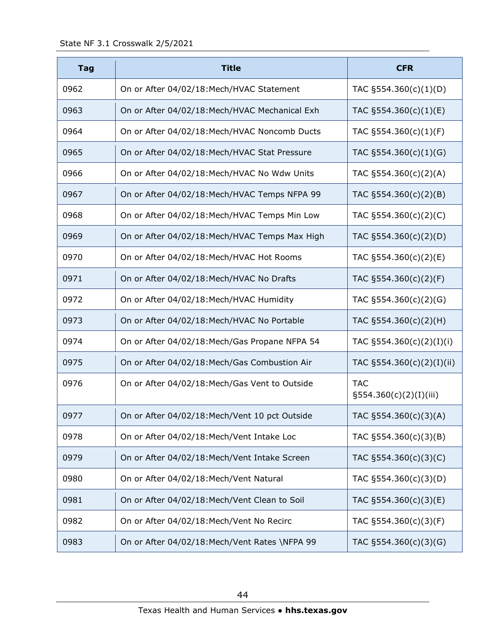| <b>Tag</b> | <b>Title</b>                                   | <b>CFR</b>                              |
|------------|------------------------------------------------|-----------------------------------------|
| 0962       | On or After 04/02/18: Mech/HVAC Statement      | TAC $\S554.360(c)(1)(D)$                |
| 0963       | On or After 04/02/18: Mech/HVAC Mechanical Exh | TAC $\S554.360(c)(1)(E)$                |
| 0964       | On or After 04/02/18: Mech/HVAC Noncomb Ducts  | TAC §554.360(c)(1)(F)                   |
| 0965       | On or After 04/02/18: Mech/HVAC Stat Pressure  | TAC $\S 554.360(c)(1)(G)$               |
| 0966       | On or After 04/02/18: Mech/HVAC No Wdw Units   | TAC $\S554.360(c)(2)(A)$                |
| 0967       | On or After 04/02/18: Mech/HVAC Temps NFPA 99  | TAC $\S554.360(c)(2)(B)$                |
| 0968       | On or After 04/02/18: Mech/HVAC Temps Min Low  | TAC §554.360(c)(2)(C)                   |
| 0969       | On or After 04/02/18: Mech/HVAC Temps Max High | TAC §554.360(c)(2)(D)                   |
| 0970       | On or After 04/02/18: Mech/HVAC Hot Rooms      | TAC §554.360(c)(2)(E)                   |
| 0971       | On or After 04/02/18: Mech/HVAC No Drafts      | TAC §554.360(c)(2)(F)                   |
| 0972       | On or After 04/02/18: Mech/HVAC Humidity       | TAC $\S554.360(c)(2)(G)$                |
| 0973       | On or After 04/02/18: Mech/HVAC No Portable    | TAC $\S554.360(c)(2)(H)$                |
| 0974       | On or After 04/02/18: Mech/Gas Propane NFPA 54 | TAC §554.360(c)(2)(I)(i)                |
| 0975       | On or After 04/02/18: Mech/Gas Combustion Air  | TAC §554.360(c)(2)(I)(ii)               |
| 0976       | On or After 04/02/18: Mech/Gas Vent to Outside | <b>TAC</b><br>$\S554.360(c)(2)(I)(iii)$ |
| 0977       | On or After 04/02/18: Mech/Vent 10 pct Outside | TAC §554.360(c)(3)(A)                   |
| 0978       | On or After 04/02/18: Mech/Vent Intake Loc     | TAC §554.360(c)(3)(B)                   |
| 0979       | On or After 04/02/18: Mech/Vent Intake Screen  | TAC §554.360(c)(3)(C)                   |
| 0980       | On or After 04/02/18: Mech/Vent Natural        | TAC §554.360(c)(3)(D)                   |
| 0981       | On or After 04/02/18: Mech/Vent Clean to Soil  | TAC §554.360(c)(3)(E)                   |
| 0982       | On or After 04/02/18: Mech/Vent No Recirc      | TAC §554.360(c)(3)(F)                   |
| 0983       | On or After 04/02/18: Mech/Vent Rates \NFPA 99 | TAC §554.360(c)(3)(G)                   |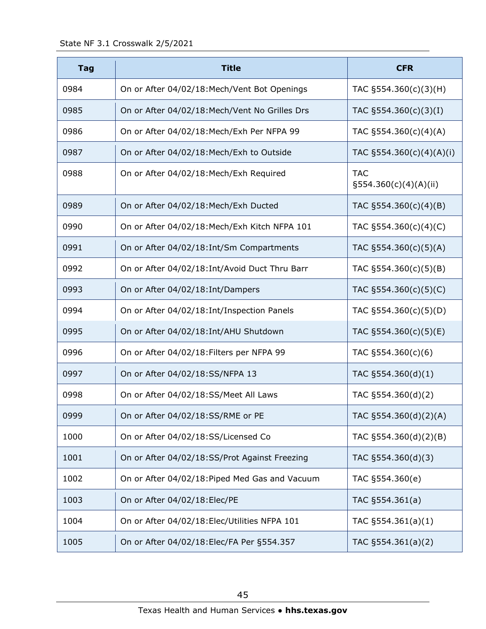| <b>Tag</b> | <b>Title</b>                                   | <b>CFR</b>                             |
|------------|------------------------------------------------|----------------------------------------|
| 0984       | On or After 04/02/18: Mech/Vent Bot Openings   | TAC §554.360(c)(3)(H)                  |
| 0985       | On or After 04/02/18: Mech/Vent No Grilles Drs | TAC $\S554.360(c)(3)(I)$               |
| 0986       | On or After 04/02/18: Mech/Exh Per NFPA 99     | TAC §554.360(c)(4)(A)                  |
| 0987       | On or After 04/02/18: Mech/Exh to Outside      | TAC §554.360(c)(4)(A)(i)               |
| 0988       | On or After 04/02/18: Mech/Exh Required        | <b>TAC</b><br>$\S554.360(c)(4)(A)(ii)$ |
| 0989       | On or After 04/02/18: Mech/Exh Ducted          | TAC $\S554.360(c)(4)(B)$               |
| 0990       | On or After 04/02/18: Mech/Exh Kitch NFPA 101  | TAC $\S554.360(c)(4)(C)$               |
| 0991       | On or After 04/02/18: Int/Sm Compartments      | TAC §554.360(c)(5)(A)                  |
| 0992       | On or After 04/02/18: Int/Avoid Duct Thru Barr | TAC $\S554.360(c)(5)(B)$               |
| 0993       | On or After 04/02/18: Int/Dampers              | TAC §554.360(c)(5)(C)                  |
| 0994       | On or After 04/02/18: Int/Inspection Panels    | TAC $\S554.360(c)(5)(D)$               |
| 0995       | On or After 04/02/18: Int/AHU Shutdown         | TAC §554.360(c)(5)(E)                  |
| 0996       | On or After 04/02/18: Filters per NFPA 99      | TAC §554.360(c)(6)                     |
| 0997       | On or After 04/02/18:SS/NFPA 13                | TAC §554.360(d)(1)                     |
| 0998       | On or After 04/02/18:SS/Meet All Laws          | TAC §554.360(d)(2)                     |
| 0999       | On or After 04/02/18:SS/RME or PE              | TAC §554.360(d)(2)(A)                  |
| 1000       | On or After 04/02/18:SS/Licensed Co            | TAC §554.360(d)(2)(B)                  |
| 1001       | On or After 04/02/18:SS/Prot Against Freezing  | TAC §554.360(d)(3)                     |
| 1002       | On or After 04/02/18: Piped Med Gas and Vacuum | TAC §554.360(e)                        |
| 1003       | On or After 04/02/18: Elec/PE                  | TAC §554.361(a)                        |
| 1004       | On or After 04/02/18: Elec/Utilities NFPA 101  | TAC $\S554.361(a)(1)$                  |
| 1005       | On or After 04/02/18: Elec/FA Per §554.357     | TAC §554.361(a)(2)                     |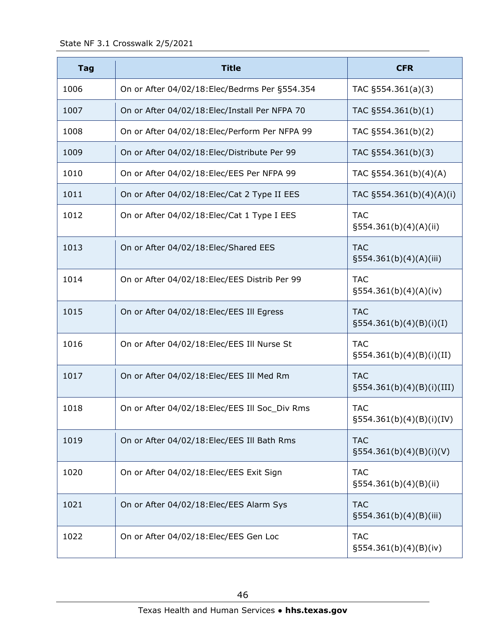| <b>Tag</b> | <b>Title</b>                                   | <b>CFR</b>                                 |
|------------|------------------------------------------------|--------------------------------------------|
| 1006       | On or After 04/02/18: Elec/Bedrms Per §554.354 | TAC $\S554.361(a)(3)$                      |
| 1007       | On or After 04/02/18: Elec/Install Per NFPA 70 | TAC §554.361(b)(1)                         |
| 1008       | On or After 04/02/18: Elec/Perform Per NFPA 99 | TAC §554.361(b)(2)                         |
| 1009       | On or After 04/02/18: Elec/Distribute Per 99   | TAC §554.361(b)(3)                         |
| 1010       | On or After 04/02/18: Elec/EES Per NFPA 99     | TAC §554.361(b)(4)(A)                      |
| 1011       | On or After 04/02/18: Elec/Cat 2 Type II EES   | TAC §554.361(b)(4)(A)(i)                   |
| 1012       | On or After 04/02/18: Elec/Cat 1 Type I EES    | <b>TAC</b><br>$\S554.361(b)(4)(A)(ii)$     |
| 1013       | On or After 04/02/18: Elec/Shared EES          | <b>TAC</b><br>$\S554.361(b)(4)(A)(iii)$    |
| 1014       | On or After 04/02/18: Elec/EES Distrib Per 99  | <b>TAC</b><br>$\S554.361(b)(4)(A)(iv)$     |
| 1015       | On or After 04/02/18: Elec/EES Ill Egress      | <b>TAC</b><br>$\S554.361(b)(4)(B)(i)(I)$   |
| 1016       | On or After 04/02/18: Elec/EES Ill Nurse St    | <b>TAC</b><br>$\S554.361(b)(4)(B)(i)(II)$  |
| 1017       | On or After 04/02/18: Elec/EES Ill Med Rm      | <b>TAC</b><br>$\S554.361(b)(4)(B)(i)(III)$ |
| 1018       | On or After 04/02/18: Elec/EES Ill Soc_Div Rms | <b>TAC</b><br>$\S554.361(b)(4)(B)(i)(IV)$  |
| 1019       | On or After 04/02/18: Elec/EES Ill Bath Rms    | <b>TAC</b><br>$\S554.361(b)(4)(B)(i)(V)$   |
| 1020       | On or After 04/02/18: Elec/EES Exit Sign       | <b>TAC</b><br>$\S554.361(b)(4)(B)(ii)$     |
| 1021       | On or After 04/02/18: Elec/EES Alarm Sys       | <b>TAC</b><br>§554.361(b)(4)(B)(iii)       |
| 1022       | On or After 04/02/18: Elec/EES Gen Loc         | <b>TAC</b><br>$\S554.361(b)(4)(B)(iv)$     |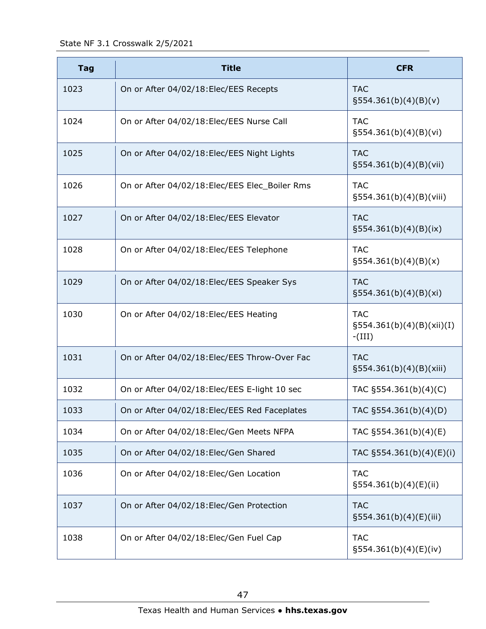State NF 3.1 Crosswalk 2/5/2021

| <b>Tag</b> | <b>Title</b>                                   | <b>CFR</b>                                              |
|------------|------------------------------------------------|---------------------------------------------------------|
| 1023       | On or After 04/02/18: Elec/EES Recepts         | <b>TAC</b><br>§554.361(b)(4)(B)(v)                      |
| 1024       | On or After 04/02/18: Elec/EES Nurse Call      | <b>TAC</b><br>$\S554.361(b)(4)(B)(vi)$                  |
| 1025       | On or After 04/02/18: Elec/EES Night Lights    | <b>TAC</b><br>$\S554.361(b)(4)(B)(Vii)$                 |
| 1026       | On or After 04/02/18: Elec/EES Elec_Boiler Rms | <b>TAC</b><br>$\S554.361(b)(4)(B)(Viii)$                |
| 1027       | On or After 04/02/18: Elec/EES Elevator        | <b>TAC</b><br>$\S554.361(b)(4)(B)(ix)$                  |
| 1028       | On or After 04/02/18: Elec/EES Telephone       | <b>TAC</b><br>$\S554.361(b)(4)(B)(x)$                   |
| 1029       | On or After 04/02/18: Elec/EES Speaker Sys     | <b>TAC</b><br>$\S554.361(b)(4)(B)(xi)$                  |
| 1030       | On or After 04/02/18: Elec/EES Heating         | <b>TAC</b><br>$\S554.361(b)(4)(B)(xii)(I)$<br>$-IIII$ ) |
| 1031       | On or After 04/02/18: Elec/EES Throw-Over Fac  | <b>TAC</b><br>$\S554.361(b)(4)(B)(xiii)$                |
| 1032       | On or After 04/02/18: Elec/EES E-light 10 sec  | TAC §554.361(b)(4)(C)                                   |
| 1033       | On or After 04/02/18: Elec/EES Red Faceplates  | TAC §554.361(b)(4)(D)                                   |
| 1034       | On or After 04/02/18: Elec/Gen Meets NFPA      | TAC §554.361(b)(4)(E)                                   |
| 1035       | On or After 04/02/18: Elec/Gen Shared          | TAC §554.361(b)(4)(E)(i)                                |
| 1036       | On or After 04/02/18: Elec/Gen Location        | <b>TAC</b><br>$\S554.361(b)(4)(E)(ii)$                  |
| 1037       | On or After 04/02/18: Elec/Gen Protection      | <b>TAC</b><br>$\S554.361(b)(4)(E)(iii)$                 |
| 1038       | On or After 04/02/18: Elec/Gen Fuel Cap        | <b>TAC</b><br>$\S554.361(b)(4)(E)(iv)$                  |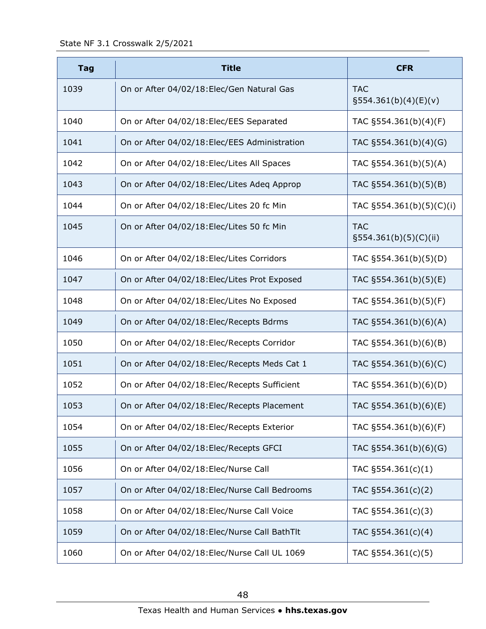State NF 3.1 Crosswalk 2/5/2021

| <b>Tag</b> | <b>Title</b>                                   | <b>CFR</b>                             |
|------------|------------------------------------------------|----------------------------------------|
| 1039       | On or After 04/02/18: Elec/Gen Natural Gas     | <b>TAC</b><br>$\S554.361(b)(4)(E)(v)$  |
| 1040       | On or After 04/02/18: Elec/EES Separated       | TAC §554.361(b)(4)(F)                  |
| 1041       | On or After 04/02/18: Elec/EES Administration  | TAC §554.361(b)(4)(G)                  |
| 1042       | On or After 04/02/18: Elec/Lites All Spaces    | TAC §554.361(b)(5)(A)                  |
| 1043       | On or After 04/02/18: Elec/Lites Adeq Approp   | TAC §554.361(b)(5)(B)                  |
| 1044       | On or After 04/02/18: Elec/Lites 20 fc Min     | TAC §554.361(b)(5)(C)(i)               |
| 1045       | On or After 04/02/18: Elec/Lites 50 fc Min     | <b>TAC</b><br>$\S554.361(b)(5)(C)(ii)$ |
| 1046       | On or After 04/02/18: Elec/Lites Corridors     | TAC §554.361(b)(5)(D)                  |
| 1047       | On or After 04/02/18: Elec/Lites Prot Exposed  | TAC §554.361(b)(5)(E)                  |
| 1048       | On or After 04/02/18: Elec/Lites No Exposed    | TAC §554.361(b)(5)(F)                  |
| 1049       | On or After 04/02/18: Elec/Recepts Bdrms       | TAC §554.361(b)(6)(A)                  |
| 1050       | On or After 04/02/18: Elec/Recepts Corridor    | TAC §554.361(b)(6)(B)                  |
| 1051       | On or After 04/02/18: Elec/Recepts Meds Cat 1  | TAC §554.361(b)(6)(C)                  |
| 1052       | On or After 04/02/18: Elec/Recepts Sufficient  | TAC §554.361(b)(6)(D)                  |
| 1053       | On or After 04/02/18: Elec/Recepts Placement   | TAC §554.361(b)(6)(E)                  |
| 1054       | On or After 04/02/18: Elec/Recepts Exterior    | TAC §554.361(b)(6)(F)                  |
| 1055       | On or After 04/02/18: Elec/Recepts GFCI        | TAC §554.361(b)(6)(G)                  |
| 1056       | On or After 04/02/18: Elec/Nurse Call          | TAC $\S554.361(c)(1)$                  |
| 1057       | On or After 04/02/18: Elec/Nurse Call Bedrooms | TAC §554.361(c)(2)                     |
| 1058       | On or After 04/02/18: Elec/Nurse Call Voice    | TAC §554.361(c)(3)                     |
| 1059       | On or After 04/02/18: Elec/Nurse Call BathTlt  | TAC §554.361(c)(4)                     |
| 1060       | On or After 04/02/18: Elec/Nurse Call UL 1069  | TAC §554.361(c)(5)                     |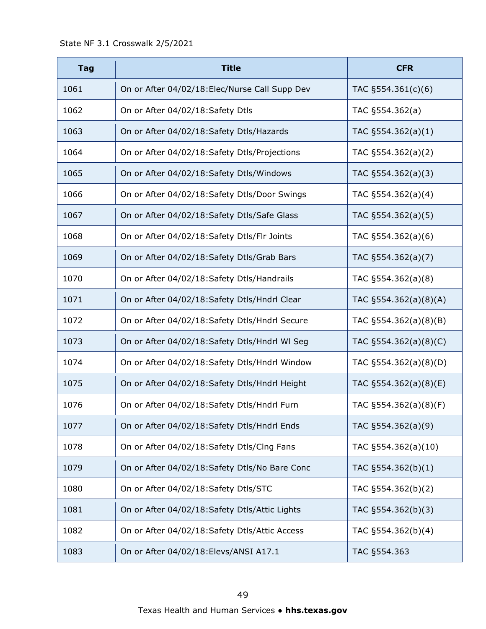| <b>Tag</b> | <b>Title</b>                                   | <b>CFR</b>               |
|------------|------------------------------------------------|--------------------------|
| 1061       | On or After 04/02/18: Elec/Nurse Call Supp Dev | TAC $\S554.361(c)(6)$    |
| 1062       | On or After 04/02/18: Safety Dtls              | TAC §554.362(a)          |
| 1063       | On or After 04/02/18: Safety Dtls/Hazards      | TAC $\S554.362(a)(1)$    |
| 1064       | On or After 04/02/18: Safety Dtls/Projections  | TAC §554.362(a)(2)       |
| 1065       | On or After 04/02/18:Safety Dtls/Windows       | TAC §554.362(a)(3)       |
| 1066       | On or After 04/02/18: Safety Dtls/Door Swings  | TAC §554.362(a)(4)       |
| 1067       | On or After 04/02/18: Safety Dtls/Safe Glass   | TAC §554.362(a)(5)       |
| 1068       | On or After 04/02/18:Safety Dtls/Flr Joints    | TAC §554.362(a)(6)       |
| 1069       | On or After 04/02/18: Safety Dtls/Grab Bars    | TAC §554.362(a)(7)       |
| 1070       | On or After 04/02/18: Safety Dtls/Handrails    | TAC §554.362(a)(8)       |
| 1071       | On or After 04/02/18: Safety Dtls/Hndrl Clear  | TAC §554.362(a)(8)(A)    |
| 1072       | On or After 04/02/18: Safety Dtls/Hndrl Secure | TAC §554.362(a)(8)(B)    |
| 1073       | On or After 04/02/18: Safety Dtls/Hndrl WI Seg | TAC §554.362(a)(8)(C)    |
| 1074       | On or After 04/02/18:Safety Dtls/Hndrl Window  | TAC §554.362(a)(8)(D)    |
| 1075       | On or After 04/02/18: Safety Dtls/Hndrl Height | TAC $\S554.362(a)(8)(E)$ |
| 1076       | On or After 04/02/18:Safety Dtls/Hndrl Furn    | TAC §554.362(a)(8)(F)    |
| 1077       | On or After 04/02/18: Safety Dtls/Hndrl Ends   | TAC §554.362(a)(9)       |
| 1078       | On or After 04/02/18:Safety Dtls/Clng Fans     | TAC §554.362(a)(10)      |
| 1079       | On or After 04/02/18: Safety Dtls/No Bare Conc | TAC §554.362(b)(1)       |
| 1080       | On or After 04/02/18:Safety Dtls/STC           | TAC §554.362(b)(2)       |
| 1081       | On or After 04/02/18: Safety Dtls/Attic Lights | TAC §554.362(b)(3)       |
| 1082       | On or After 04/02/18:Safety Dtls/Attic Access  | TAC §554.362(b)(4)       |
| 1083       | On or After 04/02/18: Elevs/ANSI A17.1         | TAC §554.363             |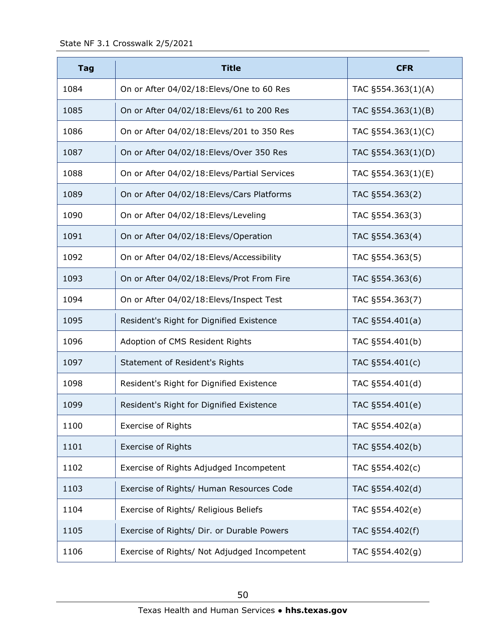| <b>Tag</b> | <b>Title</b>                                 | <b>CFR</b>         |
|------------|----------------------------------------------|--------------------|
| 1084       | On or After 04/02/18: Elevs/One to 60 Res    | TAC §554.363(1)(A) |
| 1085       | On or After 04/02/18: Elevs/61 to 200 Res    | TAC §554.363(1)(B) |
| 1086       | On or After 04/02/18: Elevs/201 to 350 Res   | TAC §554.363(1)(C) |
| 1087       | On or After 04/02/18: Elevs/Over 350 Res     | TAC §554.363(1)(D) |
| 1088       | On or After 04/02/18: Elevs/Partial Services | TAC §554.363(1)(E) |
| 1089       | On or After 04/02/18: Elevs/Cars Platforms   | TAC §554.363(2)    |
| 1090       | On or After 04/02/18: Elevs/Leveling         | TAC §554.363(3)    |
| 1091       | On or After 04/02/18: Elevs/Operation        | TAC §554.363(4)    |
| 1092       | On or After 04/02/18: Elevs/Accessibility    | TAC §554.363(5)    |
| 1093       | On or After 04/02/18: Elevs/Prot From Fire   | TAC §554.363(6)    |
| 1094       | On or After 04/02/18: Elevs/Inspect Test     | TAC §554.363(7)    |
| 1095       | Resident's Right for Dignified Existence     | TAC §554.401(a)    |
| 1096       | Adoption of CMS Resident Rights              | TAC §554.401(b)    |
| 1097       | Statement of Resident's Rights               | TAC §554.401(c)    |
| 1098       | Resident's Right for Dignified Existence     | TAC §554.401(d)    |
| 1099       | Resident's Right for Dignified Existence     | TAC §554.401(e)    |
| 1100       | <b>Exercise of Rights</b>                    | TAC §554.402(a)    |
| 1101       | <b>Exercise of Rights</b>                    | TAC §554.402(b)    |
| 1102       | Exercise of Rights Adjudged Incompetent      | TAC §554.402(c)    |
| 1103       | Exercise of Rights/ Human Resources Code     | TAC §554.402(d)    |
| 1104       | Exercise of Rights/ Religious Beliefs        | TAC §554.402(e)    |
| 1105       | Exercise of Rights/ Dir. or Durable Powers   | TAC §554.402(f)    |
| 1106       | Exercise of Rights/ Not Adjudged Incompetent | TAC §554.402(g)    |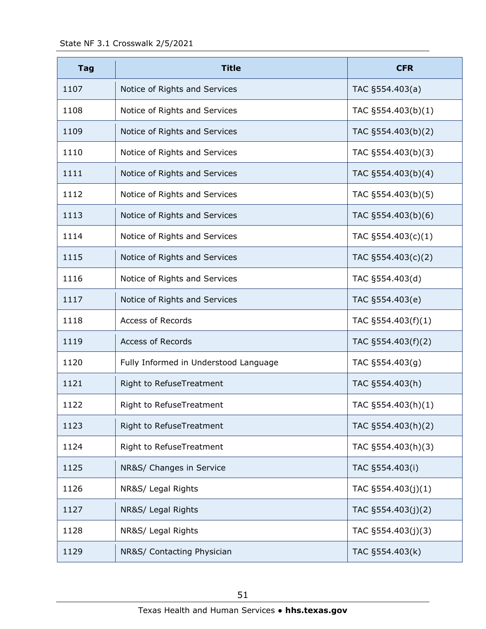| <b>Tag</b> | <b>Title</b>                          | <b>CFR</b>            |
|------------|---------------------------------------|-----------------------|
| 1107       | Notice of Rights and Services         | TAC §554.403(a)       |
| 1108       | Notice of Rights and Services         | TAC §554.403(b)(1)    |
| 1109       | Notice of Rights and Services         | TAC §554.403(b)(2)    |
| 1110       | Notice of Rights and Services         | TAC §554.403(b)(3)    |
| 1111       | Notice of Rights and Services         | TAC §554.403(b)(4)    |
| 1112       | Notice of Rights and Services         | TAC §554.403(b)(5)    |
| 1113       | Notice of Rights and Services         | TAC §554.403(b)(6)    |
| 1114       | Notice of Rights and Services         | TAC $\S554.403(c)(1)$ |
| 1115       | Notice of Rights and Services         | TAC $\S554.403(c)(2)$ |
| 1116       | Notice of Rights and Services         | TAC §554.403(d)       |
| 1117       | Notice of Rights and Services         | TAC §554.403(e)       |
| 1118       | <b>Access of Records</b>              | TAC $\S554.403(f)(1)$ |
| 1119       | <b>Access of Records</b>              | TAC §554.403(f)(2)    |
| 1120       | Fully Informed in Understood Language | TAC §554.403(g)       |
| 1121       | Right to RefuseTreatment              | TAC §554.403(h)       |
| 1122       | Right to RefuseTreatment              | TAC §554.403(h)(1)    |
| 1123       | Right to RefuseTreatment              | TAC §554.403(h)(2)    |
| 1124       | Right to RefuseTreatment              | TAC §554.403(h)(3)    |
| 1125       | NR&S/ Changes in Service              | TAC §554.403(i)       |
| 1126       | NR&S/ Legal Rights                    | TAC $\S554.403(j)(1)$ |
| 1127       | NR&S/ Legal Rights                    | TAC §554.403(j)(2)    |
| 1128       | NR&S/ Legal Rights                    | TAC §554.403(j)(3)    |
| 1129       | NR&S/ Contacting Physician            | TAC §554.403(k)       |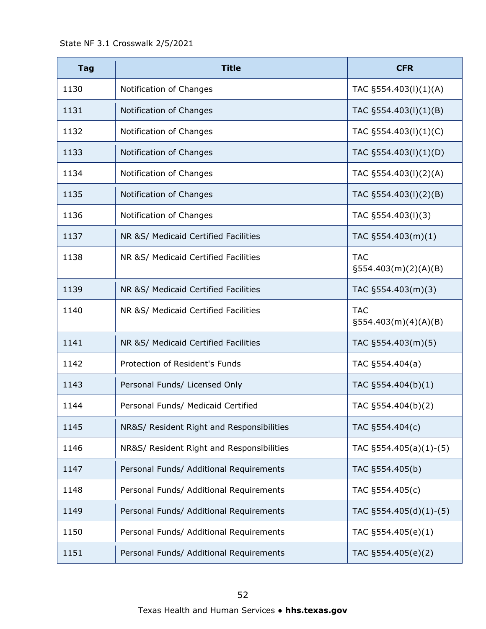State NF 3.1 Crosswalk 2/5/2021

| <b>Tag</b> | <b>Title</b>                              | <b>CFR</b>                            |
|------------|-------------------------------------------|---------------------------------------|
| 1130       | Notification of Changes                   | TAC §554.403(l)(1)(A)                 |
| 1131       | Notification of Changes                   | TAC §554.403(l)(1)(B)                 |
| 1132       | Notification of Changes                   | TAC §554.403(l)(1)(C)                 |
| 1133       | Notification of Changes                   | TAC §554.403(l)(1)(D)                 |
| 1134       | Notification of Changes                   | TAC §554.403(I)(2)(A)                 |
| 1135       | Notification of Changes                   | TAC §554.403(l)(2)(B)                 |
| 1136       | Notification of Changes                   | TAC §554.403(I)(3)                    |
| 1137       | NR &S/ Medicaid Certified Facilities      | TAC §554.403(m)(1)                    |
| 1138       | NR &S/ Medicaid Certified Facilities      | <b>TAC</b><br>$\S554.403(m)(2)(A)(B)$ |
| 1139       | NR &S/ Medicaid Certified Facilities      | TAC §554.403(m)(3)                    |
| 1140       | NR &S/ Medicaid Certified Facilities      | <b>TAC</b><br>$\S554.403(m)(4)(A)(B)$ |
| 1141       | NR &S/ Medicaid Certified Facilities      | TAC §554.403(m)(5)                    |
| 1142       | Protection of Resident's Funds            | TAC §554.404(a)                       |
| 1143       | Personal Funds/ Licensed Only             | TAC §554.404(b)(1)                    |
| 1144       | Personal Funds/ Medicaid Certified        | TAC §554.404(b)(2)                    |
| 1145       | NR&S/ Resident Right and Responsibilities | TAC §554.404(c)                       |
| 1146       | NR&S/ Resident Right and Responsibilities | TAC §554.405(a)(1)-(5)                |
| 1147       | Personal Funds/ Additional Requirements   | TAC §554.405(b)                       |
| 1148       | Personal Funds/ Additional Requirements   | TAC §554.405(c)                       |
| 1149       | Personal Funds/ Additional Requirements   | TAC §554.405(d)(1)-(5)                |
| 1150       | Personal Funds/ Additional Requirements   | TAC §554.405(e)(1)                    |
| 1151       | Personal Funds/ Additional Requirements   | TAC §554.405(e)(2)                    |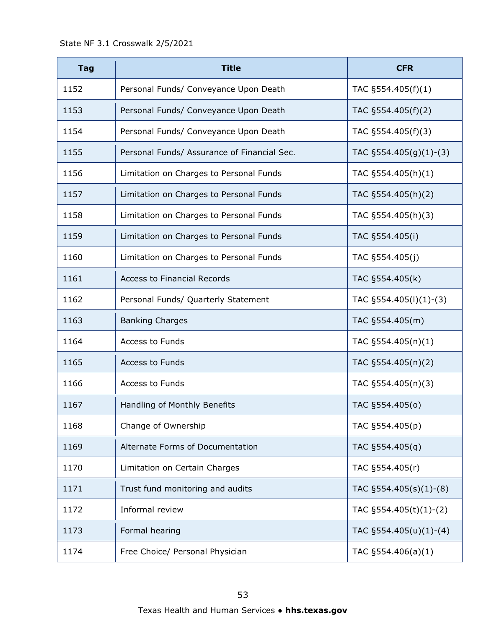| <b>Tag</b> | <b>Title</b>                                | <b>CFR</b>                 |
|------------|---------------------------------------------|----------------------------|
| 1152       | Personal Funds/ Conveyance Upon Death       | TAC §554.405(f)(1)         |
| 1153       | Personal Funds/ Conveyance Upon Death       | TAC §554.405(f)(2)         |
| 1154       | Personal Funds/ Conveyance Upon Death       | TAC §554.405(f)(3)         |
| 1155       | Personal Funds/ Assurance of Financial Sec. | TAC $\S$ 554.405(g)(1)-(3) |
| 1156       | Limitation on Charges to Personal Funds     | TAC §554.405(h)(1)         |
| 1157       | Limitation on Charges to Personal Funds     | TAC §554.405(h)(2)         |
| 1158       | Limitation on Charges to Personal Funds     | TAC §554.405(h)(3)         |
| 1159       | Limitation on Charges to Personal Funds     | TAC §554.405(i)            |
| 1160       | Limitation on Charges to Personal Funds     | TAC §554.405(j)            |
| 1161       | <b>Access to Financial Records</b>          | TAC §554.405(k)            |
| 1162       | Personal Funds/ Quarterly Statement         | TAC §554.405(I)(1)-(3)     |
| 1163       | <b>Banking Charges</b>                      | TAC §554.405(m)            |
| 1164       | Access to Funds                             | TAC §554.405(n)(1)         |
| 1165       | <b>Access to Funds</b>                      | TAC §554.405(n)(2)         |
| 1166       | Access to Funds                             | TAC §554.405(n)(3)         |
| 1167       | Handling of Monthly Benefits                | TAC §554.405(0)            |
| 1168       | Change of Ownership                         | TAC §554.405(p)            |
| 1169       | Alternate Forms of Documentation            | TAC §554.405(q)            |
| 1170       | Limitation on Certain Charges               | TAC §554.405(r)            |
| 1171       | Trust fund monitoring and audits            | TAC §554.405(s)(1)-(8)     |
| 1172       | Informal review                             | TAC §554.405(t)(1)-(2)     |
| 1173       | Formal hearing                              | TAC $\S554.405(u)(1)-(4)$  |
| 1174       | Free Choice/ Personal Physician             | TAC $\S 554.406(a)(1)$     |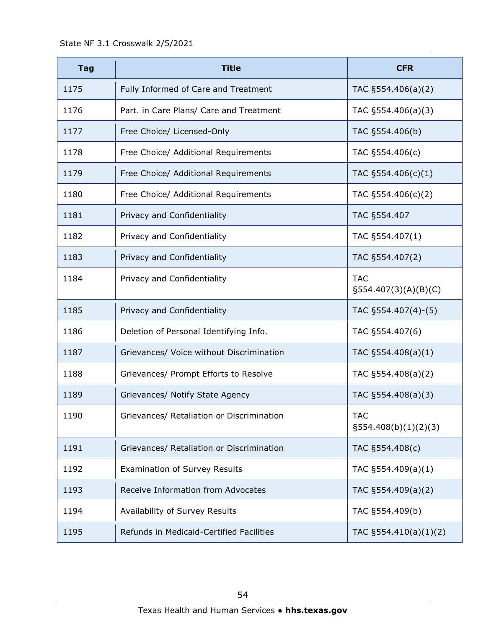| <b>Tag</b> | <b>Title</b>                              | <b>CFR</b>                            |
|------------|-------------------------------------------|---------------------------------------|
| 1175       | Fully Informed of Care and Treatment      | TAC $\S554.406(a)(2)$                 |
| 1176       | Part. in Care Plans/ Care and Treatment   | TAC $\S554.406(a)(3)$                 |
| 1177       | Free Choice/ Licensed-Only                | TAC §554.406(b)                       |
| 1178       | Free Choice/ Additional Requirements      | TAC §554.406(c)                       |
| 1179       | Free Choice/ Additional Requirements      | TAC $\S554.406(c)(1)$                 |
| 1180       | Free Choice/ Additional Requirements      | TAC $\S554.406(c)(2)$                 |
| 1181       | Privacy and Confidentiality               | TAC §554.407                          |
| 1182       | Privacy and Confidentiality               | TAC §554.407(1)                       |
| 1183       | Privacy and Confidentiality               | TAC §554.407(2)                       |
| 1184       | Privacy and Confidentiality               | <b>TAC</b><br>$\S554.407(3)(A)(B)(C)$ |
| 1185       | Privacy and Confidentiality               | TAC §554.407(4)-(5)                   |
| 1186       | Deletion of Personal Identifying Info.    | TAC §554.407(6)                       |
| 1187       | Grievances/ Voice without Discrimination  | TAC $\S554.408(a)(1)$                 |
| 1188       | Grievances/ Prompt Efforts to Resolve     | TAC §554.408(a)(2)                    |
| 1189       | Grievances/ Notify State Agency           | TAC §554.408(a)(3)                    |
| 1190       | Grievances/ Retaliation or Discrimination | <b>TAC</b><br>§554.408(b)(1)(2)(3)    |
| 1191       | Grievances/ Retaliation or Discrimination | TAC §554.408(c)                       |
| 1192       | <b>Examination of Survey Results</b>      | TAC §554.409(a)(1)                    |
| 1193       | Receive Information from Advocates        | TAC §554.409(a)(2)                    |
| 1194       | Availability of Survey Results            | TAC §554.409(b)                       |
| 1195       | Refunds in Medicaid-Certified Facilities  | TAC §554.410(a)(1)(2)                 |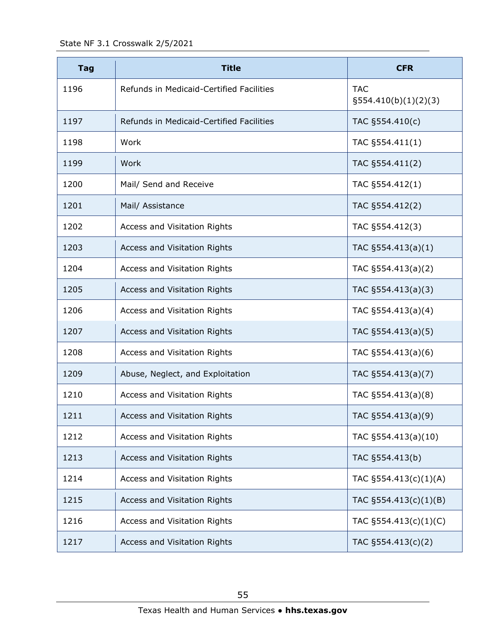State NF 3.1 Crosswalk 2/5/2021

| <b>Tag</b> | <b>Title</b>                             | <b>CFR</b>                            |
|------------|------------------------------------------|---------------------------------------|
| 1196       | Refunds in Medicaid-Certified Facilities | <b>TAC</b><br>$\S554.410(b)(1)(2)(3)$ |
| 1197       | Refunds in Medicaid-Certified Facilities | TAC §554.410(c)                       |
| 1198       | Work                                     | TAC §554.411(1)                       |
| 1199       | Work                                     | TAC §554.411(2)                       |
| 1200       | Mail/ Send and Receive                   | TAC §554.412(1)                       |
| 1201       | Mail/ Assistance                         | TAC §554.412(2)                       |
| 1202       | Access and Visitation Rights             | TAC §554.412(3)                       |
| 1203       | Access and Visitation Rights             | TAC $\S554.413(a)(1)$                 |
| 1204       | Access and Visitation Rights             | TAC $\S554.413(a)(2)$                 |
| 1205       | Access and Visitation Rights             | TAC §554.413(a)(3)                    |
| 1206       | Access and Visitation Rights             | TAC §554.413(a)(4)                    |
| 1207       | Access and Visitation Rights             | TAC §554.413(a)(5)                    |
| 1208       | Access and Visitation Rights             | TAC $\S554.413(a)(6)$                 |
| 1209       | Abuse, Neglect, and Exploitation         | TAC §554.413(a)(7)                    |
| 1210       | Access and Visitation Rights             | TAC §554.413(a)(8)                    |
| 1211       | Access and Visitation Rights             | TAC §554.413(a)(9)                    |
| 1212       | Access and Visitation Rights             | TAC §554.413(a)(10)                   |
| 1213       | Access and Visitation Rights             | TAC §554.413(b)                       |
| 1214       | Access and Visitation Rights             | TAC §554.413(c)(1)(A)                 |
| 1215       | Access and Visitation Rights             | TAC $\S554.413(c)(1)(B)$              |
| 1216       | Access and Visitation Rights             | TAC $\S554.413(c)(1)(C)$              |
| 1217       | Access and Visitation Rights             | TAC §554.413(c)(2)                    |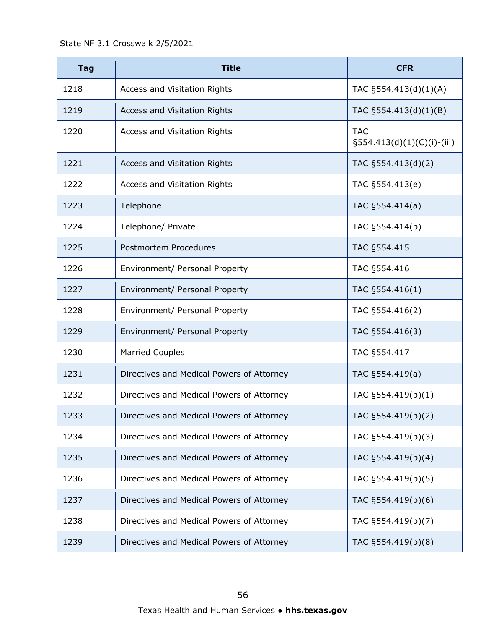State NF 3.1 Crosswalk 2/5/2021

| <b>Tag</b> | <b>Title</b>                              | <b>CFR</b>                                  |
|------------|-------------------------------------------|---------------------------------------------|
| 1218       | Access and Visitation Rights              | TAC $\S554.413(d)(1)(A)$                    |
| 1219       | Access and Visitation Rights              | TAC §554.413(d)(1)(B)                       |
| 1220       | Access and Visitation Rights              | <b>TAC</b><br>$\S554.413(d)(1)(C)(i)-(iii)$ |
| 1221       | Access and Visitation Rights              | TAC §554.413(d)(2)                          |
| 1222       | Access and Visitation Rights              | TAC §554.413(e)                             |
| 1223       | Telephone                                 | TAC §554.414(a)                             |
| 1224       | Telephone/ Private                        | TAC §554.414(b)                             |
| 1225       | Postmortem Procedures                     | TAC §554.415                                |
| 1226       | Environment/ Personal Property            | TAC §554.416                                |
| 1227       | Environment/ Personal Property            | TAC §554.416(1)                             |
| 1228       | Environment/ Personal Property            | TAC §554.416(2)                             |
| 1229       | Environment/ Personal Property            | TAC §554.416(3)                             |
| 1230       | <b>Married Couples</b>                    | TAC §554.417                                |
| 1231       | Directives and Medical Powers of Attorney | TAC §554.419(a)                             |
| 1232       | Directives and Medical Powers of Attorney | TAC §554.419(b)(1)                          |
| 1233       | Directives and Medical Powers of Attorney | TAC §554.419(b)(2)                          |
| 1234       | Directives and Medical Powers of Attorney | TAC §554.419(b)(3)                          |
| 1235       | Directives and Medical Powers of Attorney | TAC §554.419(b)(4)                          |
| 1236       | Directives and Medical Powers of Attorney | TAC §554.419(b)(5)                          |
| 1237       | Directives and Medical Powers of Attorney | TAC §554.419(b)(6)                          |
| 1238       | Directives and Medical Powers of Attorney | TAC §554.419(b)(7)                          |
| 1239       | Directives and Medical Powers of Attorney | TAC §554.419(b)(8)                          |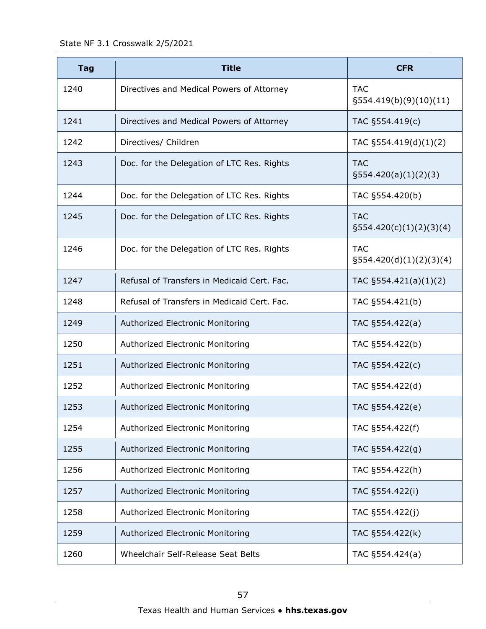State NF 3.1 Crosswalk 2/5/2021

| <b>Tag</b> | <b>Title</b>                                | <b>CFR</b>                               |
|------------|---------------------------------------------|------------------------------------------|
| 1240       | Directives and Medical Powers of Attorney   | <b>TAC</b><br>$\S554.419(b)(9)(10)(11)$  |
| 1241       | Directives and Medical Powers of Attorney   | TAC §554.419(c)                          |
| 1242       | Directives/ Children                        | TAC §554.419(d)(1)(2)                    |
| 1243       | Doc. for the Delegation of LTC Res. Rights  | <b>TAC</b><br>$\S554.420(a)(1)(2)(3)$    |
| 1244       | Doc. for the Delegation of LTC Res. Rights  | TAC §554.420(b)                          |
| 1245       | Doc. for the Delegation of LTC Res. Rights  | <b>TAC</b><br>$\S554.420(c)(1)(2)(3)(4)$ |
| 1246       | Doc. for the Delegation of LTC Res. Rights  | <b>TAC</b><br>$\S554.420(d)(1)(2)(3)(4)$ |
| 1247       | Refusal of Transfers in Medicaid Cert. Fac. | TAC §554.421(a)(1)(2)                    |
| 1248       | Refusal of Transfers in Medicaid Cert. Fac. | TAC §554.421(b)                          |
| 1249       | Authorized Electronic Monitoring            | TAC §554.422(a)                          |
| 1250       | Authorized Electronic Monitoring            | TAC §554.422(b)                          |
| 1251       | Authorized Electronic Monitoring            | TAC §554.422(c)                          |
| 1252       | Authorized Electronic Monitoring            | TAC §554.422(d)                          |
| 1253       | Authorized Electronic Monitoring            | TAC §554.422(e)                          |
| 1254       | Authorized Electronic Monitoring            | TAC §554.422(f)                          |
| 1255       | Authorized Electronic Monitoring            | TAC §554.422(g)                          |
| 1256       | Authorized Electronic Monitoring            | TAC §554.422(h)                          |
| 1257       | Authorized Electronic Monitoring            | TAC §554.422(i)                          |
| 1258       | Authorized Electronic Monitoring            | TAC §554.422(j)                          |
| 1259       | Authorized Electronic Monitoring            | TAC §554.422(k)                          |
| 1260       | Wheelchair Self-Release Seat Belts          | TAC §554.424(a)                          |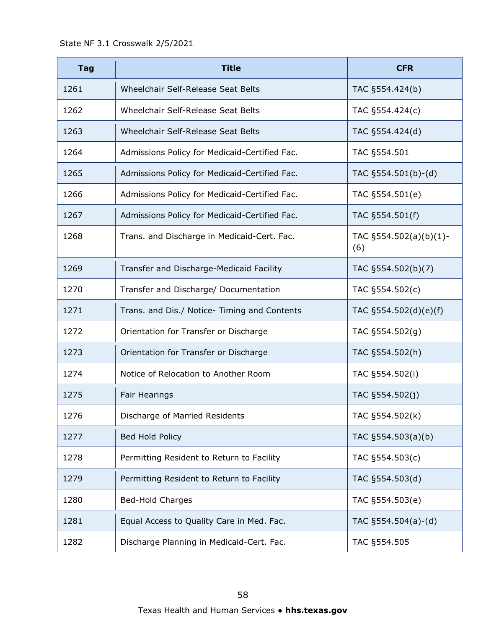| <b>Tag</b> | <b>Title</b>                                  | <b>CFR</b>                         |
|------------|-----------------------------------------------|------------------------------------|
| 1261       | Wheelchair Self-Release Seat Belts            | TAC §554.424(b)                    |
| 1262       | Wheelchair Self-Release Seat Belts            | TAC §554.424(c)                    |
| 1263       | Wheelchair Self-Release Seat Belts            | TAC §554.424(d)                    |
| 1264       | Admissions Policy for Medicaid-Certified Fac. | TAC §554.501                       |
| 1265       | Admissions Policy for Medicaid-Certified Fac. | TAC §554.501(b)-(d)                |
| 1266       | Admissions Policy for Medicaid-Certified Fac. | TAC §554.501(e)                    |
| 1267       | Admissions Policy for Medicaid-Certified Fac. | TAC §554.501(f)                    |
| 1268       | Trans. and Discharge in Medicaid-Cert. Fac.   | TAC $\S 554.502(a)(b)(1)$ -<br>(6) |
| 1269       | Transfer and Discharge-Medicaid Facility      | TAC §554.502(b)(7)                 |
| 1270       | Transfer and Discharge/ Documentation         | TAC §554.502(c)                    |
| 1271       | Trans. and Dis./ Notice- Timing and Contents  | TAC $\S554.502(d)(e)(f)$           |
| 1272       | Orientation for Transfer or Discharge         | TAC §554.502(g)                    |
| 1273       | Orientation for Transfer or Discharge         | TAC §554.502(h)                    |
| 1274       | Notice of Relocation to Another Room          | TAC §554.502(i)                    |
| 1275       | Fair Hearings                                 | TAC §554.502(j)                    |
| 1276       | Discharge of Married Residents                | TAC §554.502(k)                    |
| 1277       | Bed Hold Policy                               | TAC $§554.503(a)(b)$               |
| 1278       | Permitting Resident to Return to Facility     | TAC §554.503(c)                    |
| 1279       | Permitting Resident to Return to Facility     | TAC §554.503(d)                    |
| 1280       | <b>Bed-Hold Charges</b>                       | TAC §554.503(e)                    |
| 1281       | Equal Access to Quality Care in Med. Fac.     | TAC $§554.504(a)-(d)$              |
| 1282       | Discharge Planning in Medicaid-Cert. Fac.     | TAC §554.505                       |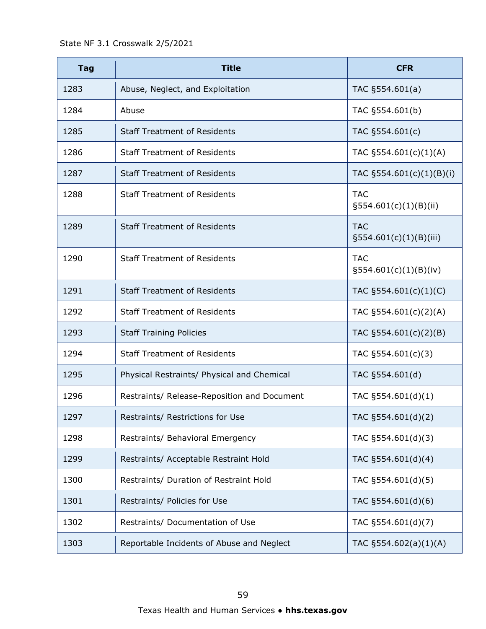| <b>Tag</b> | <b>Title</b>                                | <b>CFR</b>                              |
|------------|---------------------------------------------|-----------------------------------------|
| 1283       | Abuse, Neglect, and Exploitation            | TAC §554.601(a)                         |
| 1284       | Abuse                                       | TAC §554.601(b)                         |
| 1285       | <b>Staff Treatment of Residents</b>         | TAC §554.601(c)                         |
| 1286       | <b>Staff Treatment of Residents</b>         | TAC $\S554.601(c)(1)(A)$                |
| 1287       | <b>Staff Treatment of Residents</b>         | TAC §554.601(c)(1)(B)(i)                |
| 1288       | <b>Staff Treatment of Residents</b>         | <b>TAC</b><br>$\S554.601(c)(1)(B)(ii)$  |
| 1289       | <b>Staff Treatment of Residents</b>         | <b>TAC</b><br>$\S554.601(c)(1)(B)(iii)$ |
| 1290       | <b>Staff Treatment of Residents</b>         | <b>TAC</b><br>$\S554.601(c)(1)(B)(iv)$  |
| 1291       | <b>Staff Treatment of Residents</b>         | TAC §554.601(c)(1)(C)                   |
| 1292       | <b>Staff Treatment of Residents</b>         | TAC §554.601(c)(2)(A)                   |
| 1293       | <b>Staff Training Policies</b>              | TAC §554.601(c)(2)(B)                   |
| 1294       | <b>Staff Treatment of Residents</b>         | TAC $\S554.601(c)(3)$                   |
| 1295       | Physical Restraints/ Physical and Chemical  | TAC §554.601(d)                         |
| 1296       | Restraints/ Release-Reposition and Document | TAC $\S554.601(d)(1)$                   |
| 1297       | Restraints/ Restrictions for Use            | TAC §554.601(d)(2)                      |
| 1298       | Restraints/ Behavioral Emergency            | TAC §554.601(d)(3)                      |
| 1299       | Restraints/ Acceptable Restraint Hold       | TAC §554.601(d)(4)                      |
| 1300       | Restraints/ Duration of Restraint Hold      | TAC §554.601(d)(5)                      |
| 1301       | Restraints/ Policies for Use                | TAC §554.601(d)(6)                      |
| 1302       | Restraints/ Documentation of Use            | TAC §554.601(d)(7)                      |
| 1303       | Reportable Incidents of Abuse and Neglect   | TAC $\S554.602(a)(1)(A)$                |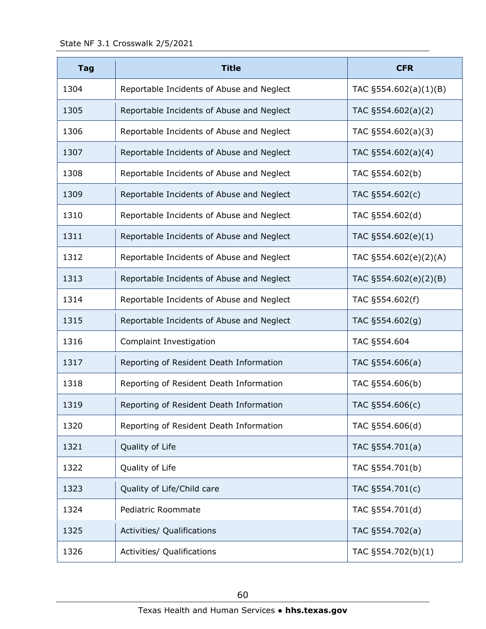| <b>Tag</b> | <b>Title</b>                              | <b>CFR</b>            |
|------------|-------------------------------------------|-----------------------|
| 1304       | Reportable Incidents of Abuse and Neglect | TAC §554.602(a)(1)(B) |
| 1305       | Reportable Incidents of Abuse and Neglect | TAC §554.602(a)(2)    |
| 1306       | Reportable Incidents of Abuse and Neglect | TAC $\S554.602(a)(3)$ |
| 1307       | Reportable Incidents of Abuse and Neglect | TAC §554.602(a)(4)    |
| 1308       | Reportable Incidents of Abuse and Neglect | TAC §554.602(b)       |
| 1309       | Reportable Incidents of Abuse and Neglect | TAC §554.602(c)       |
| 1310       | Reportable Incidents of Abuse and Neglect | TAC §554.602(d)       |
| 1311       | Reportable Incidents of Abuse and Neglect | TAC §554.602(e)(1)    |
| 1312       | Reportable Incidents of Abuse and Neglect | TAC §554.602(e)(2)(A) |
| 1313       | Reportable Incidents of Abuse and Neglect | TAC §554.602(e)(2)(B) |
| 1314       | Reportable Incidents of Abuse and Neglect | TAC §554.602(f)       |
| 1315       | Reportable Incidents of Abuse and Neglect | TAC §554.602(g)       |
| 1316       | Complaint Investigation                   | TAC §554.604          |
| 1317       | Reporting of Resident Death Information   | TAC §554.606(a)       |
| 1318       | Reporting of Resident Death Information   | TAC §554.606(b)       |
| 1319       | Reporting of Resident Death Information   | TAC §554.606(c)       |
| 1320       | Reporting of Resident Death Information   | TAC §554.606(d)       |
| 1321       | Quality of Life                           | TAC §554.701(a)       |
| 1322       | Quality of Life                           | TAC §554.701(b)       |
| 1323       | Quality of Life/Child care                | TAC §554.701(c)       |
| 1324       | Pediatric Roommate                        | TAC §554.701(d)       |
| 1325       | Activities/ Qualifications                | TAC §554.702(a)       |
| 1326       | Activities/ Qualifications                | TAC §554.702(b)(1)    |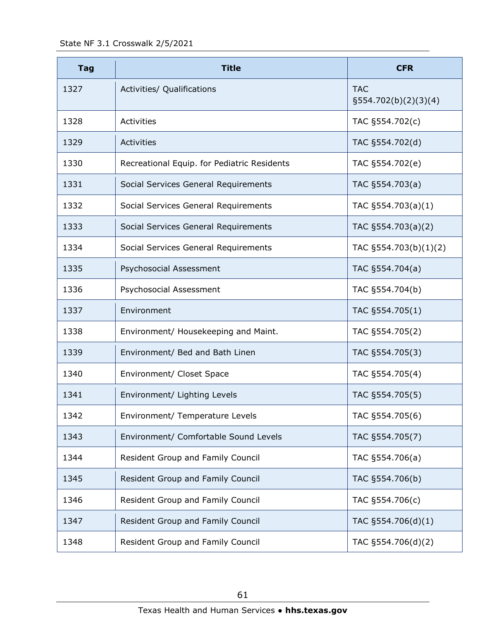| <b>Tag</b> | <b>Title</b>                                | <b>CFR</b>                            |
|------------|---------------------------------------------|---------------------------------------|
| 1327       | Activities/ Qualifications                  | <b>TAC</b><br>$\S554.702(b)(2)(3)(4)$ |
| 1328       | Activities                                  | TAC §554.702(c)                       |
| 1329       | Activities                                  | TAC §554.702(d)                       |
| 1330       | Recreational Equip. for Pediatric Residents | TAC §554.702(e)                       |
| 1331       | Social Services General Requirements        | TAC §554.703(a)                       |
| 1332       | Social Services General Requirements        | TAC $\S554.703(a)(1)$                 |
| 1333       | Social Services General Requirements        | TAC §554.703(a)(2)                    |
| 1334       | Social Services General Requirements        | TAC §554.703(b)(1)(2)                 |
| 1335       | Psychosocial Assessment                     | TAC §554.704(a)                       |
| 1336       | Psychosocial Assessment                     | TAC §554.704(b)                       |
| 1337       | Environment                                 | TAC §554.705(1)                       |
| 1338       | Environment/ Housekeeping and Maint.        | TAC §554.705(2)                       |
| 1339       | Environment/ Bed and Bath Linen             | TAC §554.705(3)                       |
| 1340       | Environment/ Closet Space                   | TAC §554.705(4)                       |
| 1341       | Environment/ Lighting Levels                | TAC §554.705(5)                       |
| 1342       | Environment/ Temperature Levels             | TAC §554.705(6)                       |
| 1343       | Environment/ Comfortable Sound Levels       | TAC §554.705(7)                       |
| 1344       | Resident Group and Family Council           | TAC §554.706(a)                       |
| 1345       | Resident Group and Family Council           | TAC §554.706(b)                       |
| 1346       | Resident Group and Family Council           | TAC §554.706(c)                       |
| 1347       | Resident Group and Family Council           | TAC §554.706(d)(1)                    |
| 1348       | Resident Group and Family Council           | TAC §554.706(d)(2)                    |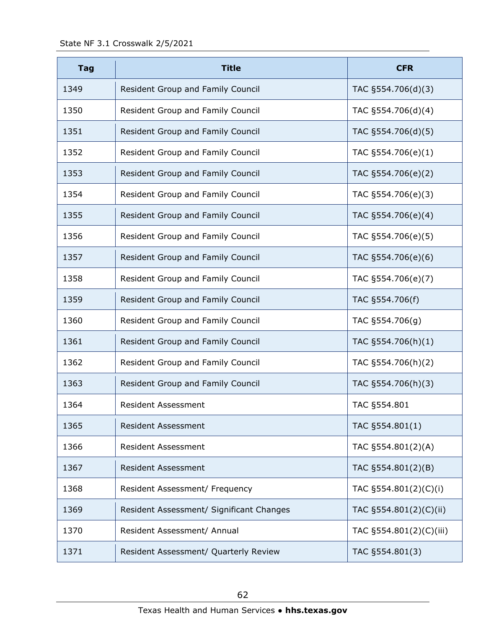| <b>Tag</b> | <b>Title</b>                             | <b>CFR</b>              |
|------------|------------------------------------------|-------------------------|
| 1349       | Resident Group and Family Council        | TAC §554.706(d)(3)      |
| 1350       | Resident Group and Family Council        | TAC §554.706(d)(4)      |
| 1351       | Resident Group and Family Council        | TAC §554.706(d)(5)      |
| 1352       | Resident Group and Family Council        | TAC §554.706(e)(1)      |
| 1353       | Resident Group and Family Council        | TAC §554.706(e)(2)      |
| 1354       | Resident Group and Family Council        | TAC §554.706(e)(3)      |
| 1355       | Resident Group and Family Council        | TAC §554.706(e)(4)      |
| 1356       | Resident Group and Family Council        | TAC §554.706(e)(5)      |
| 1357       | Resident Group and Family Council        | TAC §554.706(e)(6)      |
| 1358       | Resident Group and Family Council        | TAC §554.706(e)(7)      |
| 1359       | Resident Group and Family Council        | TAC §554.706(f)         |
| 1360       | Resident Group and Family Council        | TAC §554.706(g)         |
| 1361       | Resident Group and Family Council        | TAC §554.706(h)(1)      |
| 1362       | Resident Group and Family Council        | TAC §554.706(h)(2)      |
| 1363       | Resident Group and Family Council        | TAC §554.706(h)(3)      |
| 1364       | <b>Resident Assessment</b>               | TAC §554.801            |
| 1365       | <b>Resident Assessment</b>               | TAC §554.801(1)         |
| 1366       | <b>Resident Assessment</b>               | TAC §554.801(2)(A)      |
| 1367       | <b>Resident Assessment</b>               | TAC §554.801(2)(B)      |
| 1368       | Resident Assessment/ Frequency           | TAC §554.801(2)(C)(i)   |
| 1369       | Resident Assessment/ Significant Changes | TAC §554.801(2)(C)(ii)  |
| 1370       | Resident Assessment/ Annual              | TAC §554.801(2)(C)(iii) |
| 1371       | Resident Assessment/ Quarterly Review    | TAC §554.801(3)         |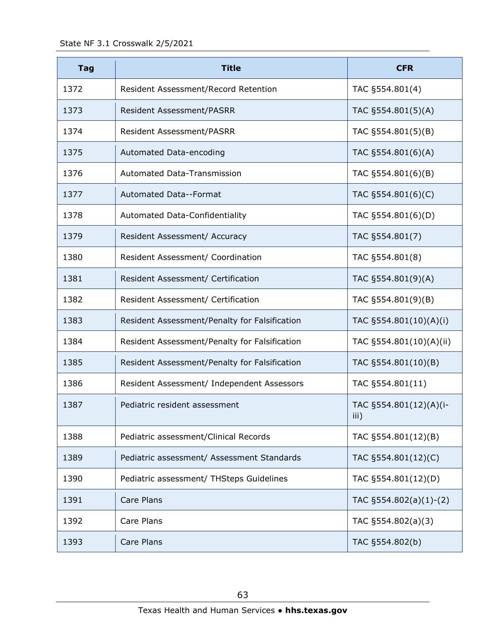State NF 3.1 Crosswalk 2/5/2021

| <b>Tag</b> | <b>Title</b>                                  | <b>CFR</b>                     |
|------------|-----------------------------------------------|--------------------------------|
| 1372       | Resident Assessment/Record Retention          | TAC §554.801(4)                |
| 1373       | Resident Assessment/PASRR                     | TAC §554.801(5)(A)             |
| 1374       | <b>Resident Assessment/PASRR</b>              | TAC §554.801(5)(B)             |
| 1375       | Automated Data-encoding                       | TAC §554.801(6)(A)             |
| 1376       | <b>Automated Data-Transmission</b>            | TAC §554.801(6)(B)             |
| 1377       | Automated Data--Format                        | TAC §554.801(6)(C)             |
| 1378       | <b>Automated Data-Confidentiality</b>         | TAC §554.801(6)(D)             |
| 1379       | Resident Assessment/ Accuracy                 | TAC §554.801(7)                |
| 1380       | Resident Assessment/ Coordination             | TAC §554.801(8)                |
| 1381       | Resident Assessment/ Certification            | TAC §554.801(9)(A)             |
| 1382       | Resident Assessment/ Certification            | TAC §554.801(9)(B)             |
| 1383       | Resident Assessment/Penalty for Falsification | TAC §554.801(10)(A)(i)         |
| 1384       | Resident Assessment/Penalty for Falsification | TAC §554.801(10)(A)(ii)        |
| 1385       | Resident Assessment/Penalty for Falsification | TAC §554.801(10)(B)            |
| 1386       | Resident Assessment/ Independent Assessors    | TAC §554.801(11)               |
| 1387       | Pediatric resident assessment                 | TAC §554.801(12)(A)(i-<br>iii) |
| 1388       | Pediatric assessment/Clinical Records         | TAC §554.801(12)(B)            |
| 1389       | Pediatric assessment/ Assessment Standards    | TAC §554.801(12)(C)            |
| 1390       | Pediatric assessment/ THSteps Guidelines      | TAC §554.801(12)(D)            |
| 1391       | Care Plans                                    | TAC $\S554.802(a)(1)-(2)$      |
| 1392       | Care Plans                                    | TAC §554.802(a)(3)             |
| 1393       | Care Plans                                    | TAC §554.802(b)                |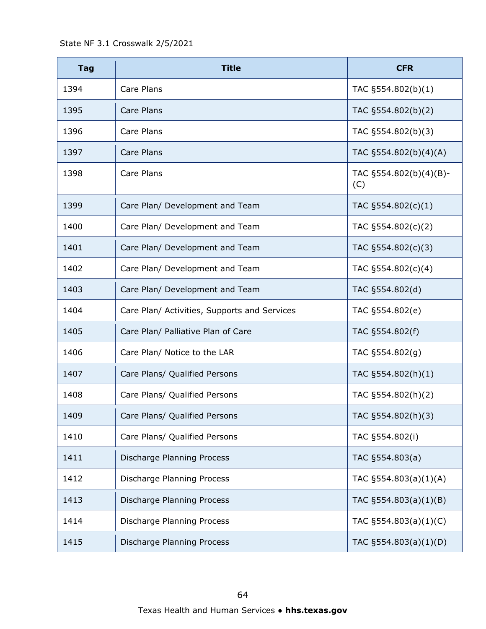State NF 3.1 Crosswalk 2/5/2021

| <b>Tag</b> | <b>Title</b>                                 | <b>CFR</b>                    |
|------------|----------------------------------------------|-------------------------------|
| 1394       | Care Plans                                   | TAC §554.802(b)(1)            |
| 1395       | Care Plans                                   | TAC §554.802(b)(2)            |
| 1396       | Care Plans                                   | TAC §554.802(b)(3)            |
| 1397       | Care Plans                                   | TAC §554.802(b)(4)(A)         |
| 1398       | Care Plans                                   | TAC §554.802(b)(4)(B)-<br>(C) |
| 1399       | Care Plan/ Development and Team              | TAC §554.802(c)(1)            |
| 1400       | Care Plan/ Development and Team              | TAC §554.802(c)(2)            |
| 1401       | Care Plan/ Development and Team              | TAC §554.802(c)(3)            |
| 1402       | Care Plan/ Development and Team              | TAC §554.802(c)(4)            |
| 1403       | Care Plan/ Development and Team              | TAC §554.802(d)               |
| 1404       | Care Plan/ Activities, Supports and Services | TAC §554.802(e)               |
| 1405       | Care Plan/ Palliative Plan of Care           | TAC §554.802(f)               |
| 1406       | Care Plan/ Notice to the LAR                 | TAC §554.802(g)               |
| 1407       | Care Plans/ Qualified Persons                | TAC §554.802(h)(1)            |
| 1408       | Care Plans/ Qualified Persons                | TAC §554.802(h)(2)            |
| 1409       | Care Plans/ Qualified Persons                | TAC §554.802(h)(3)            |
| 1410       | Care Plans/ Qualified Persons                | TAC §554.802(i)               |
| 1411       | Discharge Planning Process                   | TAC §554.803(a)               |
| 1412       | Discharge Planning Process                   | TAC §554.803(a)(1)(A)         |
| 1413       | Discharge Planning Process                   | TAC §554.803(a)(1)(B)         |
| 1414       | Discharge Planning Process                   | TAC $\S554.803(a)(1)(C)$      |
| 1415       | Discharge Planning Process                   | TAC §554.803(a)(1)(D)         |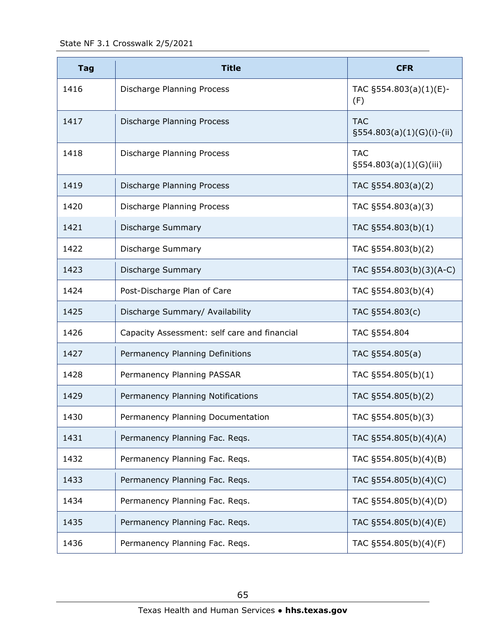State NF 3.1 Crosswalk 2/5/2021

| <b>Tag</b> | <b>Title</b>                                 | <b>CFR</b>                                 |
|------------|----------------------------------------------|--------------------------------------------|
| 1416       | Discharge Planning Process                   | TAC §554.803(a)(1)(E)-<br>(F)              |
| 1417       | Discharge Planning Process                   | <b>TAC</b><br>$\S554.803(a)(1)(G)(i)-(ii)$ |
| 1418       | Discharge Planning Process                   | <b>TAC</b><br>$\S554.803(a)(1)(G)(iii)$    |
| 1419       | Discharge Planning Process                   | TAC §554.803(a)(2)                         |
| 1420       | Discharge Planning Process                   | TAC §554.803(a)(3)                         |
| 1421       | Discharge Summary                            | TAC §554.803(b)(1)                         |
| 1422       | Discharge Summary                            | TAC §554.803(b)(2)                         |
| 1423       | <b>Discharge Summary</b>                     | TAC §554.803(b)(3)(A-C)                    |
| 1424       | Post-Discharge Plan of Care                  | TAC §554.803(b)(4)                         |
| 1425       | Discharge Summary/ Availability              | TAC §554.803(c)                            |
| 1426       | Capacity Assessment: self care and financial | TAC §554.804                               |
| 1427       | Permanency Planning Definitions              | TAC §554.805(a)                            |
| 1428       | Permanency Planning PASSAR                   | TAC §554.805(b)(1)                         |
| 1429       | Permanency Planning Notifications            | TAC §554.805(b)(2)                         |
| 1430       | Permanency Planning Documentation            | TAC §554.805(b)(3)                         |
| 1431       | Permanency Planning Fac. Reqs.               | TAC §554.805(b)(4)(A)                      |
| 1432       | Permanency Planning Fac. Reqs.               | TAC §554.805(b)(4)(B)                      |
| 1433       | Permanency Planning Fac. Reqs.               | TAC §554.805(b)(4)(C)                      |
| 1434       | Permanency Planning Fac. Reqs.               | TAC §554.805(b)(4)(D)                      |
| 1435       | Permanency Planning Fac. Reqs.               | TAC §554.805(b)(4)(E)                      |
| 1436       | Permanency Planning Fac. Reqs.               | TAC §554.805(b)(4)(F)                      |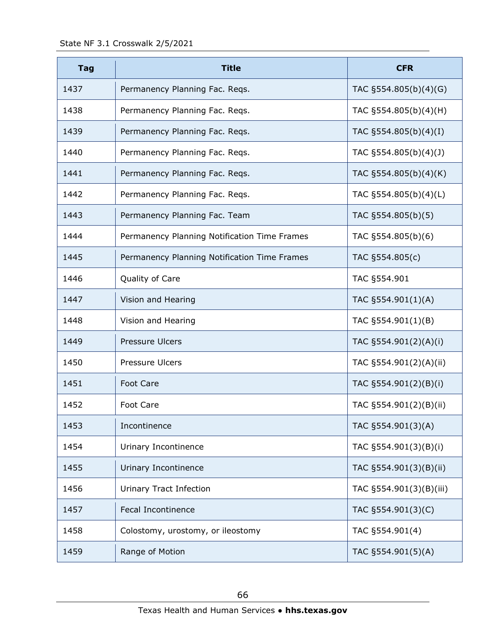| <b>Tag</b> | <b>Title</b>                                 | <b>CFR</b>              |
|------------|----------------------------------------------|-------------------------|
| 1437       | Permanency Planning Fac. Reqs.               | TAC §554.805(b)(4)(G)   |
| 1438       | Permanency Planning Fac. Regs.               | TAC §554.805(b)(4)(H)   |
| 1439       | Permanency Planning Fac. Reqs.               | TAC §554.805(b)(4)(I)   |
| 1440       | Permanency Planning Fac. Reqs.               | TAC §554.805(b)(4)(J)   |
| 1441       | Permanency Planning Fac. Reqs.               | TAC §554.805(b)(4)(K)   |
| 1442       | Permanency Planning Fac. Reqs.               | TAC §554.805(b)(4)(L)   |
| 1443       | Permanency Planning Fac. Team                | TAC §554.805(b)(5)      |
| 1444       | Permanency Planning Notification Time Frames | TAC §554.805(b)(6)      |
| 1445       | Permanency Planning Notification Time Frames | TAC §554.805(c)         |
| 1446       | Quality of Care                              | TAC §554.901            |
| 1447       | Vision and Hearing                           | TAC §554.901(1)(A)      |
| 1448       | Vision and Hearing                           | TAC §554.901(1)(B)      |
| 1449       | <b>Pressure Ulcers</b>                       | TAC §554.901(2)(A)(i)   |
| 1450       | Pressure Ulcers                              | TAC §554.901(2)(A)(ii)  |
| 1451       | <b>Foot Care</b>                             | TAC §554.901(2)(B)(i)   |
| 1452       | <b>Foot Care</b>                             | TAC §554.901(2)(B)(ii)  |
| 1453       | Incontinence                                 | TAC §554.901(3)(A)      |
| 1454       | Urinary Incontinence                         | TAC §554.901(3)(B)(i)   |
| 1455       | Urinary Incontinence                         | TAC §554.901(3)(B)(ii)  |
| 1456       | Urinary Tract Infection                      | TAC §554.901(3)(B)(iii) |
| 1457       | <b>Fecal Incontinence</b>                    | TAC §554.901(3)(C)      |
| 1458       | Colostomy, urostomy, or ileostomy            | TAC §554.901(4)         |
| 1459       | Range of Motion                              | TAC §554.901(5)(A)      |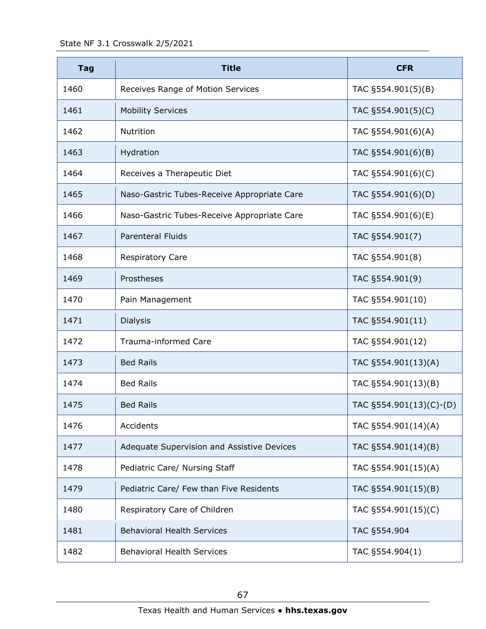State NF 3.1 Crosswalk 2/5/2021

| <b>Tag</b> | <b>Title</b>                                | <b>CFR</b>              |
|------------|---------------------------------------------|-------------------------|
| 1460       | Receives Range of Motion Services           | TAC §554.901(5)(B)      |
| 1461       | <b>Mobility Services</b>                    | TAC §554.901(5)(C)      |
| 1462       | Nutrition                                   | TAC §554.901(6)(A)      |
| 1463       | Hydration                                   | TAC §554.901(6)(B)      |
| 1464       | Receives a Therapeutic Diet                 | TAC §554.901(6)(C)      |
| 1465       | Naso-Gastric Tubes-Receive Appropriate Care | TAC §554.901(6)(D)      |
| 1466       | Naso-Gastric Tubes-Receive Appropriate Care | TAC §554.901(6)(E)      |
| 1467       | <b>Parenteral Fluids</b>                    | TAC §554.901(7)         |
| 1468       | <b>Respiratory Care</b>                     | TAC §554.901(8)         |
| 1469       | Prostheses                                  | TAC §554.901(9)         |
| 1470       | Pain Management                             | TAC §554.901(10)        |
| 1471       | <b>Dialysis</b>                             | TAC §554.901(11)        |
| 1472       | <b>Trauma-informed Care</b>                 | TAC §554.901(12)        |
| 1473       | <b>Bed Rails</b>                            | TAC §554.901(13)(A)     |
| 1474       | <b>Bed Rails</b>                            | TAC §554.901(13)(B)     |
| 1475       | <b>Bed Rails</b>                            | TAC §554.901(13)(C)-(D) |
| 1476       | Accidents                                   | TAC §554.901(14)(A)     |
| 1477       | Adequate Supervision and Assistive Devices  | TAC §554.901(14)(B)     |
| 1478       | Pediatric Care/ Nursing Staff               | TAC §554.901(15)(A)     |
| 1479       | Pediatric Care/ Few than Five Residents     | TAC §554.901(15)(B)     |
| 1480       | Respiratory Care of Children                | TAC §554.901(15)(C)     |
| 1481       | <b>Behavioral Health Services</b>           | TAC §554.904            |
| 1482       | <b>Behavioral Health Services</b>           | TAC §554.904(1)         |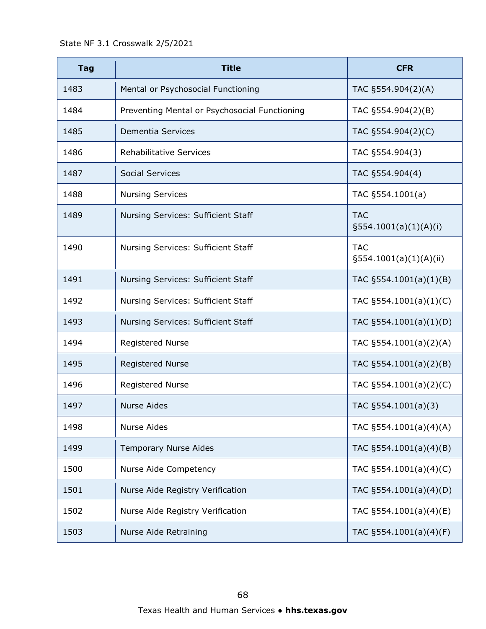| <b>Tag</b> | <b>Title</b>                                  | <b>CFR</b>                              |
|------------|-----------------------------------------------|-----------------------------------------|
| 1483       | Mental or Psychosocial Functioning            | TAC §554.904(2)(A)                      |
| 1484       | Preventing Mental or Psychosocial Functioning | TAC §554.904(2)(B)                      |
| 1485       | Dementia Services                             | TAC §554.904(2)(C)                      |
| 1486       | <b>Rehabilitative Services</b>                | TAC §554.904(3)                         |
| 1487       | <b>Social Services</b>                        | TAC §554.904(4)                         |
| 1488       | <b>Nursing Services</b>                       | TAC §554.1001(a)                        |
| 1489       | Nursing Services: Sufficient Staff            | <b>TAC</b><br>§554.1001(a)(1)(A)(i)     |
| 1490       | Nursing Services: Sufficient Staff            | <b>TAC</b><br>$\S554.1001(a)(1)(A)(ii)$ |
| 1491       | Nursing Services: Sufficient Staff            | TAC $\S 554.1001(a)(1)(B)$              |
| 1492       | Nursing Services: Sufficient Staff            | TAC $\S554.1001(a)(1)(C)$               |
| 1493       | Nursing Services: Sufficient Staff            | TAC §554.1001(a)(1)(D)                  |
| 1494       | <b>Registered Nurse</b>                       | TAC §554.1001(a)(2)(A)                  |
| 1495       | <b>Registered Nurse</b>                       | TAC §554.1001(a)(2)(B)                  |
| 1496       | <b>Registered Nurse</b>                       | TAC $\S 554.1001(a)(2)(C)$              |
| 1497       | <b>Nurse Aides</b>                            | TAC $\S554.1001(a)(3)$                  |
| 1498       | <b>Nurse Aides</b>                            | TAC §554.1001(a)(4)(A)                  |
| 1499       | <b>Temporary Nurse Aides</b>                  | TAC §554.1001(a)(4)(B)                  |
| 1500       | Nurse Aide Competency                         | TAC §554.1001(a)(4)(C)                  |
| 1501       | Nurse Aide Registry Verification              | TAC §554.1001(a)(4)(D)                  |
| 1502       | Nurse Aide Registry Verification              | TAC §554.1001(a)(4)(E)                  |
| 1503       | Nurse Aide Retraining                         | TAC §554.1001(a)(4)(F)                  |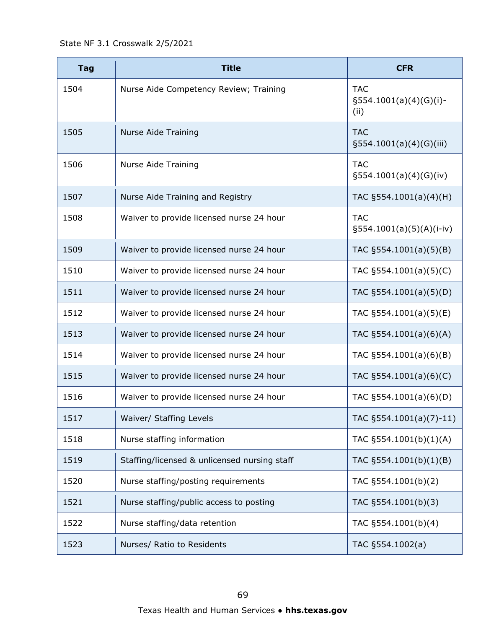| <b>Tag</b> | <b>Title</b>                                 | <b>CFR</b>                                        |
|------------|----------------------------------------------|---------------------------------------------------|
| 1504       | Nurse Aide Competency Review; Training       | <b>TAC</b><br>$\S 554.1001(a)(4)(G)(i)$ -<br>(ii) |
| 1505       | <b>Nurse Aide Training</b>                   | <b>TAC</b><br>§554.1001(a)(4)(G)(iii)             |
| 1506       | <b>Nurse Aide Training</b>                   | <b>TAC</b><br>$\S554.1001(a)(4)(G)(iv)$           |
| 1507       | Nurse Aide Training and Registry             | TAC §554.1001(a)(4)(H)                            |
| 1508       | Waiver to provide licensed nurse 24 hour     | <b>TAC</b><br>$\S554.1001(a)(5)(A)(i-iv)$         |
| 1509       | Waiver to provide licensed nurse 24 hour     | TAC $\S 554.1001(a)(5)(B)$                        |
| 1510       | Waiver to provide licensed nurse 24 hour     | TAC $\S 554.1001(a)(5)(C)$                        |
| 1511       | Waiver to provide licensed nurse 24 hour     | TAC §554.1001(a)(5)(D)                            |
| 1512       | Waiver to provide licensed nurse 24 hour     | TAC §554.1001(a)(5)(E)                            |
| 1513       | Waiver to provide licensed nurse 24 hour     | TAC $\S554.1001(a)(6)(A)$                         |
| 1514       | Waiver to provide licensed nurse 24 hour     | TAC $\S 554.1001(a)(6)(B)$                        |
| 1515       | Waiver to provide licensed nurse 24 hour     | TAC §554.1001(a)(6)(C)                            |
| 1516       | Waiver to provide licensed nurse 24 hour     | TAC §554.1001(a)(6)(D)                            |
| 1517       | Waiver/ Staffing Levels                      | TAC §554.1001(a)(7)-11)                           |
| 1518       | Nurse staffing information                   | TAC §554.1001(b)(1)(A)                            |
| 1519       | Staffing/licensed & unlicensed nursing staff | TAC §554.1001(b)(1)(B)                            |
| 1520       | Nurse staffing/posting requirements          | TAC §554.1001(b)(2)                               |
| 1521       | Nurse staffing/public access to posting      | TAC §554.1001(b)(3)                               |
| 1522       | Nurse staffing/data retention                | TAC §554.1001(b)(4)                               |
| 1523       | Nurses/ Ratio to Residents                   | TAC §554.1002(a)                                  |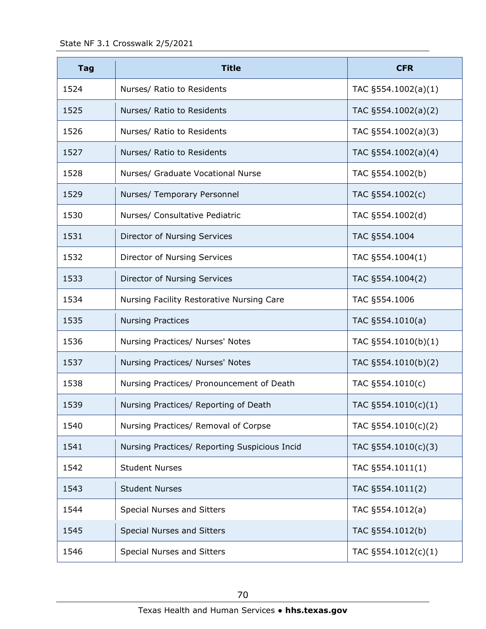| <b>Tag</b> | <b>Title</b>                                  | <b>CFR</b>              |
|------------|-----------------------------------------------|-------------------------|
| 1524       | Nurses/ Ratio to Residents                    | TAC $\S 554.1002(a)(1)$ |
| 1525       | Nurses/ Ratio to Residents                    | TAC §554.1002(a)(2)     |
| 1526       | Nurses/ Ratio to Residents                    | TAC §554.1002(a)(3)     |
| 1527       | Nurses/ Ratio to Residents                    | TAC §554.1002(a)(4)     |
| 1528       | Nurses/ Graduate Vocational Nurse             | TAC §554.1002(b)        |
| 1529       | Nurses/ Temporary Personnel                   | TAC §554.1002(c)        |
| 1530       | Nurses/ Consultative Pediatric                | TAC §554.1002(d)        |
| 1531       | Director of Nursing Services                  | TAC §554.1004           |
| 1532       | Director of Nursing Services                  | TAC §554.1004(1)        |
| 1533       | Director of Nursing Services                  | TAC §554.1004(2)        |
| 1534       | Nursing Facility Restorative Nursing Care     | TAC §554.1006           |
| 1535       | <b>Nursing Practices</b>                      | TAC §554.1010(a)        |
| 1536       | Nursing Practices/ Nurses' Notes              | TAC §554.1010(b)(1)     |
| 1537       | Nursing Practices/ Nurses' Notes              | TAC §554.1010(b)(2)     |
| 1538       | Nursing Practices/ Pronouncement of Death     | TAC §554.1010(c)        |
| 1539       | Nursing Practices/ Reporting of Death         | TAC §554.1010(c)(1)     |
| 1540       | Nursing Practices/ Removal of Corpse          | TAC §554.1010(c)(2)     |
| 1541       | Nursing Practices/ Reporting Suspicious Incid | TAC §554.1010(c)(3)     |
| 1542       | <b>Student Nurses</b>                         | TAC §554.1011(1)        |
| 1543       | <b>Student Nurses</b>                         | TAC §554.1011(2)        |
| 1544       | Special Nurses and Sitters                    | TAC §554.1012(a)        |
| 1545       | Special Nurses and Sitters                    | TAC §554.1012(b)        |
| 1546       | Special Nurses and Sitters                    | TAC §554.1012(c)(1)     |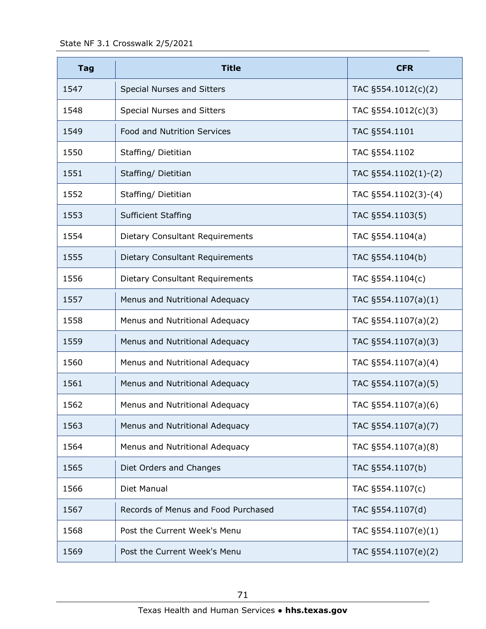| <b>Tag</b> | <b>Title</b>                        | <b>CFR</b>              |
|------------|-------------------------------------|-------------------------|
| 1547       | Special Nurses and Sitters          | TAC §554.1012(c)(2)     |
| 1548       | Special Nurses and Sitters          | TAC §554.1012(c)(3)     |
| 1549       | <b>Food and Nutrition Services</b>  | TAC §554.1101           |
| 1550       | Staffing/ Dietitian                 | TAC §554.1102           |
| 1551       | Staffing/ Dietitian                 | TAC §554.1102(1)-(2)    |
| 1552       | Staffing/ Dietitian                 | TAC §554.1102(3)-(4)    |
| 1553       | <b>Sufficient Staffing</b>          | TAC §554.1103(5)        |
| 1554       | Dietary Consultant Requirements     | TAC §554.1104(a)        |
| 1555       | Dietary Consultant Requirements     | TAC §554.1104(b)        |
| 1556       | Dietary Consultant Requirements     | TAC §554.1104(c)        |
| 1557       | Menus and Nutritional Adequacy      | TAC $\S 554.1107(a)(1)$ |
| 1558       | Menus and Nutritional Adequacy      | TAC §554.1107(a)(2)     |
| 1559       | Menus and Nutritional Adequacy      | TAC §554.1107(a)(3)     |
| 1560       | Menus and Nutritional Adequacy      | TAC §554.1107(a)(4)     |
| 1561       | Menus and Nutritional Adequacy      | TAC §554.1107(a)(5)     |
| 1562       | Menus and Nutritional Adequacy      | TAC §554.1107(a)(6)     |
| 1563       | Menus and Nutritional Adequacy      | TAC §554.1107(a)(7)     |
| 1564       | Menus and Nutritional Adequacy      | TAC §554.1107(a)(8)     |
| 1565       | Diet Orders and Changes             | TAC §554.1107(b)        |
| 1566       | Diet Manual                         | TAC §554.1107(c)        |
| 1567       | Records of Menus and Food Purchased | TAC §554.1107(d)        |
| 1568       | Post the Current Week's Menu        | TAC §554.1107(e)(1)     |
| 1569       | Post the Current Week's Menu        | TAC §554.1107(e)(2)     |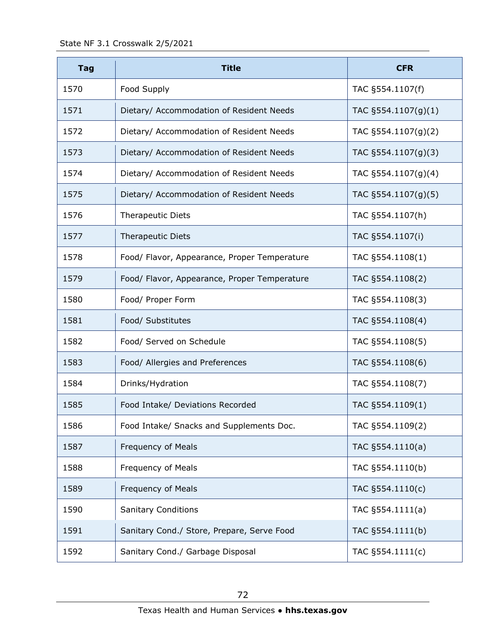State NF 3.1 Crosswalk 2/5/2021

| <b>Tag</b> | <b>Title</b>                                 | <b>CFR</b>             |
|------------|----------------------------------------------|------------------------|
| 1570       | Food Supply                                  | TAC §554.1107(f)       |
| 1571       | Dietary/ Accommodation of Resident Needs     | TAC $\S554.1107(g)(1)$ |
| 1572       | Dietary/ Accommodation of Resident Needs     | TAC §554.1107(g)(2)    |
| 1573       | Dietary/ Accommodation of Resident Needs     | TAC §554.1107(g)(3)    |
| 1574       | Dietary/ Accommodation of Resident Needs     | TAC §554.1107(g)(4)    |
| 1575       | Dietary/ Accommodation of Resident Needs     | TAC §554.1107(g)(5)    |
| 1576       | <b>Therapeutic Diets</b>                     | TAC §554.1107(h)       |
| 1577       | <b>Therapeutic Diets</b>                     | TAC §554.1107(i)       |
| 1578       | Food/ Flavor, Appearance, Proper Temperature | TAC §554.1108(1)       |
| 1579       | Food/ Flavor, Appearance, Proper Temperature | TAC §554.1108(2)       |
| 1580       | Food/ Proper Form                            | TAC §554.1108(3)       |
| 1581       | Food/ Substitutes                            | TAC §554.1108(4)       |
| 1582       | Food/ Served on Schedule                     | TAC §554.1108(5)       |
| 1583       | Food/ Allergies and Preferences              | TAC §554.1108(6)       |
| 1584       | Drinks/Hydration                             | TAC §554.1108(7)       |
| 1585       | Food Intake/ Deviations Recorded             | TAC §554.1109(1)       |
| 1586       | Food Intake/ Snacks and Supplements Doc.     | TAC §554.1109(2)       |
| 1587       | Frequency of Meals                           | TAC §554.1110(a)       |
| 1588       | Frequency of Meals                           | TAC §554.1110(b)       |
| 1589       | Frequency of Meals                           | TAC §554.1110(c)       |
| 1590       | <b>Sanitary Conditions</b>                   | TAC §554.1111(a)       |
| 1591       | Sanitary Cond./ Store, Prepare, Serve Food   | TAC §554.1111(b)       |
| 1592       | Sanitary Cond./ Garbage Disposal             | TAC §554.1111(c)       |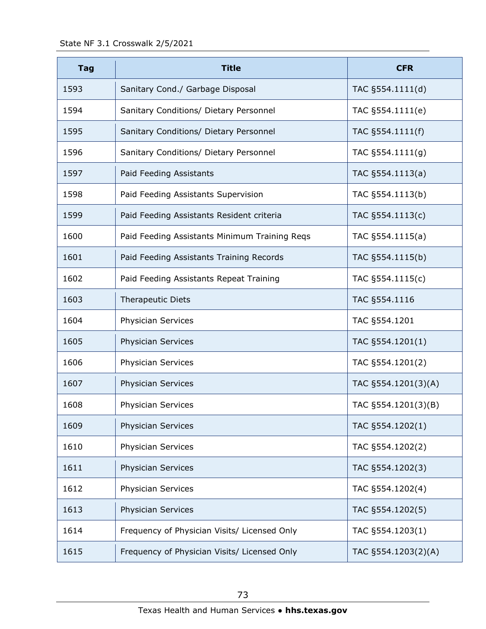| <b>Tag</b> | <b>Title</b>                                  | <b>CFR</b>          |
|------------|-----------------------------------------------|---------------------|
| 1593       | Sanitary Cond./ Garbage Disposal              | TAC §554.1111(d)    |
| 1594       | Sanitary Conditions/ Dietary Personnel        | TAC §554.1111(e)    |
| 1595       | Sanitary Conditions/ Dietary Personnel        | TAC §554.1111(f)    |
| 1596       | Sanitary Conditions/ Dietary Personnel        | TAC §554.1111(g)    |
| 1597       | Paid Feeding Assistants                       | TAC §554.1113(a)    |
| 1598       | Paid Feeding Assistants Supervision           | TAC §554.1113(b)    |
| 1599       | Paid Feeding Assistants Resident criteria     | TAC §554.1113(c)    |
| 1600       | Paid Feeding Assistants Minimum Training Reqs | TAC §554.1115(a)    |
| 1601       | Paid Feeding Assistants Training Records      | TAC §554.1115(b)    |
| 1602       | Paid Feeding Assistants Repeat Training       | TAC §554.1115(c)    |
| 1603       | <b>Therapeutic Diets</b>                      | TAC §554.1116       |
| 1604       | Physician Services                            | TAC §554.1201       |
| 1605       | Physician Services                            | TAC §554.1201(1)    |
| 1606       | Physician Services                            | TAC §554.1201(2)    |
| 1607       | <b>Physician Services</b>                     | TAC §554.1201(3)(A) |
| 1608       | Physician Services                            | TAC §554.1201(3)(B) |
| 1609       | Physician Services                            | TAC §554.1202(1)    |
| 1610       | Physician Services                            | TAC §554.1202(2)    |
| 1611       | Physician Services                            | TAC §554.1202(3)    |
| 1612       | Physician Services                            | TAC §554.1202(4)    |
| 1613       | Physician Services                            | TAC §554.1202(5)    |
| 1614       | Frequency of Physician Visits/ Licensed Only  | TAC §554.1203(1)    |
| 1615       | Frequency of Physician Visits/ Licensed Only  | TAC §554.1203(2)(A) |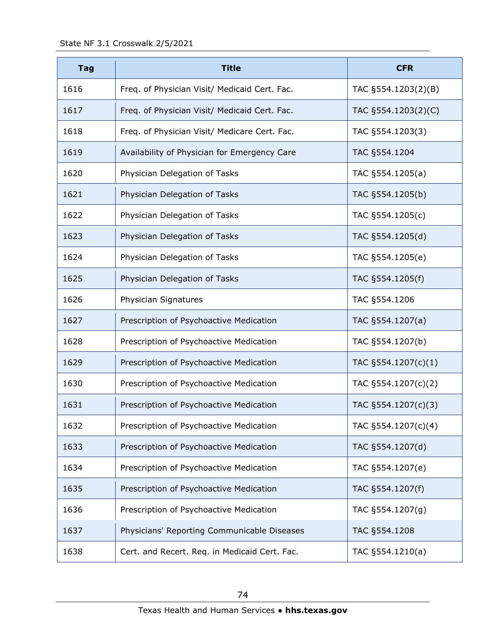| <b>Tag</b> | <b>Title</b>                                  | <b>CFR</b>          |
|------------|-----------------------------------------------|---------------------|
| 1616       | Freq. of Physician Visit/ Medicaid Cert. Fac. | TAC §554.1203(2)(B) |
| 1617       | Freq. of Physician Visit/ Medicaid Cert. Fac. | TAC §554.1203(2)(C) |
| 1618       | Freq. of Physician Visit/ Medicare Cert. Fac. | TAC §554.1203(3)    |
| 1619       | Availability of Physician for Emergency Care  | TAC §554.1204       |
| 1620       | Physician Delegation of Tasks                 | TAC §554.1205(a)    |
| 1621       | Physician Delegation of Tasks                 | TAC §554.1205(b)    |
| 1622       | Physician Delegation of Tasks                 | TAC §554.1205(c)    |
| 1623       | Physician Delegation of Tasks                 | TAC §554.1205(d)    |
| 1624       | Physician Delegation of Tasks                 | TAC §554.1205(e)    |
| 1625       | Physician Delegation of Tasks                 | TAC §554.1205(f)    |
| 1626       | Physician Signatures                          | TAC §554.1206       |
| 1627       | Prescription of Psychoactive Medication       | TAC §554.1207(a)    |
| 1628       | Prescription of Psychoactive Medication       | TAC §554.1207(b)    |
| 1629       | Prescription of Psychoactive Medication       | TAC §554.1207(c)(1) |
| 1630       | Prescription of Psychoactive Medication       | TAC §554.1207(c)(2) |
| 1631       | Prescription of Psychoactive Medication       | TAC §554.1207(c)(3) |
| 1632       | Prescription of Psychoactive Medication       | TAC §554.1207(c)(4) |
| 1633       | Prescription of Psychoactive Medication       | TAC §554.1207(d)    |
| 1634       | Prescription of Psychoactive Medication       | TAC §554.1207(e)    |
| 1635       | Prescription of Psychoactive Medication       | TAC §554.1207(f)    |
| 1636       | Prescription of Psychoactive Medication       | TAC §554.1207(g)    |
| 1637       | Physicians' Reporting Communicable Diseases   | TAC §554.1208       |
| 1638       | Cert. and Recert. Req. in Medicaid Cert. Fac. | TAC §554.1210(a)    |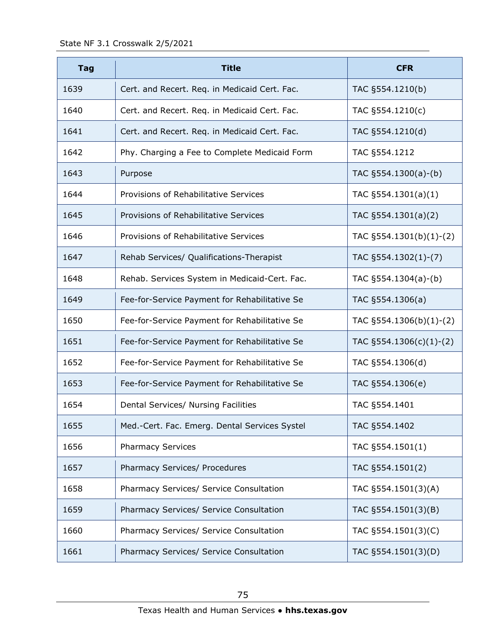| <b>Tag</b> | <b>Title</b>                                  | <b>CFR</b>                  |
|------------|-----------------------------------------------|-----------------------------|
| 1639       | Cert. and Recert. Req. in Medicaid Cert. Fac. | TAC §554.1210(b)            |
| 1640       | Cert. and Recert. Req. in Medicaid Cert. Fac. | TAC §554.1210(c)            |
| 1641       | Cert. and Recert. Req. in Medicaid Cert. Fac. | TAC §554.1210(d)            |
| 1642       | Phy. Charging a Fee to Complete Medicaid Form | TAC §554.1212               |
| 1643       | Purpose                                       | TAC §554.1300(a)-(b)        |
| 1644       | Provisions of Rehabilitative Services         | TAC $\S 554.1301(a)(1)$     |
| 1645       | Provisions of Rehabilitative Services         | TAC §554.1301(a)(2)         |
| 1646       | Provisions of Rehabilitative Services         | TAC §554.1301(b)(1)-(2)     |
| 1647       | Rehab Services/ Qualifications-Therapist      | TAC §554.1302(1)-(7)        |
| 1648       | Rehab. Services System in Medicaid-Cert. Fac. | TAC $§554.1304(a)-(b)$      |
| 1649       | Fee-for-Service Payment for Rehabilitative Se | TAC §554.1306(a)            |
| 1650       | Fee-for-Service Payment for Rehabilitative Se | TAC $\S554.1306(b)(1)-(2)$  |
| 1651       | Fee-for-Service Payment for Rehabilitative Se | TAC $\S 554.1306(c)(1)-(2)$ |
| 1652       | Fee-for-Service Payment for Rehabilitative Se | TAC §554.1306(d)            |
| 1653       | Fee-for-Service Payment for Rehabilitative Se | TAC §554.1306(e)            |
| 1654       | Dental Services/ Nursing Facilities           | TAC §554.1401               |
| 1655       | Med.-Cert. Fac. Emerg. Dental Services Systel | TAC §554.1402               |
| 1656       | <b>Pharmacy Services</b>                      | TAC §554.1501(1)            |
| 1657       | Pharmacy Services/ Procedures                 | TAC §554.1501(2)            |
| 1658       | Pharmacy Services/ Service Consultation       | TAC §554.1501(3)(A)         |
| 1659       | Pharmacy Services/ Service Consultation       | TAC §554.1501(3)(B)         |
| 1660       | Pharmacy Services/ Service Consultation       | TAC §554.1501(3)(C)         |
| 1661       | Pharmacy Services/ Service Consultation       | TAC §554.1501(3)(D)         |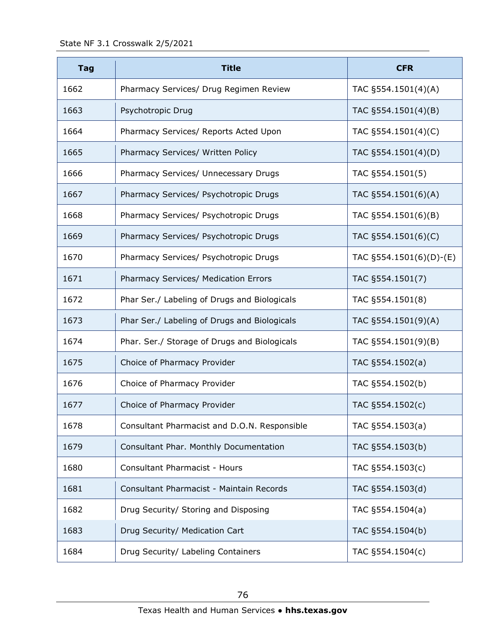| <b>Tag</b> | <b>Title</b>                                 | <b>CFR</b>              |
|------------|----------------------------------------------|-------------------------|
| 1662       | Pharmacy Services/ Drug Regimen Review       | TAC §554.1501(4)(A)     |
| 1663       | Psychotropic Drug                            | TAC §554.1501(4)(B)     |
| 1664       | Pharmacy Services/ Reports Acted Upon        | TAC §554.1501(4)(C)     |
| 1665       | Pharmacy Services/ Written Policy            | TAC §554.1501(4)(D)     |
| 1666       | Pharmacy Services/ Unnecessary Drugs         | TAC §554.1501(5)        |
| 1667       | Pharmacy Services/ Psychotropic Drugs        | TAC §554.1501(6)(A)     |
| 1668       | Pharmacy Services/ Psychotropic Drugs        | TAC §554.1501(6)(B)     |
| 1669       | Pharmacy Services/ Psychotropic Drugs        | TAC §554.1501(6)(C)     |
| 1670       | Pharmacy Services/ Psychotropic Drugs        | TAC §554.1501(6)(D)-(E) |
| 1671       | Pharmacy Services/ Medication Errors         | TAC §554.1501(7)        |
| 1672       | Phar Ser./ Labeling of Drugs and Biologicals | TAC §554.1501(8)        |
| 1673       | Phar Ser./ Labeling of Drugs and Biologicals | TAC §554.1501(9)(A)     |
| 1674       | Phar. Ser./ Storage of Drugs and Biologicals | TAC §554.1501(9)(B)     |
| 1675       | Choice of Pharmacy Provider                  | TAC §554.1502(a)        |
| 1676       | Choice of Pharmacy Provider                  | TAC §554.1502(b)        |
| 1677       | Choice of Pharmacy Provider                  | TAC §554.1502(c)        |
| 1678       | Consultant Pharmacist and D.O.N. Responsible | TAC §554.1503(a)        |
| 1679       | Consultant Phar. Monthly Documentation       | TAC §554.1503(b)        |
| 1680       | Consultant Pharmacist - Hours                | TAC §554.1503(c)        |
| 1681       | Consultant Pharmacist - Maintain Records     | TAC §554.1503(d)        |
| 1682       | Drug Security/ Storing and Disposing         | TAC §554.1504(a)        |
| 1683       | Drug Security/ Medication Cart               | TAC §554.1504(b)        |
| 1684       | Drug Security/ Labeling Containers           | TAC §554.1504(c)        |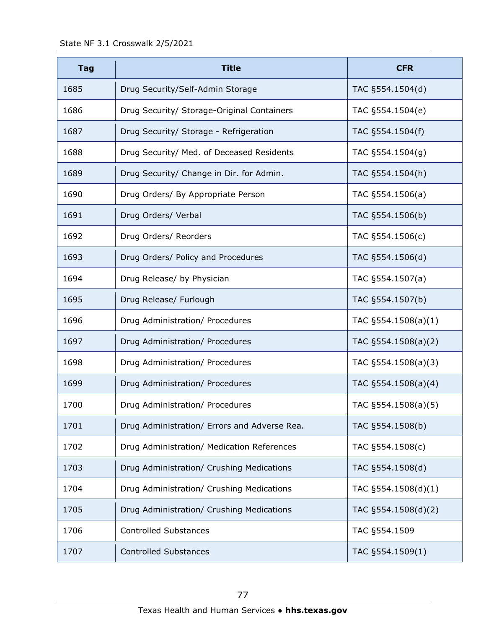| <b>Tag</b> | <b>Title</b>                                 | <b>CFR</b>          |
|------------|----------------------------------------------|---------------------|
| 1685       | Drug Security/Self-Admin Storage             | TAC §554.1504(d)    |
| 1686       | Drug Security/ Storage-Original Containers   | TAC §554.1504(e)    |
| 1687       | Drug Security/ Storage - Refrigeration       | TAC §554.1504(f)    |
| 1688       | Drug Security/ Med. of Deceased Residents    | TAC §554.1504(g)    |
| 1689       | Drug Security/ Change in Dir. for Admin.     | TAC §554.1504(h)    |
| 1690       | Drug Orders/ By Appropriate Person           | TAC §554.1506(a)    |
| 1691       | Drug Orders/ Verbal                          | TAC §554.1506(b)    |
| 1692       | Drug Orders/ Reorders                        | TAC §554.1506(c)    |
| 1693       | Drug Orders/ Policy and Procedures           | TAC §554.1506(d)    |
| 1694       | Drug Release/ by Physician                   | TAC §554.1507(a)    |
| 1695       | Drug Release/ Furlough                       | TAC §554.1507(b)    |
| 1696       | Drug Administration/ Procedures              | TAC §554.1508(a)(1) |
| 1697       | Drug Administration/ Procedures              | TAC §554.1508(a)(2) |
| 1698       | Drug Administration/ Procedures              | TAC §554.1508(a)(3) |
| 1699       | Drug Administration/ Procedures              | TAC §554.1508(a)(4) |
| 1700       | Drug Administration/ Procedures              | TAC §554.1508(a)(5) |
| 1701       | Drug Administration/ Errors and Adverse Rea. | TAC §554.1508(b)    |
| 1702       | Drug Administration/ Medication References   | TAC §554.1508(c)    |
| 1703       | Drug Administration/ Crushing Medications    | TAC §554.1508(d)    |
| 1704       | Drug Administration/ Crushing Medications    | TAC §554.1508(d)(1) |
| 1705       | Drug Administration/ Crushing Medications    | TAC §554.1508(d)(2) |
| 1706       | <b>Controlled Substances</b>                 | TAC §554.1509       |
| 1707       | <b>Controlled Substances</b>                 | TAC §554.1509(1)    |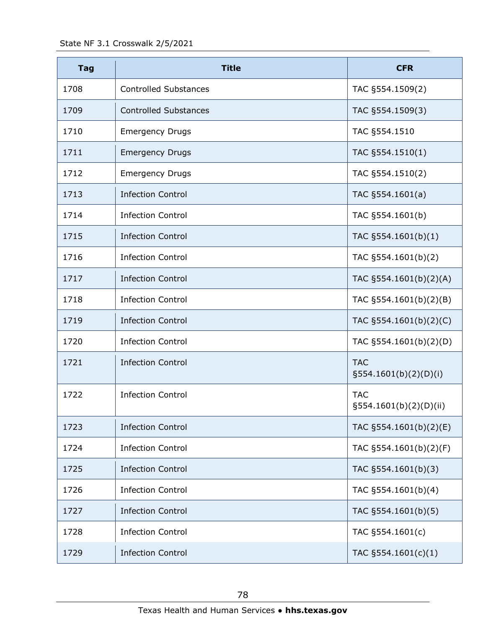| <b>Tag</b> | <b>Title</b>                 | <b>CFR</b>                           |
|------------|------------------------------|--------------------------------------|
| 1708       | <b>Controlled Substances</b> | TAC §554.1509(2)                     |
| 1709       | <b>Controlled Substances</b> | TAC §554.1509(3)                     |
| 1710       | <b>Emergency Drugs</b>       | TAC §554.1510                        |
| 1711       | <b>Emergency Drugs</b>       | TAC §554.1510(1)                     |
| 1712       | <b>Emergency Drugs</b>       | TAC §554.1510(2)                     |
| 1713       | <b>Infection Control</b>     | TAC §554.1601(a)                     |
| 1714       | <b>Infection Control</b>     | TAC §554.1601(b)                     |
| 1715       | <b>Infection Control</b>     | TAC §554.1601(b)(1)                  |
| 1716       | <b>Infection Control</b>     | TAC §554.1601(b)(2)                  |
| 1717       | <b>Infection Control</b>     | TAC §554.1601(b)(2)(A)               |
| 1718       | <b>Infection Control</b>     | TAC §554.1601(b)(2)(B)               |
| 1719       | <b>Infection Control</b>     | TAC §554.1601(b)(2)(C)               |
| 1720       | <b>Infection Control</b>     | TAC §554.1601(b)(2)(D)               |
| 1721       | <b>Infection Control</b>     | <b>TAC</b><br>§554.1601(b)(2)(D)(i)  |
| 1722       | <b>Infection Control</b>     | <b>TAC</b><br>§554.1601(b)(2)(D)(ii) |
| 1723       | <b>Infection Control</b>     | TAC §554.1601(b)(2)(E)               |
| 1724       | <b>Infection Control</b>     | TAC §554.1601(b)(2)(F)               |
| 1725       | <b>Infection Control</b>     | TAC §554.1601(b)(3)                  |
| 1726       | <b>Infection Control</b>     | TAC §554.1601(b)(4)                  |
| 1727       | <b>Infection Control</b>     | TAC §554.1601(b)(5)                  |
| 1728       | <b>Infection Control</b>     | TAC §554.1601(c)                     |
| 1729       | <b>Infection Control</b>     | TAC §554.1601(c)(1)                  |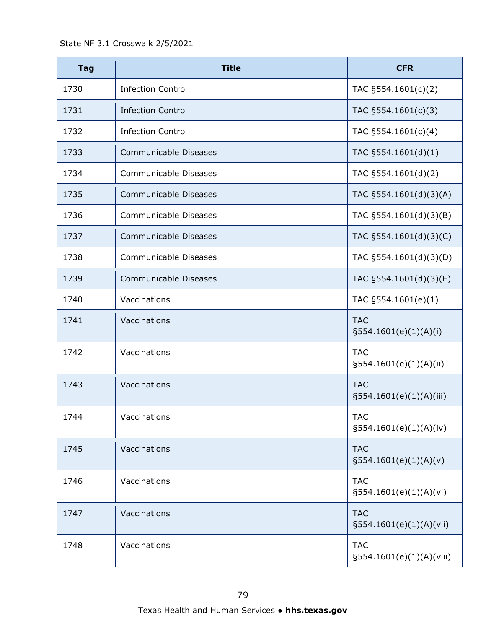| <b>Tag</b> | <b>Title</b>                 | <b>CFR</b>                               |
|------------|------------------------------|------------------------------------------|
| 1730       | <b>Infection Control</b>     | TAC §554.1601(c)(2)                      |
| 1731       | <b>Infection Control</b>     | TAC §554.1601(c)(3)                      |
| 1732       | <b>Infection Control</b>     | TAC §554.1601(c)(4)                      |
| 1733       | Communicable Diseases        | TAC §554.1601(d)(1)                      |
| 1734       | Communicable Diseases        | TAC §554.1601(d)(2)                      |
| 1735       | <b>Communicable Diseases</b> | TAC §554.1601(d)(3)(A)                   |
| 1736       | <b>Communicable Diseases</b> | TAC §554.1601(d)(3)(B)                   |
| 1737       | <b>Communicable Diseases</b> | TAC §554.1601(d)(3)(C)                   |
| 1738       | Communicable Diseases        | TAC §554.1601(d)(3)(D)                   |
| 1739       | <b>Communicable Diseases</b> | TAC §554.1601(d)(3)(E)                   |
| 1740       | Vaccinations                 | TAC §554.1601(e)(1)                      |
| 1741       | Vaccinations                 | <b>TAC</b><br>§554.1601(e)(1)(A)(i)      |
| 1742       | Vaccinations                 | <b>TAC</b><br>$\S554.1601(e)(1)(A)(ii)$  |
| 1743       | Vaccinations                 | <b>TAC</b><br>$\S554.1601(e)(1)(A)(iii)$ |
| 1744       | Vaccinations                 | <b>TAC</b><br>$\S554.1601(e)(1)(A)(iv)$  |
| 1745       | Vaccinations                 | <b>TAC</b><br>§554.1601(e)(1)(A)(v)      |
| 1746       | Vaccinations                 | <b>TAC</b><br>$\S554.1601(e)(1)(A)(vi)$  |
| 1747       | Vaccinations                 | <b>TAC</b><br>$\S554.1601(e)(1)(A)(Vii)$ |
| 1748       | Vaccinations                 | <b>TAC</b><br>§554.1601(e)(1)(A)(viii)   |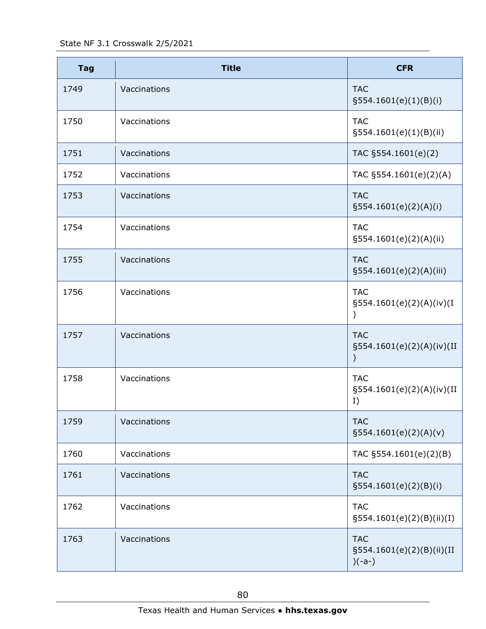| <b>Tag</b> | <b>Title</b> | <b>CFR</b>                                          |
|------------|--------------|-----------------------------------------------------|
| 1749       | Vaccinations | <b>TAC</b><br>§554.1601(e)(1)(B)(i)                 |
| 1750       | Vaccinations | <b>TAC</b><br>§554.1601(e)(1)(B)(ii)                |
| 1751       | Vaccinations | TAC §554.1601(e)(2)                                 |
| 1752       | Vaccinations | TAC §554.1601(e)(2)(A)                              |
| 1753       | Vaccinations | <b>TAC</b><br>$\S554.1601(e)(2)(A)(i)$              |
| 1754       | Vaccinations | <b>TAC</b><br>§554.1601(e)(2)(A)(ii)                |
| 1755       | Vaccinations | <b>TAC</b><br>§554.1601(e)(2)(A)(iii)               |
| 1756       | Vaccinations | <b>TAC</b><br>§554.1601(e)(2)(A)(iv)(I              |
| 1757       | Vaccinations | <b>TAC</b><br>§554.1601(e)(2)(A)(iv)(II             |
| 1758       | Vaccinations | <b>TAC</b><br>§554.1601(e)(2)(A)(iv)(II<br>I)       |
| 1759       | Vaccinations | <b>TAC</b><br>§554.1601(e)(2)(A)(v)                 |
| 1760       | Vaccinations | TAC §554.1601(e)(2)(B)                              |
| 1761       | Vaccinations | <b>TAC</b><br>§554.1601(e)(2)(B)(i)                 |
| 1762       | Vaccinations | <b>TAC</b><br>$\S 554.1601(e)(2)(B)(ii)(I)$         |
| 1763       | Vaccinations | <b>TAC</b><br>§554.1601(e)(2)(B)(ii)(II<br>$)(-a-)$ |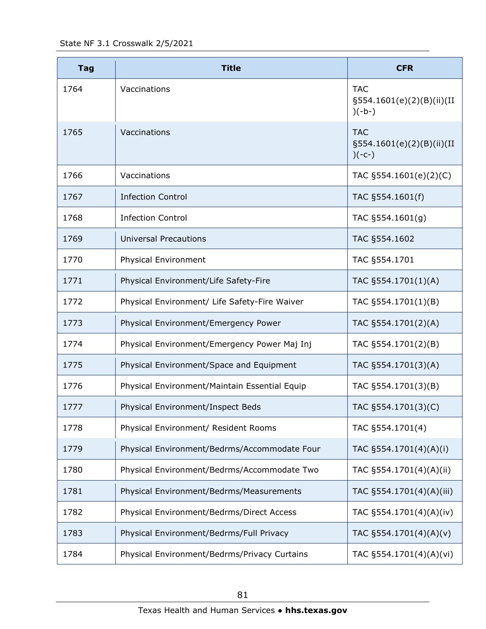| <b>Tag</b> | <b>Title</b>                                  | <b>CFR</b>                                             |
|------------|-----------------------------------------------|--------------------------------------------------------|
| 1764       | Vaccinations                                  | <b>TAC</b><br>§554.1601(e)(2)(B)(ii)(II<br>$)(-b-)$    |
| 1765       | Vaccinations                                  | <b>TAC</b><br>§554.1601(e)(2)(B)(ii)(II<br>$)(-C^{-})$ |
| 1766       | Vaccinations                                  | TAC §554.1601(e)(2)(C)                                 |
| 1767       | <b>Infection Control</b>                      | TAC §554.1601(f)                                       |
| 1768       | <b>Infection Control</b>                      | TAC §554.1601(g)                                       |
| 1769       | <b>Universal Precautions</b>                  | TAC §554.1602                                          |
| 1770       | Physical Environment                          | TAC §554.1701                                          |
| 1771       | Physical Environment/Life Safety-Fire         | TAC §554.1701(1)(A)                                    |
| 1772       | Physical Environment/ Life Safety-Fire Waiver | TAC §554.1701(1)(B)                                    |
| 1773       | Physical Environment/Emergency Power          | TAC §554.1701(2)(A)                                    |
| 1774       | Physical Environment/Emergency Power Maj Inj  | TAC §554.1701(2)(B)                                    |
| 1775       | Physical Environment/Space and Equipment      | TAC §554.1701(3)(A)                                    |
| 1776       | Physical Environment/Maintain Essential Equip | TAC §554.1701(3)(B)                                    |
| 1777       | Physical Environment/Inspect Beds             | TAC §554.1701(3)(C)                                    |
| 1778       | Physical Environment/ Resident Rooms          | TAC §554.1701(4)                                       |
| 1779       | Physical Environment/Bedrms/Accommodate Four  | TAC §554.1701(4)(A)(i)                                 |
| 1780       | Physical Environment/Bedrms/Accommodate Two   | TAC §554.1701(4)(A)(ii)                                |
| 1781       | Physical Environment/Bedrms/Measurements      | TAC §554.1701(4)(A)(iii)                               |
| 1782       | Physical Environment/Bedrms/Direct Access     | TAC §554.1701(4)(A)(iv)                                |
| 1783       | Physical Environment/Bedrms/Full Privacy      | TAC §554.1701(4)(A)(v)                                 |
| 1784       | Physical Environment/Bedrms/Privacy Curtains  | TAC §554.1701(4)(A)(vi)                                |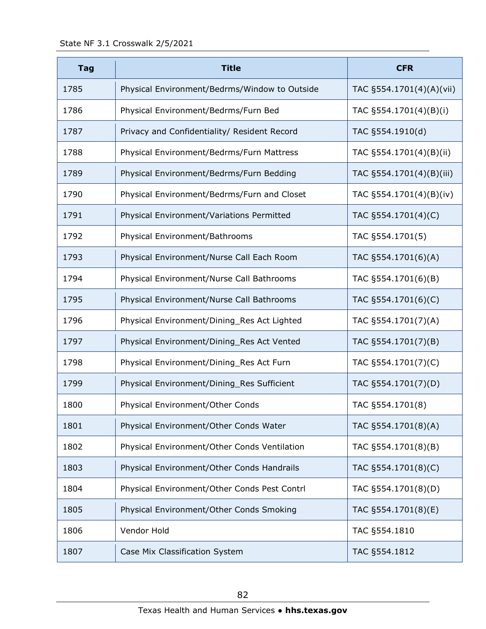| <b>Tag</b> | <b>Title</b>                                  | <b>CFR</b>               |
|------------|-----------------------------------------------|--------------------------|
| 1785       | Physical Environment/Bedrms/Window to Outside | TAC §554.1701(4)(A)(vii) |
| 1786       | Physical Environment/Bedrms/Furn Bed          | TAC §554.1701(4)(B)(i)   |
| 1787       | Privacy and Confidentiality/ Resident Record  | TAC §554.1910(d)         |
| 1788       | Physical Environment/Bedrms/Furn Mattress     | TAC §554.1701(4)(B)(ii)  |
| 1789       | Physical Environment/Bedrms/Furn Bedding      | TAC §554.1701(4)(B)(iii) |
| 1790       | Physical Environment/Bedrms/Furn and Closet   | TAC §554.1701(4)(B)(iv)  |
| 1791       | Physical Environment/Variations Permitted     | TAC §554.1701(4)(C)      |
| 1792       | Physical Environment/Bathrooms                | TAC §554.1701(5)         |
| 1793       | Physical Environment/Nurse Call Each Room     | TAC §554.1701(6)(A)      |
| 1794       | Physical Environment/Nurse Call Bathrooms     | TAC §554.1701(6)(B)      |
| 1795       | Physical Environment/Nurse Call Bathrooms     | TAC §554.1701(6)(C)      |
| 1796       | Physical Environment/Dining_Res Act Lighted   | TAC §554.1701(7)(A)      |
| 1797       | Physical Environment/Dining_Res Act Vented    | TAC §554.1701(7)(B)      |
| 1798       | Physical Environment/Dining_Res Act Furn      | TAC §554.1701(7)(C)      |
| 1799       | Physical Environment/Dining_Res Sufficient    | TAC §554.1701(7)(D)      |
| 1800       | Physical Environment/Other Conds              | TAC §554.1701(8)         |
| 1801       | Physical Environment/Other Conds Water        | TAC §554.1701(8)(A)      |
| 1802       | Physical Environment/Other Conds Ventilation  | TAC §554.1701(8)(B)      |
| 1803       | Physical Environment/Other Conds Handrails    | TAC §554.1701(8)(C)      |
| 1804       | Physical Environment/Other Conds Pest Contrl  | TAC §554.1701(8)(D)      |
| 1805       | Physical Environment/Other Conds Smoking      | TAC §554.1701(8)(E)      |
| 1806       | Vendor Hold                                   | TAC §554.1810            |
| 1807       | Case Mix Classification System                | TAC §554.1812            |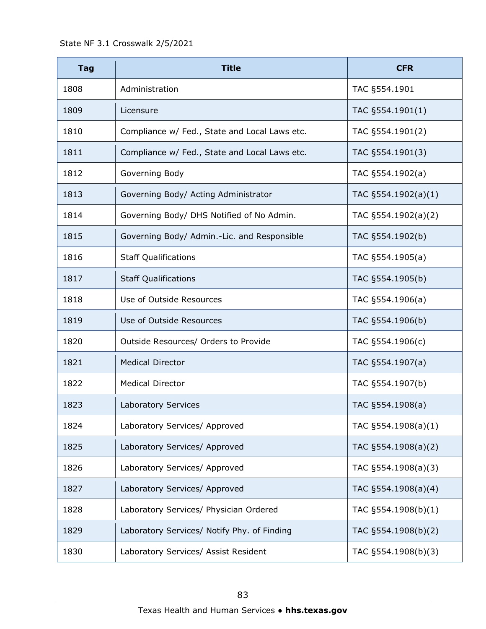| <b>Tag</b> | <b>Title</b>                                  | <b>CFR</b>             |
|------------|-----------------------------------------------|------------------------|
| 1808       | Administration                                | TAC §554.1901          |
| 1809       | Licensure                                     | TAC §554.1901(1)       |
| 1810       | Compliance w/ Fed., State and Local Laws etc. | TAC §554.1901(2)       |
| 1811       | Compliance w/ Fed., State and Local Laws etc. | TAC §554.1901(3)       |
| 1812       | Governing Body                                | TAC §554.1902(a)       |
| 1813       | Governing Body/ Acting Administrator          | TAC $\S554.1902(a)(1)$ |
| 1814       | Governing Body/ DHS Notified of No Admin.     | TAC §554.1902(a)(2)    |
| 1815       | Governing Body/ Admin.-Lic. and Responsible   | TAC §554.1902(b)       |
| 1816       | <b>Staff Qualifications</b>                   | TAC §554.1905(a)       |
| 1817       | <b>Staff Qualifications</b>                   | TAC §554.1905(b)       |
| 1818       | Use of Outside Resources                      | TAC §554.1906(a)       |
| 1819       | Use of Outside Resources                      | TAC §554.1906(b)       |
| 1820       | Outside Resources/ Orders to Provide          | TAC §554.1906(c)       |
| 1821       | <b>Medical Director</b>                       | TAC §554.1907(a)       |
| 1822       | <b>Medical Director</b>                       | TAC §554.1907(b)       |
| 1823       | Laboratory Services                           | TAC §554.1908(a)       |
| 1824       | Laboratory Services/ Approved                 | TAC §554.1908(a)(1)    |
| 1825       | Laboratory Services/ Approved                 | TAC §554.1908(a)(2)    |
| 1826       | Laboratory Services/ Approved                 | TAC §554.1908(a)(3)    |
| 1827       | Laboratory Services/ Approved                 | TAC §554.1908(a)(4)    |
| 1828       | Laboratory Services/ Physician Ordered        | TAC §554.1908(b)(1)    |
| 1829       | Laboratory Services/ Notify Phy. of Finding   | TAC §554.1908(b)(2)    |
| 1830       | Laboratory Services/ Assist Resident          | TAC §554.1908(b)(3)    |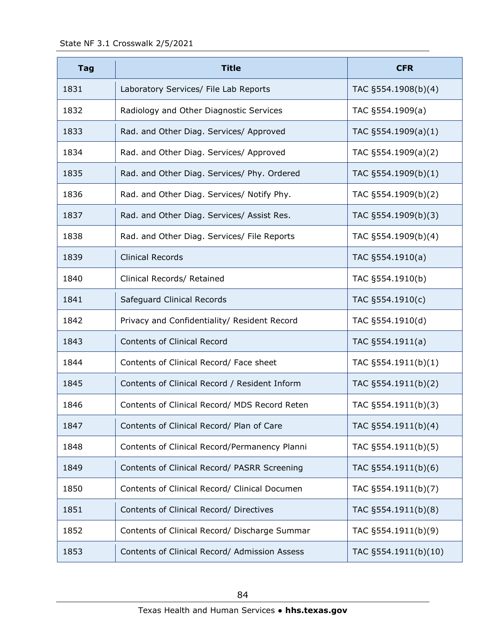| <b>Tag</b> | <b>Title</b>                                  | <b>CFR</b>           |
|------------|-----------------------------------------------|----------------------|
| 1831       | Laboratory Services/ File Lab Reports         | TAC §554.1908(b)(4)  |
| 1832       | Radiology and Other Diagnostic Services       | TAC §554.1909(a)     |
| 1833       | Rad. and Other Diag. Services/ Approved       | TAC §554.1909(a)(1)  |
| 1834       | Rad. and Other Diag. Services/ Approved       | TAC §554.1909(a)(2)  |
| 1835       | Rad. and Other Diag. Services/ Phy. Ordered   | TAC §554.1909(b)(1)  |
| 1836       | Rad. and Other Diag. Services/ Notify Phy.    | TAC §554.1909(b)(2)  |
| 1837       | Rad. and Other Diag. Services/ Assist Res.    | TAC §554.1909(b)(3)  |
| 1838       | Rad. and Other Diag. Services/ File Reports   | TAC §554.1909(b)(4)  |
| 1839       | <b>Clinical Records</b>                       | TAC §554.1910(a)     |
| 1840       | Clinical Records/ Retained                    | TAC §554.1910(b)     |
| 1841       | Safeguard Clinical Records                    | TAC §554.1910(c)     |
| 1842       | Privacy and Confidentiality/ Resident Record  | TAC §554.1910(d)     |
| 1843       | <b>Contents of Clinical Record</b>            | TAC §554.1911(a)     |
| 1844       | Contents of Clinical Record/ Face sheet       | TAC §554.1911(b)(1)  |
| 1845       | Contents of Clinical Record / Resident Inform | TAC §554.1911(b)(2)  |
| 1846       | Contents of Clinical Record/ MDS Record Reten | TAC §554.1911(b)(3)  |
| 1847       | Contents of Clinical Record/ Plan of Care     | TAC §554.1911(b)(4)  |
| 1848       | Contents of Clinical Record/Permanency Planni | TAC §554.1911(b)(5)  |
| 1849       | Contents of Clinical Record/ PASRR Screening  | TAC §554.1911(b)(6)  |
| 1850       | Contents of Clinical Record/ Clinical Documen | TAC §554.1911(b)(7)  |
| 1851       | Contents of Clinical Record/ Directives       | TAC §554.1911(b)(8)  |
| 1852       | Contents of Clinical Record/ Discharge Summar | TAC §554.1911(b)(9)  |
| 1853       | Contents of Clinical Record/ Admission Assess | TAC §554.1911(b)(10) |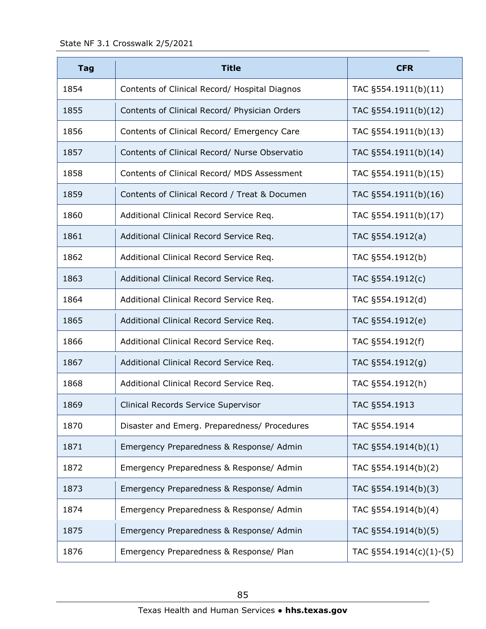| <b>Tag</b> | <b>Title</b>                                  | <b>CFR</b>              |
|------------|-----------------------------------------------|-------------------------|
| 1854       | Contents of Clinical Record/ Hospital Diagnos | TAC §554.1911(b)(11)    |
| 1855       | Contents of Clinical Record/ Physician Orders | TAC §554.1911(b)(12)    |
| 1856       | Contents of Clinical Record/ Emergency Care   | TAC §554.1911(b)(13)    |
| 1857       | Contents of Clinical Record/ Nurse Observatio | TAC §554.1911(b)(14)    |
| 1858       | Contents of Clinical Record/ MDS Assessment   | TAC §554.1911(b)(15)    |
| 1859       | Contents of Clinical Record / Treat & Documen | TAC §554.1911(b)(16)    |
| 1860       | Additional Clinical Record Service Req.       | TAC §554.1911(b)(17)    |
| 1861       | Additional Clinical Record Service Req.       | TAC §554.1912(a)        |
| 1862       | Additional Clinical Record Service Req.       | TAC §554.1912(b)        |
| 1863       | Additional Clinical Record Service Req.       | TAC §554.1912(c)        |
| 1864       | Additional Clinical Record Service Req.       | TAC §554.1912(d)        |
| 1865       | Additional Clinical Record Service Req.       | TAC §554.1912(e)        |
| 1866       | Additional Clinical Record Service Req.       | TAC §554.1912(f)        |
| 1867       | Additional Clinical Record Service Req.       | TAC §554.1912(g)        |
| 1868       | Additional Clinical Record Service Req.       | TAC §554.1912(h)        |
| 1869       | Clinical Records Service Supervisor           | TAC §554.1913           |
| 1870       | Disaster and Emerg. Preparedness/ Procedures  | TAC §554.1914           |
| 1871       | Emergency Preparedness & Response/ Admin      | TAC §554.1914(b)(1)     |
| 1872       | Emergency Preparedness & Response/ Admin      | TAC §554.1914(b)(2)     |
| 1873       | Emergency Preparedness & Response/ Admin      | TAC §554.1914(b)(3)     |
| 1874       | Emergency Preparedness & Response/ Admin      | TAC §554.1914(b)(4)     |
| 1875       | Emergency Preparedness & Response/ Admin      | TAC §554.1914(b)(5)     |
| 1876       | Emergency Preparedness & Response/ Plan       | TAC §554.1914(c)(1)-(5) |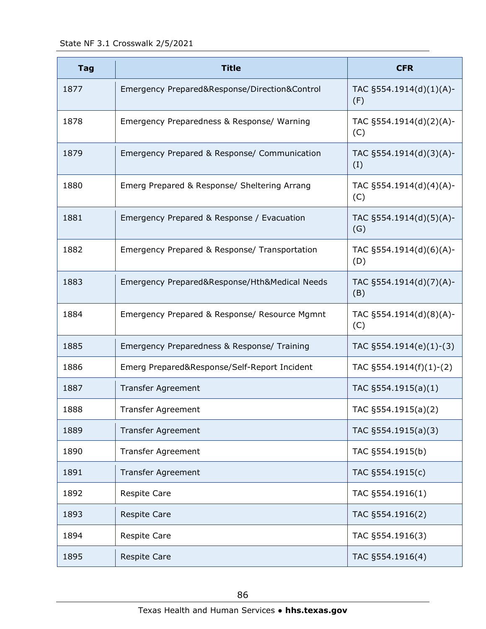State NF 3.1 Crosswalk 2/5/2021

| <b>Tag</b> | <b>Title</b>                                  | <b>CFR</b>                     |
|------------|-----------------------------------------------|--------------------------------|
| 1877       | Emergency Prepared&Response/Direction&Control | TAC §554.1914(d)(1)(A)-<br>(F) |
| 1878       | Emergency Preparedness & Response/ Warning    | TAC §554.1914(d)(2)(A)-<br>(C) |
| 1879       | Emergency Prepared & Response/ Communication  | TAC §554.1914(d)(3)(A)-<br>(I) |
| 1880       | Emerg Prepared & Response/ Sheltering Arrang  | TAC §554.1914(d)(4)(A)-<br>(C) |
| 1881       | Emergency Prepared & Response / Evacuation    | TAC §554.1914(d)(5)(A)-<br>(G) |
| 1882       | Emergency Prepared & Response/ Transportation | TAC §554.1914(d)(6)(A)-<br>(D) |
| 1883       | Emergency Prepared&Response/Hth&Medical Needs | TAC §554.1914(d)(7)(A)-<br>(B) |
| 1884       | Emergency Prepared & Response/ Resource Mgmnt | TAC §554.1914(d)(8)(A)-<br>(C) |
| 1885       | Emergency Preparedness & Response/ Training   | TAC §554.1914(e)(1)-(3)        |
| 1886       | Emerg Prepared&Response/Self-Report Incident  | TAC §554.1914(f)(1)-(2)        |
| 1887       | Transfer Agreement                            | TAC §554.1915(a)(1)            |
| 1888       | <b>Transfer Agreement</b>                     | TAC §554.1915(a)(2)            |
| 1889       | Transfer Agreement                            | TAC §554.1915(a)(3)            |
| 1890       | <b>Transfer Agreement</b>                     | TAC §554.1915(b)               |
| 1891       | Transfer Agreement                            | TAC §554.1915(c)               |
| 1892       | <b>Respite Care</b>                           | TAC §554.1916(1)               |
| 1893       | <b>Respite Care</b>                           | TAC §554.1916(2)               |
| 1894       | <b>Respite Care</b>                           | TAC §554.1916(3)               |
| 1895       | <b>Respite Care</b>                           | TAC §554.1916(4)               |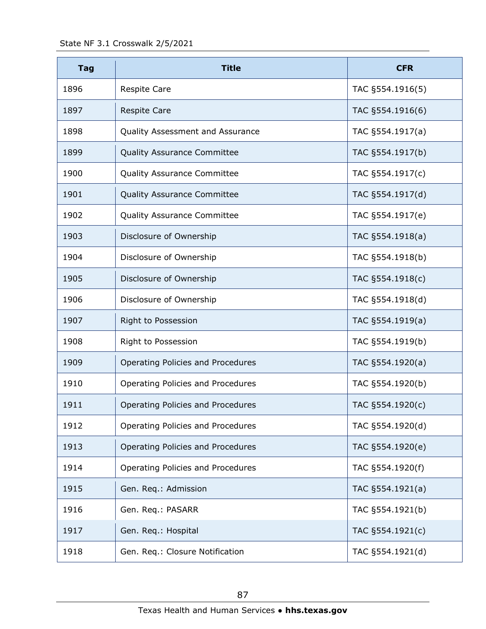State NF 3.1 Crosswalk 2/5/2021

| <b>Tag</b> | <b>Title</b>                       | <b>CFR</b>       |
|------------|------------------------------------|------------------|
| 1896       | <b>Respite Care</b>                | TAC §554.1916(5) |
| 1897       | <b>Respite Care</b>                | TAC §554.1916(6) |
| 1898       | Quality Assessment and Assurance   | TAC §554.1917(a) |
| 1899       | <b>Quality Assurance Committee</b> | TAC §554.1917(b) |
| 1900       | <b>Quality Assurance Committee</b> | TAC §554.1917(c) |
| 1901       | <b>Quality Assurance Committee</b> | TAC §554.1917(d) |
| 1902       | <b>Quality Assurance Committee</b> | TAC §554.1917(e) |
| 1903       | Disclosure of Ownership            | TAC §554.1918(a) |
| 1904       | Disclosure of Ownership            | TAC §554.1918(b) |
| 1905       | Disclosure of Ownership            | TAC §554.1918(c) |
| 1906       | Disclosure of Ownership            | TAC §554.1918(d) |
| 1907       | Right to Possession                | TAC §554.1919(a) |
| 1908       | Right to Possession                | TAC §554.1919(b) |
| 1909       | Operating Policies and Procedures  | TAC §554.1920(a) |
| 1910       | Operating Policies and Procedures  | TAC §554.1920(b) |
| 1911       | Operating Policies and Procedures  | TAC §554.1920(c) |
| 1912       | Operating Policies and Procedures  | TAC §554.1920(d) |
| 1913       | Operating Policies and Procedures  | TAC §554.1920(e) |
| 1914       | Operating Policies and Procedures  | TAC §554.1920(f) |
| 1915       | Gen. Req.: Admission               | TAC §554.1921(a) |
| 1916       | Gen. Req.: PASARR                  | TAC §554.1921(b) |
| 1917       | Gen. Req.: Hospital                | TAC §554.1921(c) |
| 1918       | Gen. Req.: Closure Notification    | TAC §554.1921(d) |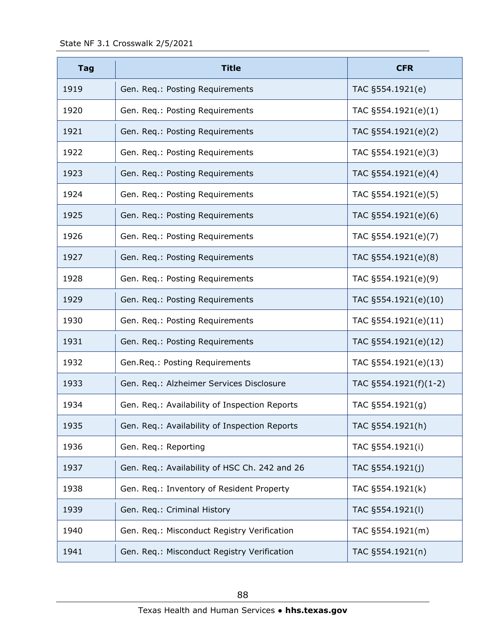| <b>Tag</b> | <b>Title</b>                                  | <b>CFR</b>            |
|------------|-----------------------------------------------|-----------------------|
| 1919       | Gen. Req.: Posting Requirements               | TAC §554.1921(e)      |
| 1920       | Gen. Req.: Posting Requirements               | TAC §554.1921(e)(1)   |
| 1921       | Gen. Req.: Posting Requirements               | TAC §554.1921(e)(2)   |
| 1922       | Gen. Req.: Posting Requirements               | TAC §554.1921(e)(3)   |
| 1923       | Gen. Req.: Posting Requirements               | TAC §554.1921(e)(4)   |
| 1924       | Gen. Req.: Posting Requirements               | TAC §554.1921(e)(5)   |
| 1925       | Gen. Req.: Posting Requirements               | TAC §554.1921(e)(6)   |
| 1926       | Gen. Req.: Posting Requirements               | TAC §554.1921(e)(7)   |
| 1927       | Gen. Req.: Posting Requirements               | TAC §554.1921(e)(8)   |
| 1928       | Gen. Req.: Posting Requirements               | TAC §554.1921(e)(9)   |
| 1929       | Gen. Req.: Posting Requirements               | TAC §554.1921(e)(10)  |
| 1930       | Gen. Req.: Posting Requirements               | TAC §554.1921(e)(11)  |
| 1931       | Gen. Req.: Posting Requirements               | TAC §554.1921(e)(12)  |
| 1932       | Gen.Req.: Posting Requirements                | TAC §554.1921(e)(13)  |
| 1933       | Gen. Req.: Alzheimer Services Disclosure      | TAC §554.1921(f)(1-2) |
| 1934       | Gen. Req.: Availability of Inspection Reports | TAC §554.1921(g)      |
| 1935       | Gen. Req.: Availability of Inspection Reports | TAC §554.1921(h)      |
| 1936       | Gen. Req.: Reporting                          | TAC §554.1921(i)      |
| 1937       | Gen. Req.: Availability of HSC Ch. 242 and 26 | TAC §554.1921(j)      |
| 1938       | Gen. Req.: Inventory of Resident Property     | TAC §554.1921(k)      |
| 1939       | Gen. Req.: Criminal History                   | TAC §554.1921(I)      |
| 1940       | Gen. Req.: Misconduct Registry Verification   | TAC §554.1921(m)      |
| 1941       | Gen. Req.: Misconduct Registry Verification   | TAC §554.1921(n)      |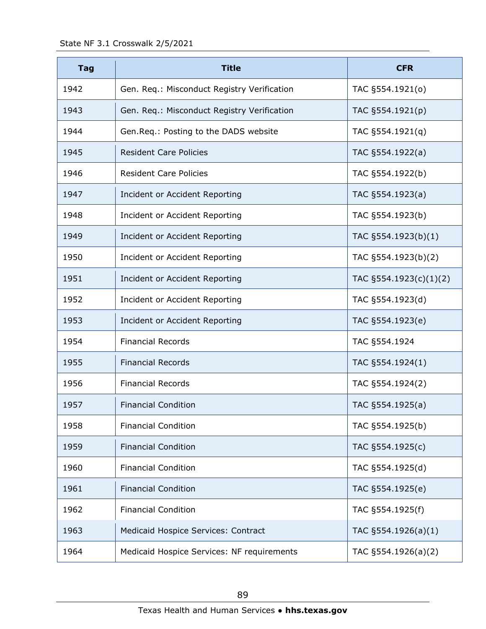| <b>Tag</b> | <b>Title</b>                                | <b>CFR</b>                 |
|------------|---------------------------------------------|----------------------------|
| 1942       | Gen. Req.: Misconduct Registry Verification | TAC §554.1921(0)           |
| 1943       | Gen. Req.: Misconduct Registry Verification | TAC §554.1921(p)           |
| 1944       | Gen. Req.: Posting to the DADS website      | TAC §554.1921(q)           |
| 1945       | <b>Resident Care Policies</b>               | TAC §554.1922(a)           |
| 1946       | <b>Resident Care Policies</b>               | TAC §554.1922(b)           |
| 1947       | Incident or Accident Reporting              | TAC §554.1923(a)           |
| 1948       | Incident or Accident Reporting              | TAC §554.1923(b)           |
| 1949       | Incident or Accident Reporting              | TAC §554.1923(b)(1)        |
| 1950       | Incident or Accident Reporting              | TAC §554.1923(b)(2)        |
| 1951       | Incident or Accident Reporting              | TAC $\S 554.1923(c)(1)(2)$ |
| 1952       | Incident or Accident Reporting              | TAC §554.1923(d)           |
| 1953       | Incident or Accident Reporting              | TAC §554.1923(e)           |
| 1954       | <b>Financial Records</b>                    | TAC §554.1924              |
| 1955       | <b>Financial Records</b>                    | TAC §554.1924(1)           |
| 1956       | <b>Financial Records</b>                    | TAC §554.1924(2)           |
| 1957       | <b>Financial Condition</b>                  | TAC §554.1925(a)           |
| 1958       | <b>Financial Condition</b>                  | TAC §554.1925(b)           |
| 1959       | <b>Financial Condition</b>                  | TAC §554.1925(c)           |
| 1960       | <b>Financial Condition</b>                  | TAC §554.1925(d)           |
| 1961       | <b>Financial Condition</b>                  | TAC §554.1925(e)           |
| 1962       | <b>Financial Condition</b>                  | TAC §554.1925(f)           |
| 1963       | Medicaid Hospice Services: Contract         | TAC §554.1926(a)(1)        |
| 1964       | Medicaid Hospice Services: NF requirements  | TAC §554.1926(a)(2)        |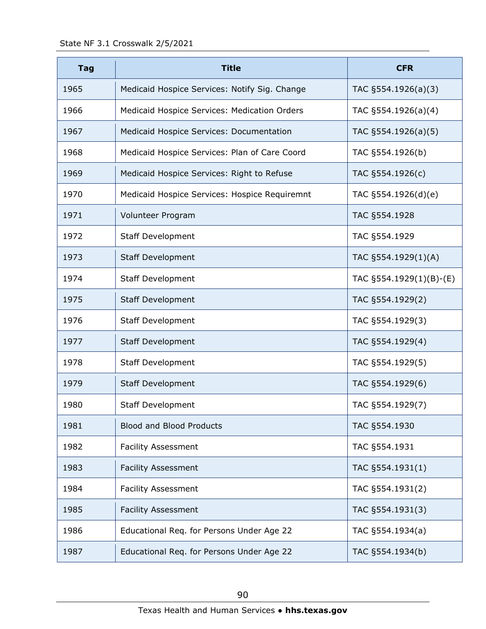| <b>Tag</b> | <b>Title</b>                                    | <b>CFR</b>                  |
|------------|-------------------------------------------------|-----------------------------|
| 1965       | Medicaid Hospice Services: Notify Sig. Change   | TAC §554.1926(a)(3)         |
| 1966       | Medicaid Hospice Services: Medication Orders    | TAC §554.1926(a)(4)         |
| 1967       | <b>Medicaid Hospice Services: Documentation</b> | TAC §554.1926(a)(5)         |
| 1968       | Medicaid Hospice Services: Plan of Care Coord   | TAC §554.1926(b)            |
| 1969       | Medicaid Hospice Services: Right to Refuse      | TAC §554.1926(c)            |
| 1970       | Medicaid Hospice Services: Hospice Requiremnt   | TAC §554.1926(d)(e)         |
| 1971       | Volunteer Program                               | TAC §554.1928               |
| 1972       | <b>Staff Development</b>                        | TAC §554.1929               |
| 1973       | <b>Staff Development</b>                        | TAC §554.1929(1)(A)         |
| 1974       | <b>Staff Development</b>                        | TAC $\S$ 554.1929(1)(B)-(E) |
| 1975       | <b>Staff Development</b>                        | TAC §554.1929(2)            |
| 1976       | <b>Staff Development</b>                        | TAC §554.1929(3)            |
| 1977       | <b>Staff Development</b>                        | TAC §554.1929(4)            |
| 1978       | <b>Staff Development</b>                        | TAC §554.1929(5)            |
| 1979       | <b>Staff Development</b>                        | TAC §554.1929(6)            |
| 1980       | <b>Staff Development</b>                        | TAC §554.1929(7)            |
| 1981       | <b>Blood and Blood Products</b>                 | TAC §554.1930               |
| 1982       | <b>Facility Assessment</b>                      | TAC §554.1931               |
| 1983       | <b>Facility Assessment</b>                      | TAC §554.1931(1)            |
| 1984       | <b>Facility Assessment</b>                      | TAC §554.1931(2)            |
| 1985       | <b>Facility Assessment</b>                      | TAC §554.1931(3)            |
| 1986       | Educational Req. for Persons Under Age 22       | TAC §554.1934(a)            |
| 1987       | Educational Req. for Persons Under Age 22       | TAC §554.1934(b)            |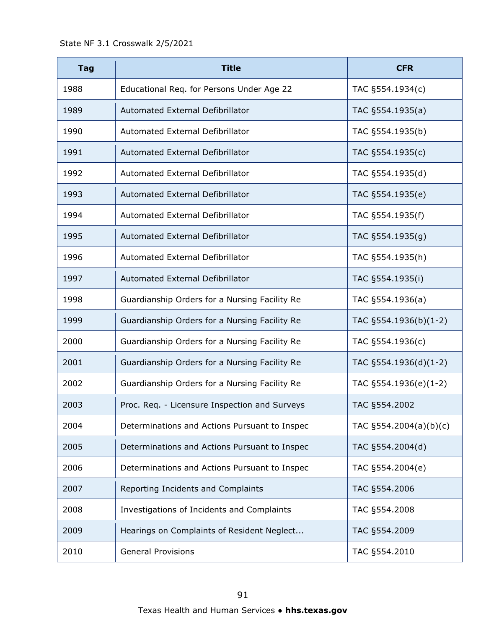| <b>Tag</b> | <b>Title</b>                                  | <b>CFR</b>             |
|------------|-----------------------------------------------|------------------------|
| 1988       | Educational Req. for Persons Under Age 22     | TAC §554.1934(c)       |
| 1989       | Automated External Defibrillator              | TAC §554.1935(a)       |
| 1990       | Automated External Defibrillator              | TAC §554.1935(b)       |
| 1991       | Automated External Defibrillator              | TAC §554.1935(c)       |
| 1992       | Automated External Defibrillator              | TAC §554.1935(d)       |
| 1993       | Automated External Defibrillator              | TAC §554.1935(e)       |
| 1994       | Automated External Defibrillator              | TAC §554.1935(f)       |
| 1995       | Automated External Defibrillator              | TAC §554.1935(g)       |
| 1996       | Automated External Defibrillator              | TAC §554.1935(h)       |
| 1997       | Automated External Defibrillator              | TAC §554.1935(i)       |
| 1998       | Guardianship Orders for a Nursing Facility Re | TAC §554.1936(a)       |
| 1999       | Guardianship Orders for a Nursing Facility Re | TAC §554.1936(b)(1-2)  |
| 2000       | Guardianship Orders for a Nursing Facility Re | TAC §554.1936(c)       |
| 2001       | Guardianship Orders for a Nursing Facility Re | TAC §554.1936(d)(1-2)  |
| 2002       | Guardianship Orders for a Nursing Facility Re | TAC §554.1936(e)(1-2)  |
| 2003       | Proc. Req. - Licensure Inspection and Surveys | TAC §554.2002          |
| 2004       | Determinations and Actions Pursuant to Inspec | TAC §554.2004(a)(b)(c) |
| 2005       | Determinations and Actions Pursuant to Inspec | TAC §554.2004(d)       |
| 2006       | Determinations and Actions Pursuant to Inspec | TAC §554.2004(e)       |
| 2007       | Reporting Incidents and Complaints            | TAC §554.2006          |
| 2008       | Investigations of Incidents and Complaints    | TAC §554.2008          |
| 2009       | Hearings on Complaints of Resident Neglect    | TAC §554.2009          |
| 2010       | <b>General Provisions</b>                     | TAC §554.2010          |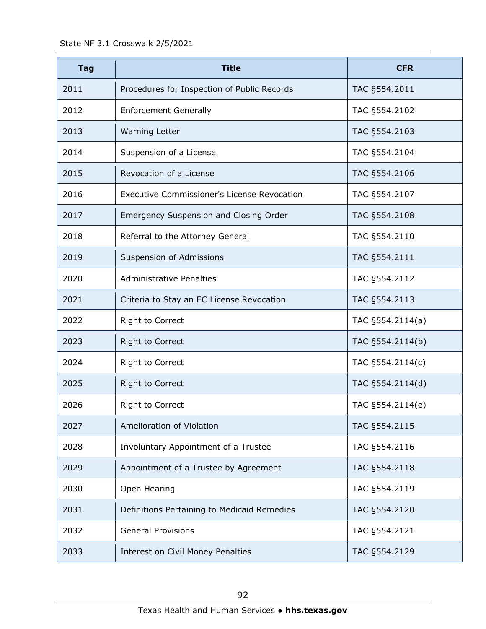| <b>Tag</b> | <b>Title</b>                                       | <b>CFR</b>       |
|------------|----------------------------------------------------|------------------|
| 2011       | Procedures for Inspection of Public Records        | TAC §554.2011    |
| 2012       | <b>Enforcement Generally</b>                       | TAC §554.2102    |
| 2013       | <b>Warning Letter</b>                              | TAC §554.2103    |
| 2014       | Suspension of a License                            | TAC §554.2104    |
| 2015       | Revocation of a License                            | TAC §554.2106    |
| 2016       | <b>Executive Commissioner's License Revocation</b> | TAC §554.2107    |
| 2017       | <b>Emergency Suspension and Closing Order</b>      | TAC §554.2108    |
| 2018       | Referral to the Attorney General                   | TAC §554.2110    |
| 2019       | Suspension of Admissions                           | TAC §554.2111    |
| 2020       | <b>Administrative Penalties</b>                    | TAC §554.2112    |
| 2021       | Criteria to Stay an EC License Revocation          | TAC §554.2113    |
| 2022       | Right to Correct                                   | TAC §554.2114(a) |
| 2023       | <b>Right to Correct</b>                            | TAC §554.2114(b) |
| 2024       | Right to Correct                                   | TAC §554.2114(c) |
| 2025       | Right to Correct                                   | TAC §554.2114(d) |
| 2026       | Right to Correct                                   | TAC §554.2114(e) |
| 2027       | Amelioration of Violation                          | TAC §554.2115    |
| 2028       | Involuntary Appointment of a Trustee               | TAC §554.2116    |
| 2029       | Appointment of a Trustee by Agreement              | TAC §554.2118    |
| 2030       | Open Hearing                                       | TAC §554.2119    |
| 2031       | Definitions Pertaining to Medicaid Remedies        | TAC §554.2120    |
| 2032       | <b>General Provisions</b>                          | TAC §554.2121    |
| 2033       | Interest on Civil Money Penalties                  | TAC §554.2129    |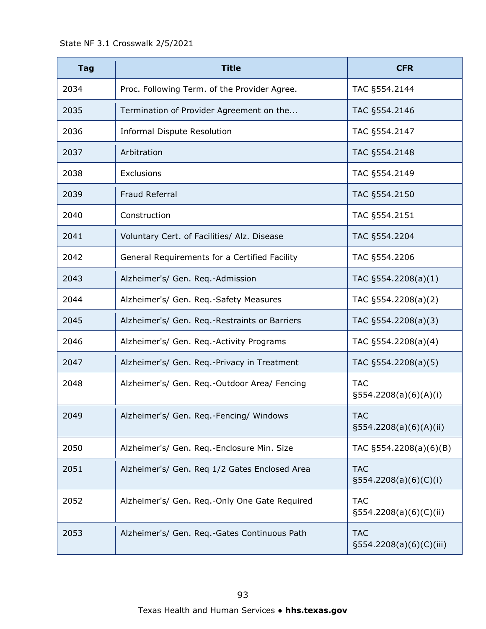| <b>Tag</b> | <b>Title</b>                                  | <b>CFR</b>                               |
|------------|-----------------------------------------------|------------------------------------------|
| 2034       | Proc. Following Term. of the Provider Agree.  | TAC §554.2144                            |
| 2035       | Termination of Provider Agreement on the      | TAC §554.2146                            |
| 2036       | <b>Informal Dispute Resolution</b>            | TAC §554.2147                            |
| 2037       | Arbitration                                   | TAC §554.2148                            |
| 2038       | Exclusions                                    | TAC §554.2149                            |
| 2039       | Fraud Referral                                | TAC §554.2150                            |
| 2040       | Construction                                  | TAC §554.2151                            |
| 2041       | Voluntary Cert. of Facilities/ Alz. Disease   | TAC §554.2204                            |
| 2042       | General Requirements for a Certified Facility | TAC §554.2206                            |
| 2043       | Alzheimer's/ Gen. Req.-Admission              | TAC $\S554.2208(a)(1)$                   |
| 2044       | Alzheimer's/ Gen. Req.-Safety Measures        | TAC §554.2208(a)(2)                      |
| 2045       | Alzheimer's/ Gen. Req.-Restraints or Barriers | TAC §554.2208(a)(3)                      |
| 2046       | Alzheimer's/ Gen. Req.-Activity Programs      | TAC §554.2208(a)(4)                      |
| 2047       | Alzheimer's/ Gen. Req.-Privacy in Treatment   | TAC §554.2208(a)(5)                      |
| 2048       | Alzheimer's/ Gen. Req.-Outdoor Area/ Fencing  | <b>TAC</b><br>§554.2208(a)(6)(A)(i)      |
| 2049       | Alzheimer's/ Gen. Req.-Fencing/ Windows       | <b>TAC</b><br>$\S554.2208(a)(6)(A)(ii)$  |
| 2050       | Alzheimer's/ Gen. Req.-Enclosure Min. Size    | TAC §554.2208(a)(6)(B)                   |
| 2051       | Alzheimer's/ Gen. Reg 1/2 Gates Enclosed Area | <b>TAC</b><br>$\S554.2208(a)(6)(C)(i)$   |
| 2052       | Alzheimer's/ Gen. Req.-Only One Gate Required | <b>TAC</b><br>$\S554.2208(a)(6)(C)(ii)$  |
| 2053       | Alzheimer's/ Gen. Req.-Gates Continuous Path  | <b>TAC</b><br>$\S554.2208(a)(6)(C)(iii)$ |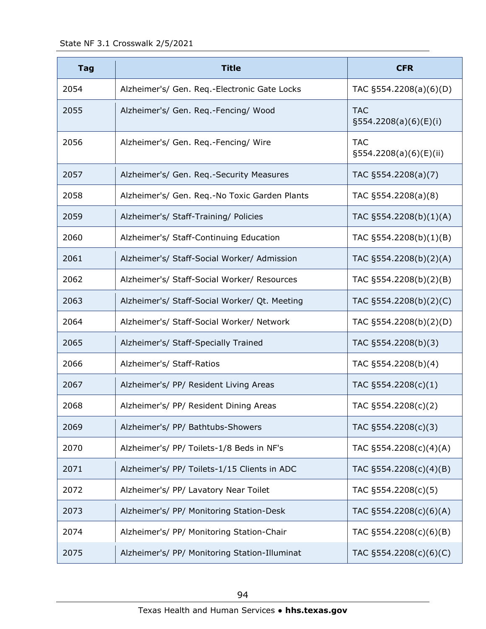| <b>Tag</b> | <b>Title</b>                                  | <b>CFR</b>                              |
|------------|-----------------------------------------------|-----------------------------------------|
| 2054       | Alzheimer's/ Gen. Req.-Electronic Gate Locks  | TAC §554.2208(a)(6)(D)                  |
| 2055       | Alzheimer's/ Gen. Req.-Fencing/ Wood          | <b>TAC</b><br>§554.2208(a)(6)(E)(i)     |
| 2056       | Alzheimer's/ Gen. Req.-Fencing/ Wire          | <b>TAC</b><br>$\S554.2208(a)(6)(E)(ii)$ |
| 2057       | Alzheimer's/ Gen. Req.-Security Measures      | TAC §554.2208(a)(7)                     |
| 2058       | Alzheimer's/ Gen. Req.-No Toxic Garden Plants | TAC §554.2208(a)(8)                     |
| 2059       | Alzheimer's/ Staff-Training/ Policies         | TAC §554.2208(b)(1)(A)                  |
| 2060       | Alzheimer's/ Staff-Continuing Education       | TAC §554.2208(b)(1)(B)                  |
| 2061       | Alzheimer's/ Staff-Social Worker/ Admission   | TAC §554.2208(b)(2)(A)                  |
| 2062       | Alzheimer's/ Staff-Social Worker/ Resources   | TAC §554.2208(b)(2)(B)                  |
| 2063       | Alzheimer's/ Staff-Social Worker/ Qt. Meeting | TAC §554.2208(b)(2)(C)                  |
| 2064       | Alzheimer's/ Staff-Social Worker/ Network     | TAC §554.2208(b)(2)(D)                  |
| 2065       | Alzheimer's/ Staff-Specially Trained          | TAC §554.2208(b)(3)                     |
| 2066       | Alzheimer's/ Staff-Ratios                     | TAC §554.2208(b)(4)                     |
| 2067       | Alzheimer's/ PP/ Resident Living Areas        | TAC §554.2208(c)(1)                     |
| 2068       | Alzheimer's/ PP/ Resident Dining Areas        | TAC §554.2208(c)(2)                     |
| 2069       | Alzheimer's/ PP/ Bathtubs-Showers             | TAC §554.2208(c)(3)                     |
| 2070       | Alzheimer's/ PP/ Toilets-1/8 Beds in NF's     | TAC §554.2208(c)(4)(A)                  |
| 2071       | Alzheimer's/ PP/ Toilets-1/15 Clients in ADC  | TAC §554.2208(c)(4)(B)                  |
| 2072       | Alzheimer's/ PP/ Lavatory Near Toilet         | TAC §554.2208(c)(5)                     |
| 2073       | Alzheimer's/ PP/ Monitoring Station-Desk      | TAC §554.2208(c)(6)(A)                  |
| 2074       | Alzheimer's/ PP/ Monitoring Station-Chair     | TAC §554.2208(c)(6)(B)                  |
| 2075       | Alzheimer's/ PP/ Monitoring Station-Illuminat | TAC §554.2208(c)(6)(C)                  |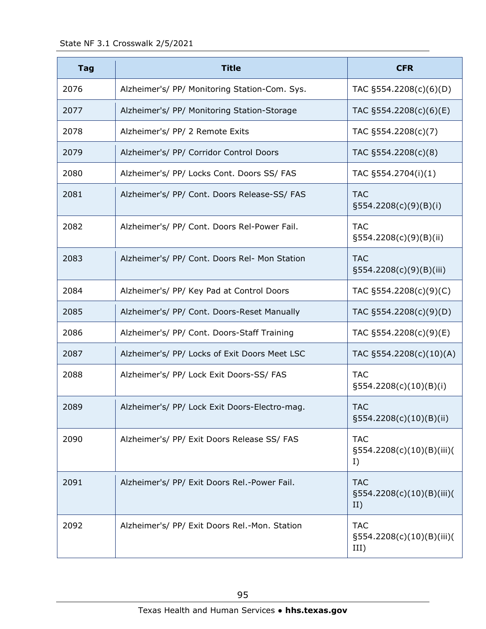| <b>Tag</b> | <b>Title</b>                                  | <b>CFR</b>                                        |
|------------|-----------------------------------------------|---------------------------------------------------|
| 2076       | Alzheimer's/ PP/ Monitoring Station-Com. Sys. | TAC §554.2208(c)(6)(D)                            |
| 2077       | Alzheimer's/ PP/ Monitoring Station-Storage   | TAC §554.2208(c)(6)(E)                            |
| 2078       | Alzheimer's/ PP/ 2 Remote Exits               | TAC §554.2208(c)(7)                               |
| 2079       | Alzheimer's/ PP/ Corridor Control Doors       | TAC §554.2208(c)(8)                               |
| 2080       | Alzheimer's/ PP/ Locks Cont. Doors SS/ FAS    | TAC §554.2704(i)(1)                               |
| 2081       | Alzheimer's/ PP/ Cont. Doors Release-SS/ FAS  | <b>TAC</b><br>$\S554.2208(c)(9)(B)(i)$            |
| 2082       | Alzheimer's/ PP/ Cont. Doors Rel-Power Fail.  | <b>TAC</b><br>$\S554.2208(c)(9)(B)(ii)$           |
| 2083       | Alzheimer's/ PP/ Cont. Doors Rel- Mon Station | <b>TAC</b><br>§554.2208(c)(9)(B)(iii)             |
| 2084       | Alzheimer's/ PP/ Key Pad at Control Doors     | TAC §554.2208(c)(9)(C)                            |
| 2085       | Alzheimer's/ PP/ Cont. Doors-Reset Manually   | TAC §554.2208(c)(9)(D)                            |
| 2086       | Alzheimer's/ PP/ Cont. Doors-Staff Training   | TAC §554.2208(c)(9)(E)                            |
| 2087       | Alzheimer's/ PP/ Locks of Exit Doors Meet LSC | TAC §554.2208(c)(10)(A)                           |
| 2088       | Alzheimer's/ PP/ Lock Exit Doors-SS/ FAS      | <b>TAC</b><br>§554.2208(c)(10)(B)(i)              |
| 2089       | Alzheimer's/ PP/ Lock Exit Doors-Electro-mag. | <b>TAC</b><br>§554.2208(c)(10)(B)(ii)             |
| 2090       | Alzheimer's/ PP/ Exit Doors Release SS/ FAS   | <b>TAC</b><br>§554.2208(c)(10)(B)(iii)(<br>I)     |
| 2091       | Alzheimer's/ PP/ Exit Doors Rel.-Power Fail.  | <b>TAC</b><br>$\S554.2208(c)(10)(B)(iii)($<br>II) |
| 2092       | Alzheimer's/ PP/ Exit Doors Rel.-Mon. Station | <b>TAC</b><br>§554.2208(c)(10)(B)(iii)(<br>III)   |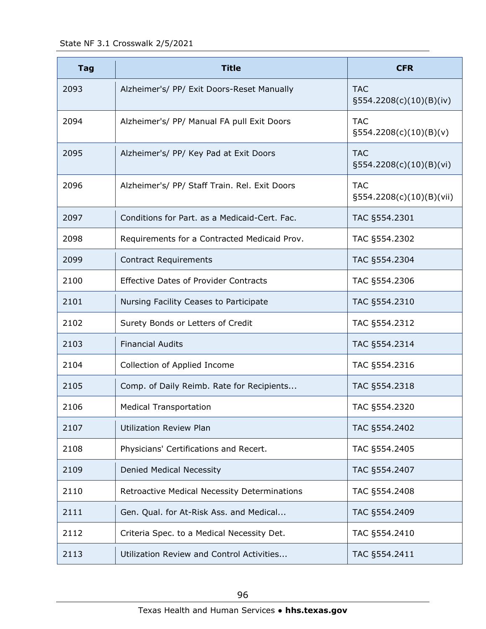State NF 3.1 Crosswalk 2/5/2021

| <b>Tag</b> | <b>Title</b>                                  | <b>CFR</b>                               |
|------------|-----------------------------------------------|------------------------------------------|
| 2093       | Alzheimer's/ PP/ Exit Doors-Reset Manually    | <b>TAC</b><br>$\S554.2208(c)(10)(B)(iv)$ |
| 2094       | Alzheimer's/ PP/ Manual FA pull Exit Doors    | <b>TAC</b><br>$\S554.2208(c)(10)(B)(v)$  |
| 2095       | Alzheimer's/ PP/ Key Pad at Exit Doors        | <b>TAC</b><br>$\S554.2208(c)(10)(B)(vi)$ |
| 2096       | Alzheimer's/ PP/ Staff Train. Rel. Exit Doors | <b>TAC</b><br>§554.2208(c)(10)(B)(vii)   |
| 2097       | Conditions for Part. as a Medicaid-Cert. Fac. | TAC §554.2301                            |
| 2098       | Requirements for a Contracted Medicaid Prov.  | TAC §554.2302                            |
| 2099       | <b>Contract Requirements</b>                  | TAC §554.2304                            |
| 2100       | <b>Effective Dates of Provider Contracts</b>  | TAC §554.2306                            |
| 2101       | Nursing Facility Ceases to Participate        | TAC §554.2310                            |
| 2102       | Surety Bonds or Letters of Credit             | TAC §554.2312                            |
| 2103       | <b>Financial Audits</b>                       | TAC §554.2314                            |
| 2104       | Collection of Applied Income                  | TAC §554.2316                            |
| 2105       | Comp. of Daily Reimb. Rate for Recipients     | TAC §554.2318                            |
| 2106       | <b>Medical Transportation</b>                 | TAC §554.2320                            |
| 2107       | <b>Utilization Review Plan</b>                | TAC §554.2402                            |
| 2108       | Physicians' Certifications and Recert.        | TAC §554.2405                            |
| 2109       | Denied Medical Necessity                      | TAC §554.2407                            |
| 2110       | Retroactive Medical Necessity Determinations  | TAC §554.2408                            |
| 2111       | Gen. Qual. for At-Risk Ass. and Medical       | TAC §554.2409                            |
| 2112       | Criteria Spec. to a Medical Necessity Det.    | TAC §554.2410                            |
| 2113       | Utilization Review and Control Activities     | TAC §554.2411                            |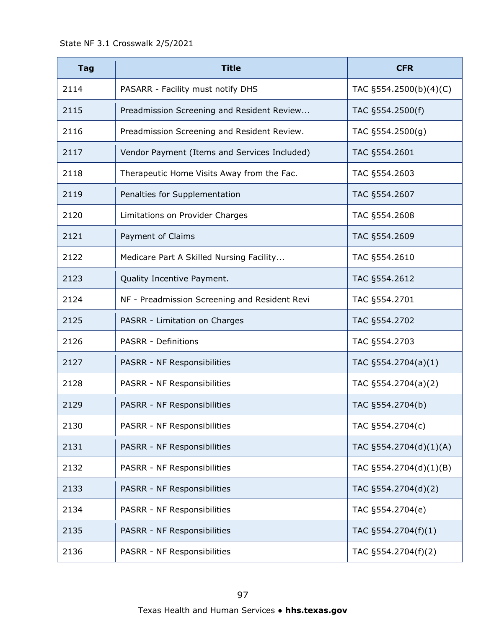| <b>Tag</b> | <b>Title</b>                                  | <b>CFR</b>             |
|------------|-----------------------------------------------|------------------------|
| 2114       | PASARR - Facility must notify DHS             | TAC §554.2500(b)(4)(C) |
| 2115       | Preadmission Screening and Resident Review    | TAC §554.2500(f)       |
| 2116       | Preadmission Screening and Resident Review.   | TAC §554.2500(g)       |
| 2117       | Vendor Payment (Items and Services Included)  | TAC §554.2601          |
| 2118       | Therapeutic Home Visits Away from the Fac.    | TAC §554.2603          |
| 2119       | Penalties for Supplementation                 | TAC §554.2607          |
| 2120       | Limitations on Provider Charges               | TAC §554.2608          |
| 2121       | Payment of Claims                             | TAC §554.2609          |
| 2122       | Medicare Part A Skilled Nursing Facility      | TAC §554.2610          |
| 2123       | Quality Incentive Payment.                    | TAC §554.2612          |
| 2124       | NF - Preadmission Screening and Resident Revi | TAC §554.2701          |
| 2125       | PASRR - Limitation on Charges                 | TAC §554.2702          |
| 2126       | <b>PASRR - Definitions</b>                    | TAC §554.2703          |
| 2127       | PASRR - NF Responsibilities                   | TAC §554.2704(a)(1)    |
| 2128       | PASRR - NF Responsibilities                   | TAC §554.2704(a)(2)    |
| 2129       | PASRR - NF Responsibilities                   | TAC §554.2704(b)       |
| 2130       | PASRR - NF Responsibilities                   | TAC §554.2704(c)       |
| 2131       | PASRR - NF Responsibilities                   | TAC §554.2704(d)(1)(A) |
| 2132       | PASRR - NF Responsibilities                   | TAC §554.2704(d)(1)(B) |
| 2133       | PASRR - NF Responsibilities                   | TAC §554.2704(d)(2)    |
| 2134       | PASRR - NF Responsibilities                   | TAC §554.2704(e)       |
| 2135       | PASRR - NF Responsibilities                   | TAC §554.2704(f)(1)    |
| 2136       | PASRR - NF Responsibilities                   | TAC §554.2704(f)(2)    |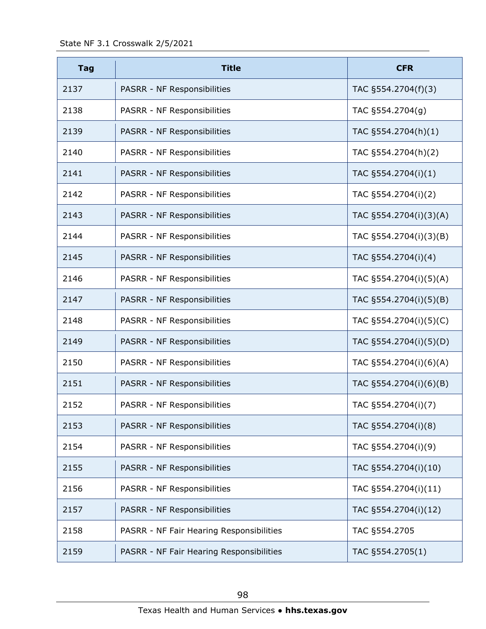| <b>Tag</b> | <b>Title</b>                             | <b>CFR</b>             |
|------------|------------------------------------------|------------------------|
| 2137       | PASRR - NF Responsibilities              | TAC §554.2704(f)(3)    |
| 2138       | PASRR - NF Responsibilities              | TAC §554.2704(g)       |
| 2139       | PASRR - NF Responsibilities              | TAC §554.2704(h)(1)    |
| 2140       | PASRR - NF Responsibilities              | TAC §554.2704(h)(2)    |
| 2141       | PASRR - NF Responsibilities              | TAC §554.2704(i)(1)    |
| 2142       | PASRR - NF Responsibilities              | TAC §554.2704(i)(2)    |
| 2143       | PASRR - NF Responsibilities              | TAC §554.2704(i)(3)(A) |
| 2144       | PASRR - NF Responsibilities              | TAC §554.2704(i)(3)(B) |
| 2145       | PASRR - NF Responsibilities              | TAC §554.2704(i)(4)    |
| 2146       | PASRR - NF Responsibilities              | TAC §554.2704(i)(5)(A) |
| 2147       | PASRR - NF Responsibilities              | TAC §554.2704(i)(5)(B) |
| 2148       | PASRR - NF Responsibilities              | TAC §554.2704(i)(5)(C) |
| 2149       | PASRR - NF Responsibilities              | TAC §554.2704(i)(5)(D) |
| 2150       | PASRR - NF Responsibilities              | TAC §554.2704(i)(6)(A) |
| 2151       | PASRR - NF Responsibilities              | TAC §554.2704(i)(6)(B) |
| 2152       | PASRR - NF Responsibilities              | TAC §554.2704(i)(7)    |
| 2153       | PASRR - NF Responsibilities              | TAC §554.2704(i)(8)    |
| 2154       | PASRR - NF Responsibilities              | TAC §554.2704(i)(9)    |
| 2155       | PASRR - NF Responsibilities              | TAC §554.2704(i)(10)   |
| 2156       | PASRR - NF Responsibilities              | TAC §554.2704(i)(11)   |
| 2157       | PASRR - NF Responsibilities              | TAC §554.2704(i)(12)   |
| 2158       | PASRR - NF Fair Hearing Responsibilities | TAC §554.2705          |
| 2159       | PASRR - NF Fair Hearing Responsibilities | TAC §554.2705(1)       |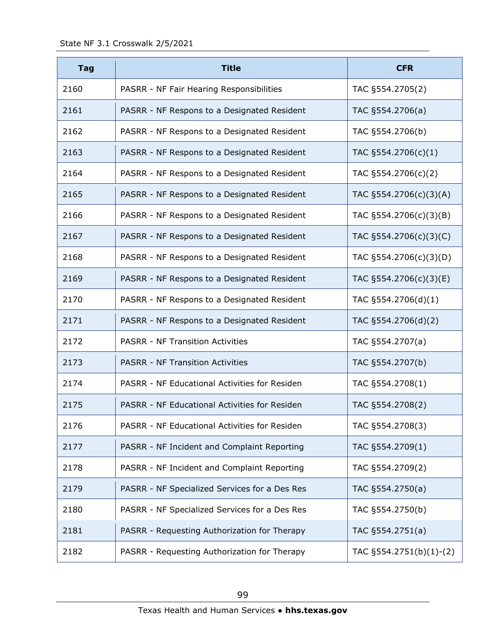| <b>Tag</b> | <b>Title</b>                                  | <b>CFR</b>              |
|------------|-----------------------------------------------|-------------------------|
| 2160       | PASRR - NF Fair Hearing Responsibilities      | TAC §554.2705(2)        |
| 2161       | PASRR - NF Respons to a Designated Resident   | TAC §554.2706(a)        |
| 2162       | PASRR - NF Respons to a Designated Resident   | TAC §554.2706(b)        |
| 2163       | PASRR - NF Respons to a Designated Resident   | TAC §554.2706(c)(1)     |
| 2164       | PASRR - NF Respons to a Designated Resident   | TAC §554.2706(c)(2)     |
| 2165       | PASRR - NF Respons to a Designated Resident   | TAC §554.2706(c)(3)(A)  |
| 2166       | PASRR - NF Respons to a Designated Resident   | TAC §554.2706(c)(3)(B)  |
| 2167       | PASRR - NF Respons to a Designated Resident   | TAC §554.2706(c)(3)(C)  |
| 2168       | PASRR - NF Respons to a Designated Resident   | TAC §554.2706(c)(3)(D)  |
| 2169       | PASRR - NF Respons to a Designated Resident   | TAC §554.2706(c)(3)(E)  |
| 2170       | PASRR - NF Respons to a Designated Resident   | TAC §554.2706(d)(1)     |
| 2171       | PASRR - NF Respons to a Designated Resident   | TAC §554.2706(d)(2)     |
| 2172       | <b>PASRR - NF Transition Activities</b>       | TAC §554.2707(a)        |
| 2173       | <b>PASRR - NF Transition Activities</b>       | TAC §554.2707(b)        |
| 2174       | PASRR - NF Educational Activities for Residen | TAC §554.2708(1)        |
| 2175       | PASRR - NF Educational Activities for Residen | TAC §554.2708(2)        |
| 2176       | PASRR - NF Educational Activities for Residen | TAC §554.2708(3)        |
| 2177       | PASRR - NF Incident and Complaint Reporting   | TAC §554.2709(1)        |
| 2178       | PASRR - NF Incident and Complaint Reporting   | TAC §554.2709(2)        |
| 2179       | PASRR - NF Specialized Services for a Des Res | TAC §554.2750(a)        |
| 2180       | PASRR - NF Specialized Services for a Des Res | TAC §554.2750(b)        |
| 2181       | PASRR - Requesting Authorization for Therapy  | TAC §554.2751(a)        |
| 2182       | PASRR - Requesting Authorization for Therapy  | TAC §554.2751(b)(1)-(2) |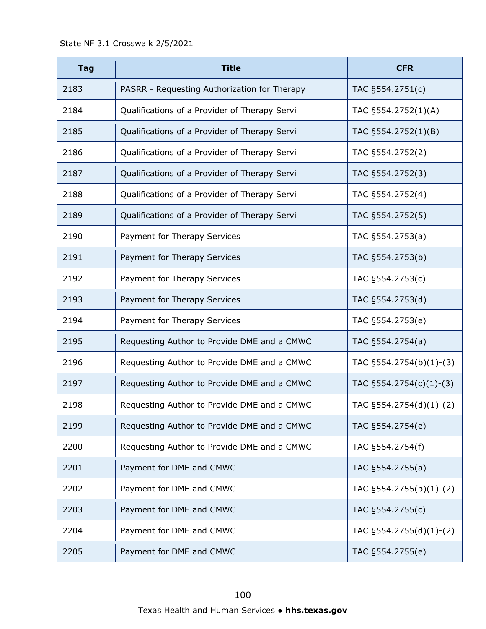| <b>Tag</b> | <b>Title</b>                                  | <b>CFR</b>                 |
|------------|-----------------------------------------------|----------------------------|
| 2183       | PASRR - Requesting Authorization for Therapy  | TAC §554.2751(c)           |
| 2184       | Qualifications of a Provider of Therapy Servi | TAC §554.2752(1)(A)        |
| 2185       | Qualifications of a Provider of Therapy Servi | TAC §554.2752(1)(B)        |
| 2186       | Qualifications of a Provider of Therapy Servi | TAC §554.2752(2)           |
| 2187       | Qualifications of a Provider of Therapy Servi | TAC §554.2752(3)           |
| 2188       | Qualifications of a Provider of Therapy Servi | TAC §554.2752(4)           |
| 2189       | Qualifications of a Provider of Therapy Servi | TAC §554.2752(5)           |
| 2190       | Payment for Therapy Services                  | TAC §554.2753(a)           |
| 2191       | Payment for Therapy Services                  | TAC §554.2753(b)           |
| 2192       | Payment for Therapy Services                  | TAC §554.2753(c)           |
| 2193       | Payment for Therapy Services                  | TAC §554.2753(d)           |
| 2194       | Payment for Therapy Services                  | TAC §554.2753(e)           |
| 2195       | Requesting Author to Provide DME and a CMWC   | TAC §554.2754(a)           |
| 2196       | Requesting Author to Provide DME and a CMWC   | TAC $\S554.2754(b)(1)-(3)$ |
| 2197       | Requesting Author to Provide DME and a CMWC   | TAC §554.2754(c)(1)-(3)    |
| 2198       | Requesting Author to Provide DME and a CMWC   | TAC §554.2754(d)(1)-(2)    |
| 2199       | Requesting Author to Provide DME and a CMWC   | TAC §554.2754(e)           |
| 2200       | Requesting Author to Provide DME and a CMWC   | TAC §554.2754(f)           |
| 2201       | Payment for DME and CMWC                      | TAC §554.2755(a)           |
| 2202       | Payment for DME and CMWC                      | TAC §554.2755(b)(1)-(2)    |
| 2203       | Payment for DME and CMWC                      | TAC §554.2755(c)           |
| 2204       | Payment for DME and CMWC                      | TAC §554.2755(d)(1)-(2)    |
| 2205       | Payment for DME and CMWC                      | TAC §554.2755(e)           |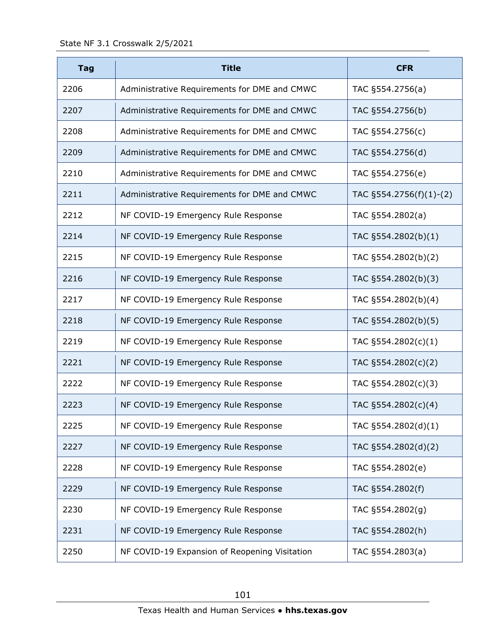| <b>Tag</b> | <b>Title</b>                                  | <b>CFR</b>              |
|------------|-----------------------------------------------|-------------------------|
| 2206       | Administrative Requirements for DME and CMWC  | TAC §554.2756(a)        |
| 2207       | Administrative Requirements for DME and CMWC  | TAC §554.2756(b)        |
| 2208       | Administrative Requirements for DME and CMWC  | TAC §554.2756(c)        |
| 2209       | Administrative Requirements for DME and CMWC  | TAC §554.2756(d)        |
| 2210       | Administrative Requirements for DME and CMWC  | TAC §554.2756(e)        |
| 2211       | Administrative Requirements for DME and CMWC  | TAC §554.2756(f)(1)-(2) |
| 2212       | NF COVID-19 Emergency Rule Response           | TAC §554.2802(a)        |
| 2214       | NF COVID-19 Emergency Rule Response           | TAC §554.2802(b)(1)     |
| 2215       | NF COVID-19 Emergency Rule Response           | TAC §554.2802(b)(2)     |
| 2216       | NF COVID-19 Emergency Rule Response           | TAC §554.2802(b)(3)     |
| 2217       | NF COVID-19 Emergency Rule Response           | TAC §554.2802(b)(4)     |
| 2218       | NF COVID-19 Emergency Rule Response           | TAC §554.2802(b)(5)     |
| 2219       | NF COVID-19 Emergency Rule Response           | TAC §554.2802(c)(1)     |
| 2221       | NF COVID-19 Emergency Rule Response           | TAC §554.2802(c)(2)     |
| 2222       | NF COVID-19 Emergency Rule Response           | TAC §554.2802(c)(3)     |
| 2223       | NF COVID-19 Emergency Rule Response           | TAC §554.2802(c)(4)     |
| 2225       | NF COVID-19 Emergency Rule Response           | TAC §554.2802(d)(1)     |
| 2227       | NF COVID-19 Emergency Rule Response           | TAC §554.2802(d)(2)     |
| 2228       | NF COVID-19 Emergency Rule Response           | TAC §554.2802(e)        |
| 2229       | NF COVID-19 Emergency Rule Response           | TAC §554.2802(f)        |
| 2230       | NF COVID-19 Emergency Rule Response           | TAC §554.2802(g)        |
| 2231       | NF COVID-19 Emergency Rule Response           | TAC §554.2802(h)        |
| 2250       | NF COVID-19 Expansion of Reopening Visitation | TAC §554.2803(a)        |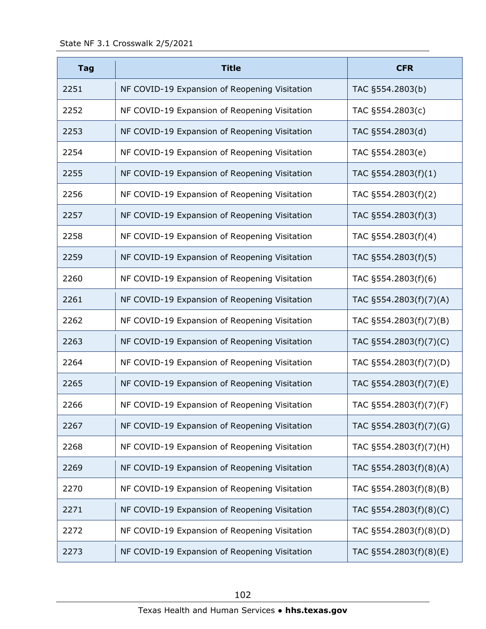| <b>Tag</b> | <b>Title</b>                                  | <b>CFR</b>             |
|------------|-----------------------------------------------|------------------------|
| 2251       | NF COVID-19 Expansion of Reopening Visitation | TAC §554.2803(b)       |
| 2252       | NF COVID-19 Expansion of Reopening Visitation | TAC §554.2803(c)       |
| 2253       | NF COVID-19 Expansion of Reopening Visitation | TAC §554.2803(d)       |
| 2254       | NF COVID-19 Expansion of Reopening Visitation | TAC §554.2803(e)       |
| 2255       | NF COVID-19 Expansion of Reopening Visitation | TAC §554.2803(f)(1)    |
| 2256       | NF COVID-19 Expansion of Reopening Visitation | TAC §554.2803(f)(2)    |
| 2257       | NF COVID-19 Expansion of Reopening Visitation | TAC §554.2803(f)(3)    |
| 2258       | NF COVID-19 Expansion of Reopening Visitation | TAC §554.2803(f)(4)    |
| 2259       | NF COVID-19 Expansion of Reopening Visitation | TAC §554.2803(f)(5)    |
| 2260       | NF COVID-19 Expansion of Reopening Visitation | TAC §554.2803(f)(6)    |
| 2261       | NF COVID-19 Expansion of Reopening Visitation | TAC §554.2803(f)(7)(A) |
| 2262       | NF COVID-19 Expansion of Reopening Visitation | TAC §554.2803(f)(7)(B) |
| 2263       | NF COVID-19 Expansion of Reopening Visitation | TAC §554.2803(f)(7)(C) |
| 2264       | NF COVID-19 Expansion of Reopening Visitation | TAC §554.2803(f)(7)(D) |
| 2265       | NF COVID-19 Expansion of Reopening Visitation | TAC §554.2803(f)(7)(E) |
| 2266       | NF COVID-19 Expansion of Reopening Visitation | TAC §554.2803(f)(7)(F) |
| 2267       | NF COVID-19 Expansion of Reopening Visitation | TAC §554.2803(f)(7)(G) |
| 2268       | NF COVID-19 Expansion of Reopening Visitation | TAC §554.2803(f)(7)(H) |
| 2269       | NF COVID-19 Expansion of Reopening Visitation | TAC §554.2803(f)(8)(A) |
| 2270       | NF COVID-19 Expansion of Reopening Visitation | TAC §554.2803(f)(8)(B) |
| 2271       | NF COVID-19 Expansion of Reopening Visitation | TAC §554.2803(f)(8)(C) |
| 2272       | NF COVID-19 Expansion of Reopening Visitation | TAC §554.2803(f)(8)(D) |
| 2273       | NF COVID-19 Expansion of Reopening Visitation | TAC §554.2803(f)(8)(E) |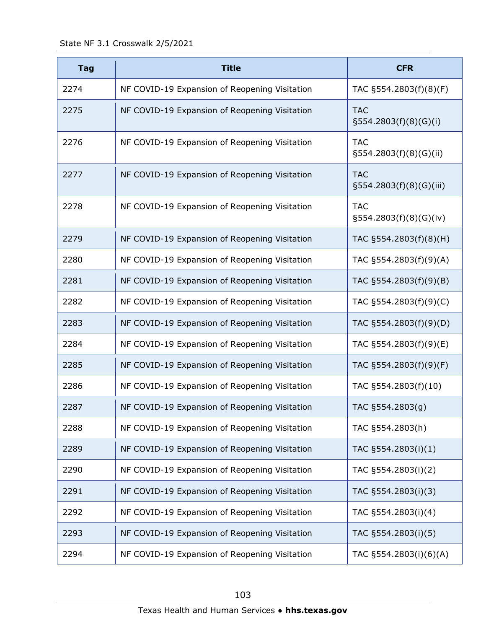State NF 3.1 Crosswalk 2/5/2021

| <b>Tag</b> | <b>Title</b>                                  | <b>CFR</b>                             |
|------------|-----------------------------------------------|----------------------------------------|
| 2274       | NF COVID-19 Expansion of Reopening Visitation | TAC §554.2803(f)(8)(F)                 |
| 2275       | NF COVID-19 Expansion of Reopening Visitation | <b>TAC</b><br>$\S554.2803(f)(8)(G)(i)$ |
| 2276       | NF COVID-19 Expansion of Reopening Visitation | <b>TAC</b><br>§554.2803(f)(8)(G)(ii)   |
| 2277       | NF COVID-19 Expansion of Reopening Visitation | <b>TAC</b><br>§554.2803(f)(8)(G)(iii)  |
| 2278       | NF COVID-19 Expansion of Reopening Visitation | <b>TAC</b><br>§554.2803(f)(8)(G)(iv)   |
| 2279       | NF COVID-19 Expansion of Reopening Visitation | TAC §554.2803(f)(8)(H)                 |
| 2280       | NF COVID-19 Expansion of Reopening Visitation | TAC §554.2803(f)(9)(A)                 |
| 2281       | NF COVID-19 Expansion of Reopening Visitation | TAC §554.2803(f)(9)(B)                 |
| 2282       | NF COVID-19 Expansion of Reopening Visitation | TAC §554.2803(f)(9)(C)                 |
| 2283       | NF COVID-19 Expansion of Reopening Visitation | TAC §554.2803(f)(9)(D)                 |
| 2284       | NF COVID-19 Expansion of Reopening Visitation | TAC §554.2803(f)(9)(E)                 |
| 2285       | NF COVID-19 Expansion of Reopening Visitation | TAC §554.2803(f)(9)(F)                 |
| 2286       | NF COVID-19 Expansion of Reopening Visitation | TAC §554.2803(f)(10)                   |
| 2287       | NF COVID-19 Expansion of Reopening Visitation | TAC §554.2803(g)                       |
| 2288       | NF COVID-19 Expansion of Reopening Visitation | TAC §554.2803(h)                       |
| 2289       | NF COVID-19 Expansion of Reopening Visitation | TAC §554.2803(i)(1)                    |
| 2290       | NF COVID-19 Expansion of Reopening Visitation | TAC §554.2803(i)(2)                    |
| 2291       | NF COVID-19 Expansion of Reopening Visitation | TAC §554.2803(i)(3)                    |
| 2292       | NF COVID-19 Expansion of Reopening Visitation | TAC §554.2803(i)(4)                    |
| 2293       | NF COVID-19 Expansion of Reopening Visitation | TAC §554.2803(i)(5)                    |
| 2294       | NF COVID-19 Expansion of Reopening Visitation | TAC §554.2803(i)(6)(A)                 |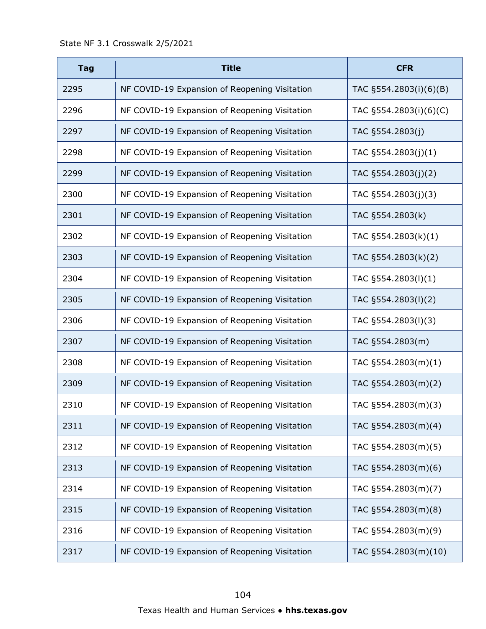| <b>Tag</b> | <b>Title</b>                                  | <b>CFR</b>             |
|------------|-----------------------------------------------|------------------------|
| 2295       | NF COVID-19 Expansion of Reopening Visitation | TAC §554.2803(i)(6)(B) |
| 2296       | NF COVID-19 Expansion of Reopening Visitation | TAC §554.2803(i)(6)(C) |
| 2297       | NF COVID-19 Expansion of Reopening Visitation | TAC §554.2803(j)       |
| 2298       | NF COVID-19 Expansion of Reopening Visitation | TAC §554.2803(j)(1)    |
| 2299       | NF COVID-19 Expansion of Reopening Visitation | TAC §554.2803(j)(2)    |
| 2300       | NF COVID-19 Expansion of Reopening Visitation | TAC §554.2803(j)(3)    |
| 2301       | NF COVID-19 Expansion of Reopening Visitation | TAC §554.2803(k)       |
| 2302       | NF COVID-19 Expansion of Reopening Visitation | TAC §554.2803(k)(1)    |
| 2303       | NF COVID-19 Expansion of Reopening Visitation | TAC §554.2803(k)(2)    |
| 2304       | NF COVID-19 Expansion of Reopening Visitation | TAC §554.2803(l)(1)    |
| 2305       | NF COVID-19 Expansion of Reopening Visitation | TAC §554.2803(I)(2)    |
| 2306       | NF COVID-19 Expansion of Reopening Visitation | TAC §554.2803(I)(3)    |
| 2307       | NF COVID-19 Expansion of Reopening Visitation | TAC §554.2803(m)       |
| 2308       | NF COVID-19 Expansion of Reopening Visitation | TAC §554.2803(m)(1)    |
| 2309       | NF COVID-19 Expansion of Reopening Visitation | TAC §554.2803(m)(2)    |
| 2310       | NF COVID-19 Expansion of Reopening Visitation | TAC §554.2803(m)(3)    |
| 2311       | NF COVID-19 Expansion of Reopening Visitation | TAC §554.2803(m)(4)    |
| 2312       | NF COVID-19 Expansion of Reopening Visitation | TAC §554.2803(m)(5)    |
| 2313       | NF COVID-19 Expansion of Reopening Visitation | TAC §554.2803(m)(6)    |
| 2314       | NF COVID-19 Expansion of Reopening Visitation | TAC §554.2803(m)(7)    |
| 2315       | NF COVID-19 Expansion of Reopening Visitation | TAC §554.2803(m)(8)    |
| 2316       | NF COVID-19 Expansion of Reopening Visitation | TAC §554.2803(m)(9)    |
| 2317       | NF COVID-19 Expansion of Reopening Visitation | TAC §554.2803(m)(10)   |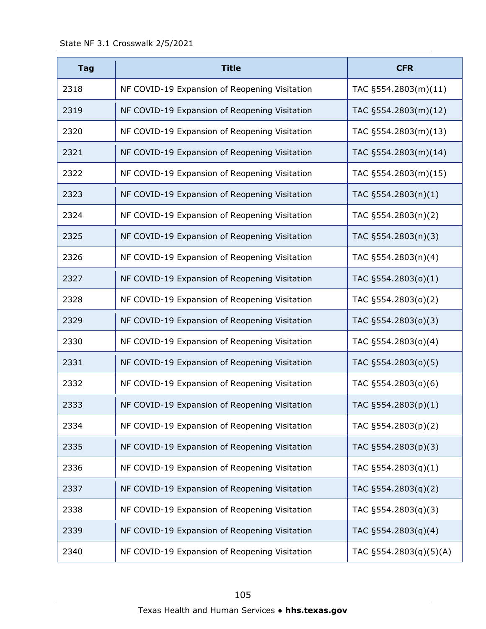| <b>Tag</b> | <b>Title</b>                                  | <b>CFR</b>             |
|------------|-----------------------------------------------|------------------------|
| 2318       | NF COVID-19 Expansion of Reopening Visitation | TAC §554.2803(m)(11)   |
| 2319       | NF COVID-19 Expansion of Reopening Visitation | TAC §554.2803(m)(12)   |
| 2320       | NF COVID-19 Expansion of Reopening Visitation | TAC §554.2803(m)(13)   |
| 2321       | NF COVID-19 Expansion of Reopening Visitation | TAC §554.2803(m)(14)   |
| 2322       | NF COVID-19 Expansion of Reopening Visitation | TAC §554.2803(m)(15)   |
| 2323       | NF COVID-19 Expansion of Reopening Visitation | TAC §554.2803(n)(1)    |
| 2324       | NF COVID-19 Expansion of Reopening Visitation | TAC §554.2803(n)(2)    |
| 2325       | NF COVID-19 Expansion of Reopening Visitation | TAC §554.2803(n)(3)    |
| 2326       | NF COVID-19 Expansion of Reopening Visitation | TAC §554.2803(n)(4)    |
| 2327       | NF COVID-19 Expansion of Reopening Visitation | TAC §554.2803(o)(1)    |
| 2328       | NF COVID-19 Expansion of Reopening Visitation | TAC §554.2803(o)(2)    |
| 2329       | NF COVID-19 Expansion of Reopening Visitation | TAC §554.2803(o)(3)    |
| 2330       | NF COVID-19 Expansion of Reopening Visitation | TAC §554.2803(o)(4)    |
| 2331       | NF COVID-19 Expansion of Reopening Visitation | TAC §554.2803(o)(5)    |
| 2332       | NF COVID-19 Expansion of Reopening Visitation | TAC §554.2803(o)(6)    |
| 2333       | NF COVID-19 Expansion of Reopening Visitation | TAC §554.2803(p)(1)    |
| 2334       | NF COVID-19 Expansion of Reopening Visitation | TAC §554.2803(p)(2)    |
| 2335       | NF COVID-19 Expansion of Reopening Visitation | TAC §554.2803(p)(3)    |
| 2336       | NF COVID-19 Expansion of Reopening Visitation | TAC §554.2803(q)(1)    |
| 2337       | NF COVID-19 Expansion of Reopening Visitation | TAC §554.2803(q)(2)    |
| 2338       | NF COVID-19 Expansion of Reopening Visitation | TAC §554.2803(q)(3)    |
| 2339       | NF COVID-19 Expansion of Reopening Visitation | TAC §554.2803(q)(4)    |
| 2340       | NF COVID-19 Expansion of Reopening Visitation | TAC §554.2803(q)(5)(A) |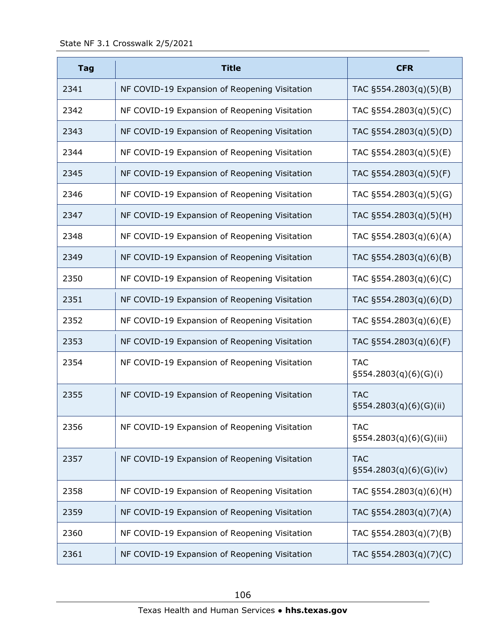| <b>Tag</b> | <b>Title</b>                                  | <b>CFR</b>                               |
|------------|-----------------------------------------------|------------------------------------------|
| 2341       | NF COVID-19 Expansion of Reopening Visitation | TAC §554.2803(q)(5)(B)                   |
| 2342       | NF COVID-19 Expansion of Reopening Visitation | TAC §554.2803(q)(5)(C)                   |
| 2343       | NF COVID-19 Expansion of Reopening Visitation | TAC §554.2803(q)(5)(D)                   |
| 2344       | NF COVID-19 Expansion of Reopening Visitation | TAC §554.2803(q)(5)(E)                   |
| 2345       | NF COVID-19 Expansion of Reopening Visitation | TAC §554.2803(q)(5)(F)                   |
| 2346       | NF COVID-19 Expansion of Reopening Visitation | TAC §554.2803(q)(5)(G)                   |
| 2347       | NF COVID-19 Expansion of Reopening Visitation | TAC §554.2803(q)(5)(H)                   |
| 2348       | NF COVID-19 Expansion of Reopening Visitation | TAC §554.2803(q)(6)(A)                   |
| 2349       | NF COVID-19 Expansion of Reopening Visitation | TAC §554.2803(q)(6)(B)                   |
| 2350       | NF COVID-19 Expansion of Reopening Visitation | TAC §554.2803(q)(6)(C)                   |
| 2351       | NF COVID-19 Expansion of Reopening Visitation | TAC §554.2803(q)(6)(D)                   |
| 2352       | NF COVID-19 Expansion of Reopening Visitation | TAC §554.2803(q)(6)(E)                   |
| 2353       | NF COVID-19 Expansion of Reopening Visitation | TAC §554.2803(q)(6)(F)                   |
| 2354       | NF COVID-19 Expansion of Reopening Visitation | <b>TAC</b><br>$\S554.2803(q)(6)(G)(i)$   |
| 2355       | NF COVID-19 Expansion of Reopening Visitation | <b>TAC</b><br>§554.2803(q)(6)(G)(ii)     |
| 2356       | NF COVID-19 Expansion of Reopening Visitation | <b>TAC</b><br>$\S554.2803(q)(6)(G)(iii)$ |
| 2357       | NF COVID-19 Expansion of Reopening Visitation | <b>TAC</b><br>$\S554.2803(q)(6)(G)(iv)$  |
| 2358       | NF COVID-19 Expansion of Reopening Visitation | TAC §554.2803(q)(6)(H)                   |
| 2359       | NF COVID-19 Expansion of Reopening Visitation | TAC §554.2803(q)(7)(A)                   |
| 2360       | NF COVID-19 Expansion of Reopening Visitation | TAC §554.2803(q)(7)(B)                   |
| 2361       | NF COVID-19 Expansion of Reopening Visitation | TAC §554.2803(q)(7)(C)                   |